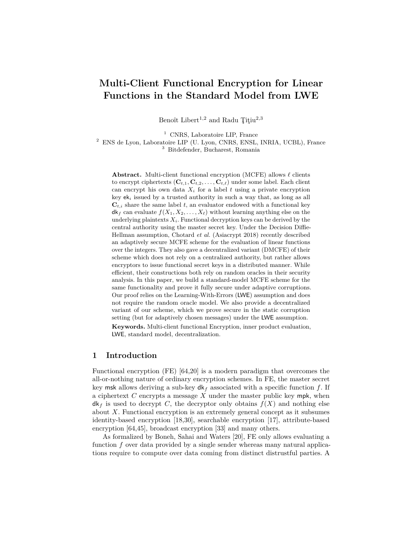# **Multi-Client Functional Encryption for Linear Functions in the Standard Model from LWE**

Benoît Libert<sup>1,2</sup> and Radu Titiu<sup>2,3</sup>

<sup>1</sup> CNRS, Laboratoire LIP, France

<sup>2</sup> ENS de Lyon, Laboratoire LIP (U. Lyon, CNRS, ENSL, INRIA, UCBL), France <sup>3</sup> Bitdefender, Bucharest, Romania

**Abstract.** Multi-client functional encryption (MCFE) allows  $\ell$  clients to encrypt ciphertexts  $(\mathbf{C}_{t,1}, \mathbf{C}_{t,2}, \ldots, \mathbf{C}_{t,\ell})$  under some label. Each client can encrypt his own data  $X_i$  for a label  $t$  using a private encryption key  $ek_i$  issued by a trusted authority in such a way that, as long as all  $\mathbf{C}_{t,i}$  share the same label *t*, an evaluator endowed with a functional key  $d\mathbf{k}_f$  can evaluate  $f(X_1, X_2, \ldots, X_\ell)$  without learning anything else on the underlying plaintexts  $X_i$ . Functional decryption keys can be derived by the central authority using the master secret key. Under the Decision Diffie-Hellman assumption, Chotard *et al.* (Asiacrypt 2018) recently described an adaptively secure MCFE scheme for the evaluation of linear functions over the integers. They also gave a decentralized variant (DMCFE) of their scheme which does not rely on a centralized authority, but rather allows encryptors to issue functional secret keys in a distributed manner. While efficient, their constructions both rely on random oracles in their security analysis. In this paper, we build a standard-model MCFE scheme for the same functionality and prove it fully secure under adaptive corruptions. Our proof relies on the Learning-With-Errors (LWE) assumption and does not require the random oracle model. We also provide a decentralized variant of our scheme, which we prove secure in the static corruption setting (but for adaptively chosen messages) under the LWE assumption. **Keywords.** Multi-client functional Encryption, inner product evaluation, LWE, standard model, decentralization.

# **1 Introduction**

Functional encryption (FE) [64,20] is a modern paradigm that overcomes the all-or-nothing nature of ordinary encryption schemes. In FE, the master secret key msk allows deriving a sub-key  $d\mathbf{k}_f$  associated with a specific function  $f$ . If a ciphertext *C* encrypts a message *X* under the master public key mpk, when  $dk_f$  is used to decrypt *C*, the decryptor only obtains  $f(X)$  and nothing else about *X*. Functional encryption is an extremely general concept as it subsumes identity-based encryption [18,30], searchable encryption [17], attribute-based encryption [64,45], broadcast encryption [33] and many others.

As formalized by Boneh, Sahai and Waters [20], FE only allows evaluating a function *f* over data provided by a single sender whereas many natural applications require to compute over data coming from distinct distrustful parties. A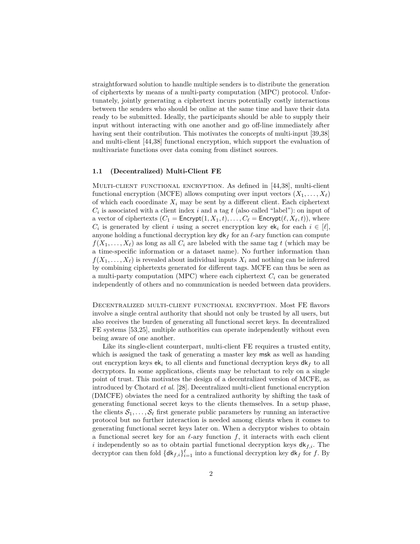straightforward solution to handle multiple senders is to distribute the generation of ciphertexts by means of a multi-party computation (MPC) protocol. Unfortunately, jointly generating a ciphertext incurs potentially costly interactions between the senders who should be online at the same time and have their data ready to be submitted. Ideally, the participants should be able to supply their input without interacting with one another and go off-line immediately after having sent their contribution. This motivates the concepts of multi-input [39,38] and multi-client [44,38] functional encryption, which support the evaluation of multivariate functions over data coming from distinct sources.

### **1.1 (Decentralized) Multi-Client FE**

Multi-client functional encryption. As defined in [44,38], multi-client functional encryption (MCFE) allows computing over input vectors  $(X_1, \ldots, X_\ell)$ of which each coordinate  $X_i$  may be sent by a different client. Each ciphertext  $C_i$  is associated with a client index *i* and a tag *t* (also called "label"): on input of a vector of ciphertexts  $(C_1 = \text{Encrypt}(1, X_1, t), \ldots, C_\ell = \text{Encrypt}(\ell, X_\ell, t)$ , where  $C_i$  is generated by client *i* using a secret encryption key ek<sub>*i*</sub> for each  $i \in [\ell],$ anyone holding a functional decryption key  $d\mathbf{k}_f$  for an  $\ell$ -ary function can compute  $f(X_1, \ldots, X_\ell)$  as long as all  $C_i$  are labeled with the same tag *t* (which may be a time-specific information or a dataset name). No further information than  $f(X_1, \ldots, X_\ell)$  is revealed about individual inputs  $X_i$  and nothing can be inferred by combining ciphertexts generated for different tags. MCFE can thus be seen as a multi-party computation (MPC) where each ciphertext  $C_i$  can be generated independently of others and no communication is needed between data providers.

Decentralized multi-client functional encryption. Most FE flavors involve a single central authority that should not only be trusted by all users, but also receives the burden of generating all functional secret keys. In decentralized FE systems [53,25], multiple authorities can operate independently without even being aware of one another.

Like its single-client counterpart, multi-client FE requires a trusted entity, which is assigned the task of generating a master key msk as well as handing out encryption keys  $ek_i$  to all clients and functional decryption keys  $dk_f$  to all decryptors. In some applications, clients may be reluctant to rely on a single point of trust. This motivates the design of a decentralized version of MCFE, as introduced by Chotard *et al.* [28]. Decentralized multi-client functional encryption (DMCFE) obviates the need for a centralized authority by shifting the task of generating functional secret keys to the clients themselves. In a setup phase, the clients  $S_1, \ldots, S_\ell$  first generate public parameters by running an interactive protocol but no further interaction is needed among clients when it comes to generating functional secret keys later on. When a decryptor wishes to obtain a functional secret key for an  $\ell$ -ary function *f*, it interacts with each client *i* independently so as to obtain partial functional decryption keys  $dk_{f,i}$ . The decryptor can then fold  $\{dk_{f,i}\}_{i=1}^{\ell}$  into a functional decryption key  $dk_f$  for  $f$ . By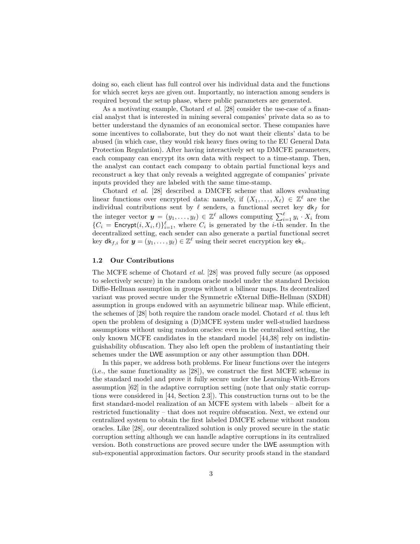doing so, each client has full control over his individual data and the functions for which secret keys are given out. Importantly, no interaction among senders is required beyond the setup phase, where public parameters are generated.

As a motivating example, Chotard *et al.* [28] consider the use-case of a financial analyst that is interested in mining several companies' private data so as to better understand the dynamics of an economical sector. These companies have some incentives to collaborate, but they do not want their clients' data to be abused (in which case, they would risk heavy fines owing to the EU General Data Protection Regulation). After having interactively set up DMCFE parameters, each company can encrypt its own data with respect to a time-stamp. Then, the analyst can contact each company to obtain partial functional keys and reconstruct a key that only reveals a weighted aggregate of companies' private inputs provided they are labeled with the same time-stamp.

Chotard *et al.* [28] described a DMCFE scheme that allows evaluating linear functions over encrypted data: namely, if  $(X_1, \ldots, X_\ell) \in \mathbb{Z}^\ell$  are the individual contributions sent by  $\ell$  senders, a functional secret key  $dk_f$  for the integer vector  $y = (y_1, \ldots, y_\ell) \in \mathbb{Z}^\ell$  allows computing  $\sum_{i=1}^\ell y_i \cdot X_i$  from  ${C_i = \text{Encrypt}(i, X_i, t)}_{i=1}^{\ell},$  where  $C_i$  is generated by the *i*-th sender. In the decentralized setting, each sender can also generate a partial functional secret key  $\mathsf{d}\mathsf{k}_{f,i}$  for  $\mathbf{y} = (y_1, \dots, y_\ell) \in \mathbb{Z}^\ell$  using their secret encryption key  $\mathsf{e}\mathsf{k}_i$ .

# **1.2 Our Contributions**

The MCFE scheme of Chotard *et al.* [28] was proved fully secure (as opposed to selectively secure) in the random oracle model under the standard Decision Diffie-Hellman assumption in groups without a bilinear maps. Its decentralized variant was proved secure under the Symmetric eXternal Diffie-Hellman (SXDH) assumption in groups endowed with an asymmetric bilinear map. While efficient, the schemes of [28] both require the random oracle model. Chotard *et al.* thus left open the problem of designing a (D)MCFE system under well-studied hardness assumptions without using random oracles: even in the centralized setting, the only known MCFE candidates in the standard model [44,38] rely on indistinguishability obfuscation. They also left open the problem of instantiating their schemes under the LWE assumption or any other assumption than DDH.

In this paper, we address both problems. For linear functions over the integers (i.e., the same functionality as [28]), we construct the first MCFE scheme in the standard model and prove it fully secure under the Learning-With-Errors assumption [62] in the adaptive corruption setting (note that only static corruptions were considered in [44, Section 2.3]). This construction turns out to be the first standard-model realization of an MCFE system with labels – albeit for a restricted functionality – that does not require obfuscation. Next, we extend our centralized system to obtain the first labeled DMCFE scheme without random oracles. Like [28], our decentralized solution is only proved secure in the static corruption setting although we can handle adaptive corruptions in its centralized version. Both constructions are proved secure under the LWE assumption with sub-exponential approximation factors. Our security proofs stand in the standard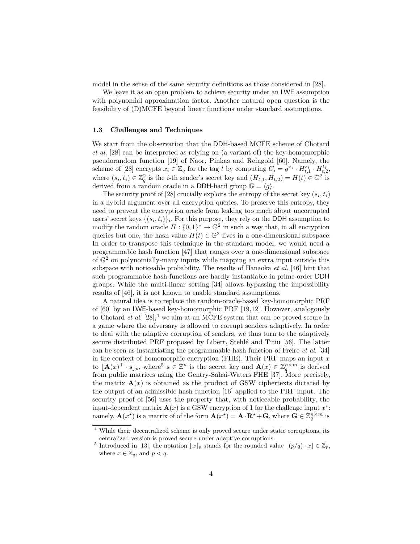model in the sense of the same security definitions as those considered in [28].

We leave it as an open problem to achieve security under an LWE assumption with polynomial approximation factor. Another natural open question is the feasibility of (D)MCFE beyond linear functions under standard assumptions.

#### **1.3 Challenges and Techniques**

We start from the observation that the DDH-based MCFE scheme of Chotard *et al.* [28] can be interpreted as relying on (a variant of) the key-homomorphic pseudorandom function [19] of Naor, Pinkas and Reingold [60]. Namely, the scheme of [28] encrypts  $x_i \in \mathbb{Z}_q$  for the tag *t* by computing  $C_i = g^{x_i} \cdot H^{s_i}_{t,1} \cdot H^{t_i}_{t,2}$ , where  $(s_i, t_i) \in \mathbb{Z}_q^2$  is the *i*-th sender's secret key and  $(H_{t,1}, H_{t,2}) = H(t) \in \mathbb{G}^2$  is derived from a random oracle in a DDH-hard group  $\mathbb{G} = \langle q \rangle$ .

The security proof of  $[28]$  crucially exploits the entropy of the secret key  $(s_i, t_i)$ in a hybrid argument over all encryption queries. To preserve this entropy, they need to prevent the encryption oracle from leaking too much about uncorrupted users' secret keys  $\{(s_i, t_i)\}_i$ . For this purpose, they rely on the DDH assumption to modify the random oracle  $H: \{0,1\}^* \to \mathbb{G}^2$  in such a way that, in all encryption queries but one, the hash value  $H(t) \in \mathbb{G}^2$  lives in a one-dimensional subspace. In order to transpose this technique in the standard model, we would need a programmable hash function [47] that ranges over a one-dimensional subspace of  $\mathbb{G}^2$  on polynomially-many inputs while mapping an extra input outside this subspace with noticeable probability. The results of Hanaoka *et al.* [46] hint that such programmable hash functions are hardly instantiable in prime-order DDH groups. While the multi-linear setting [34] allows bypassing the impossibility results of [46], it is not known to enable standard assumptions.

A natural idea is to replace the random-oracle-based key-homomorphic PRF of [60] by an LWE-based key-homomorphic PRF [19,12]. However, analogously to Chotard *et al.*  $[28]$ <sup>4</sup>, we aim at an MCFE system that can be proved secure in a game where the adversary is allowed to corrupt senders adaptively. In order to deal with the adaptive corruption of senders, we thus turn to the adaptively secure distributed PRF proposed by Libert, Stehlé and Titiu [56]. The latter can be seen as instantiating the programmable hash function of Freire *et al.* [34] in the context of homomorphic encryption (FHE). Their PRF maps an input *x* to  $[\mathbf{A}(x)]^{\top} \cdot \mathbf{s}]_p$ , where<sup>5</sup>  $\mathbf{s} \in \mathbb{Z}^n$  is the secret key and  $\mathbf{A}(x) \in \mathbb{Z}_q^{n \times m}$  is derived from public matrices using the Gentry-Sahai-Waters FHE [37]. More precisely, the matrix  $\mathbf{A}(x)$  is obtained as the product of GSW ciphertexts dictated by the output of an admissible hash function [16] applied to the PRF input. The security proof of [56] uses the property that, with noticeable probability, the input-dependent matrix  $\mathbf{A}(x)$  is a GSW encryption of 1 for the challenge input  $x^*$ : namely,  $\mathbf{A}(x^*)$  is a matrix of of the form  $\mathbf{A}(x^*) = \mathbf{A} \cdot \mathbf{R}^* + \mathbf{G}$ , where  $\mathbf{G} \in \mathbb{Z}_q^{n \times m}$  is

<sup>4</sup> While their decentralized scheme is only proved secure under static corruptions, its centralized version is proved secure under adaptive corruptions.

<sup>&</sup>lt;sup>5</sup> Introduced in [13], the notation  $|x|_p$  stands for the rounded value  $|(p/q) \cdot x| \in \mathbb{Z}_p$ , where  $x \in \mathbb{Z}_q$ , and  $p < q$ .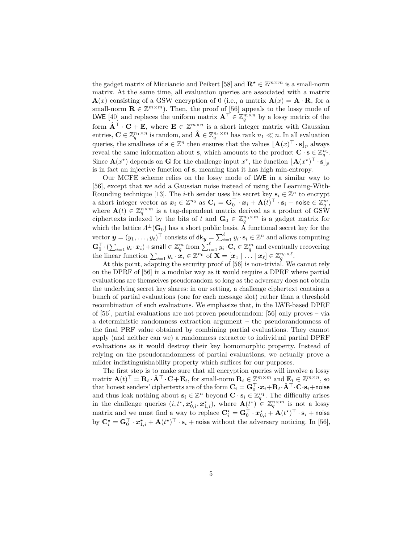the gadget matrix of Micciancio and Peikert [58] and  $\mathbf{R}^* \in \mathbb{Z}^{m \times m}$  is a small-norm matrix. At the same time, all evaluation queries are associated with a matrix  $\mathbf{A}(x)$  consisting of a GSW encryption of 0 (i.e., a matrix  $\mathbf{A}(x) = \mathbf{A} \cdot \mathbf{R}$ , for a small-norm  $\mathbf{R} \in \mathbb{Z}^{m \times m}$ ). Then, the proof of [56] appeals to the lossy mode of LWE [40] and replaces the uniform matrix  $\mathbf{A}^{\top} \in \mathbb{Z}_q^{m \times n}$  by a lossy matrix of the form  $\hat{\mathbf{A}}^{\top} \cdot \mathbf{C} + \mathbf{E}$ , where  $\mathbf{E} \in \mathbb{Z}^{m \times n}$  is a short integer matrix with Gaussian entries,  $\mathbf{C} \in \mathbb{Z}_q^{n_1 \times n}$  is random, and  $\hat{\mathbf{A}} \in \mathbb{Z}_q^{n_1 \times m}$  has rank  $n_1 \ll n$ . In all evaluation queries, the smallness of  $\mathbf{s} \in \mathbb{Z}^n$  then ensures that the values  $[\mathbf{A}(x)^\top \cdot \mathbf{s}]_p$  always reveal the same information about **s**, which amounts to the product  $\mathbf{C} \cdot \mathbf{s} \in \mathbb{Z}_q^{n_1}$ . Since  $\mathbf{A}(x^*)$  depends on **G** for the challenge input  $x^*$ , the function  $[\mathbf{A}(x^*)^\top \cdot \mathbf{s}]_p$ is in fact an injective function of **s**, meaning that it has high min-entropy.

Our MCFE scheme relies on the lossy mode of LWE in a similar way to [56], except that we add a Gaussian noise instead of using the Learning-With-Rounding technique [13]. The *i*-th sender uses his secret key  $\mathbf{s}_i \in \mathbb{Z}^n$  to encrypt a short integer vector as  $\boldsymbol{x}_i \in \mathbb{Z}^{n_0}$  as  $\mathbf{C}_i = \mathbf{G}_0^\top \cdot \boldsymbol{x}_i + \mathbf{A}(t)^\top \cdot \mathbf{s}_i + \mathsf{noise} \in \mathbb{Z}_q^m,$ where  $\mathbf{A}(t) \in \mathbb{Z}_q^{n \times m}$  is a tag-dependent matrix derived as a product of GSW ciphertexts indexed by the bits of *t* and  $\mathbf{G}_0 \in \mathbb{Z}_q^{n_0 \times m}$  is a gadget matrix for which the lattice  $\Lambda^{\perp}(\mathbf{G}_0)$  has a short public basis. A functional secret key for the vector  $\mathbf{y} = (y_1, \dots, y_\ell)^\top$  consists of  $\mathsf{d}\mathsf{k}_{\mathbf{y}} = \sum_{i=1}^\ell y_i \cdot \mathbf{s}_i \in \mathbb{Z}^n$  and allows computing  $\mathbf{G}_{0}^{\top}\cdot(\sum_{i=1}y_{i}\cdot\boldsymbol{x}_{i})+$ small  $\in\mathbb{Z}_{q}^{m}$  from  $\sum_{i=1}^{\ell}y_{i}\cdot\mathbf{C}_{i}\in\mathbb{Z}_{q}^{m}$  and eventually recovering the linear function  $\sum_{i=1} y_i \cdot \mathbf{x}_i \in \mathbb{Z}^{n_0}$  of  $\mathbf{X} = [\mathbf{x}_1 | \dots | \mathbf{x}_\ell] \in \mathbb{Z}_q^{n_0 \times \ell}$ .

At this point, adapting the security proof of [56] is non-trivial. We cannot rely on the DPRF of [56] in a modular way as it would require a DPRF where partial evaluations are themselves pseudorandom so long as the adversary does not obtain the underlying secret key shares: in our setting, a challenge ciphertext contains a bunch of partial evaluations (one for each message slot) rather than a threshold recombination of such evaluations. We emphasize that, in the LWE-based DPRF of [56], partial evaluations are not proven pseudorandom: [56] only proves – via a deterministic randomness extraction argument – the pseudorandomness of the final PRF value obtained by combining partial evaluations. They cannot apply (and neither can we) a randomness extractor to individual partial DPRF evaluations as it would destroy their key homomorphic property. Instead of relying on the pseudorandomness of partial evaluations, we actually prove a milder indistinguishability property which suffices for our purposes.

The first step is to make sure that all encryption queries will involve a lossy  $\text{matrix } \mathbf{A}(t)^\top = \mathbf{R}_t \cdot \hat{\mathbf{A}}^\top \cdot \mathbf{C} + \mathbf{E}_t$ , for small-norm  $\mathbf{R}_t \in \mathbb{Z}^{m \times m}$  and  $\mathbf{E}_t \in \mathbb{Z}^{m \times n}$ , so that honest senders' ciphertexts are of the form  $\mathbf{C}_i = \mathbf{G}_0^\top \cdot x_i + \mathbf{R}_t \cdot \hat{\mathbf{A}}^\top \cdot \mathbf{C} \cdot \mathbf{s}_i + \mathsf{noise}$ and thus leak nothing about  $\mathbf{s}_i \in \mathbb{Z}^n$  beyond  $\mathbf{C} \cdot \mathbf{s}_i \in \mathbb{Z}_q^{n_1}$ . The difficulty arises in the challenge queries  $(i, t^*, \mathbf{x}_{0,i}^*, \mathbf{x}_{1,i}^*)$ , where  $\mathbf{A}(t^*) \in \mathbb{Z}_q^{n \times m}$  is not a lossy matrix and we must find a way to replace  $\mathbf{C}^\star_i = \mathbf{G}_0^\top \cdot \boldsymbol{x}_{0,i}^\star + \mathbf{A}(t^\star)^\top \cdot \mathbf{s}_i + \mathsf{noise}$ by  $\mathbf{C}_i^{\star} = \mathbf{G}_0^{\top} \cdot \mathbf{x}_{1,i}^{\star} + \mathbf{A}(t^{\star})^{\top} \cdot \mathbf{s}_i + \text{noise without the adversary noticing. In [56],}$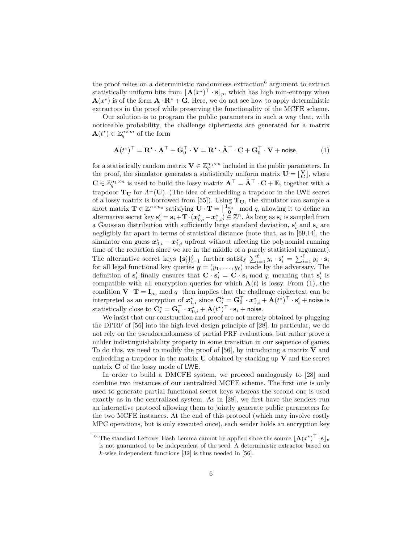the proof relies on a deterministic randomness extraction<sup>6</sup> argument to extract statistically uniform bits from  $[\mathbf{A}(x^{\star})^{\top} \cdot \mathbf{s}]_p$ , which has high min-entropy when  $\mathbf{A}(x^{\star})$  is of the form  $\mathbf{A} \cdot \mathbf{R}^{\star} + \mathbf{G}$ . Here, we do not see how to apply deterministic extractors in the proof while preserving the functionality of the MCFE scheme.

Our solution is to program the public parameters in such a way that, with noticeable probability, the challenge ciphertexts are generated for a matrix  $\mathbf{A}(t^{\star}) \in \mathbb{Z}_q^{n \times m}$  of the form

$$
\mathbf{A}(t^{\star})^{\top} = \mathbf{R}^{\star} \cdot \mathbf{A}^{\top} + \mathbf{G}_0^{\top} \cdot \mathbf{V} = \mathbf{R}^{\star} \cdot \hat{\mathbf{A}}^{\top} \cdot \mathbf{C} + \mathbf{G}_0^{\top} \cdot \mathbf{V} + \text{noise},
$$
 (1)

for a statistically random matrix  $\mathbf{V} \in \mathbb{Z}_q^{n_0 \times n}$  included in the public parameters. In the proof, the simulator generates a statistically uniform matrix  $\mathbf{U} = [\mathbf{V}_{\mathbf{C}}]$ , where  $\mathbf{C} \in \mathbb{Z}_q^{n_1 \times n}$  is used to build the lossy matrix  $\mathbf{A}^\top = \hat{\mathbf{A}}^\top \cdot \mathbf{C} + \mathbf{E}$ , together with a trapdoor  $T_U$  for  $\Lambda^{\perp}(U)$ . (The idea of embedding a trapdoor in the LWE secret of a lossy matrix is borrowed from [55]). Using  $T_U$ , the simulator can sample a short matrix  $\mathbf{T} \in \mathbb{Z}^{n \times n_0}$  satisfying  $\mathbf{U} \cdot \mathbf{T} = \begin{bmatrix} \mathbf{I}_{n_0} \\ \mathbf{0} \end{bmatrix}$  mod *q*, allowing it to define an alternative secret key  $\mathbf{s}'_i = \mathbf{s}_i + \mathbf{T} \cdot (\boldsymbol{x}^*_{0,i} - \boldsymbol{x}^*_{1,i}) \in \mathbb{Z}^n$ . As long as  $\mathbf{s}_i$  is sampled from a Gaussian distribution with sufficiently large standard deviation,  $\mathbf{s}'_i$  and  $\mathbf{s}_i$  are negligibly far apart in terms of statistical distance (note that, as in [69,14], the simulator can guess  $x_{0,i}^{\star} - x_{1,i}^{\star}$  upfront without affecting the polynomial running time of the reduction since we are in the middle of a purely statistical argument). The alternative secret keys  $\{s'_i\}_{i=1}^{\ell}$  further satisfy  $\sum_{i=1}^{\ell} y_i \cdot s'_i = \sum_{i=1}^{\ell} y_i \cdot s_i$ for all legal functional key queries  $y = (y_1, \ldots, y_\ell)$  made by the adversary. The definition of  $\mathbf{s}'_i$  finally ensures that  $\mathbf{C} \cdot \mathbf{s}'_i = \mathbf{C} \cdot \mathbf{s}_i \mod q$ , meaning that  $\mathbf{s}'_i$  is compatible with all encryption queries for which  $A(t)$  is lossy. From (1), the condition  $\mathbf{V} \cdot \mathbf{T} = \mathbf{I}_{n_0}$  mod *q* then implies that the challenge ciphertext can be interpreted as an encryption of  $x^*_{1,i}$  since  $\mathbf{C}^*_i = \mathbf{G}_0^\top \cdot x^*_{1,i} + \mathbf{A}(t^*)^\top \cdot \mathbf{s}'_i + \text{noise}$  is statistically close to  $\mathbf{C}_i^{\star} = \mathbf{G}_0^{\top} \cdot \boldsymbol{x}_{0,i}^{\star} + \mathbf{A}(t^{\star})^{\top} \cdot \mathbf{s}_i + \mathsf{noise}.$ 

We insist that our construction and proof are not merely obtained by plugging the DPRF of [56] into the high-level design principle of [28]. In particular, we do not rely on the pseudorandomness of partial PRF evaluations, but rather prove a milder indistinguishability property in some transition in our sequence of games. To do this, we need to modify the proof of [56], by introducing a matrix **V** and embedding a trapdoor in the matrix **U** obtained by stacking up **V** and the secret matrix **C** of the lossy mode of LWE.

In order to build a DMCFE system, we proceed analogously to [28] and combine two instances of our centralized MCFE scheme. The first one is only used to generate partial functional secret keys whereas the second one is used exactly as in the centralized system. As in [28], we first have the senders run an interactive protocol allowing them to jointly generate public parameters for the two MCFE instances. At the end of this protocol (which may involve costly MPC operations, but is only executed once), each sender holds an encryption key

<sup>&</sup>lt;sup>6</sup> The standard Leftover Hash Lemma cannot be applied since the source  $\mathbf{A}(x^*)^\top \cdot \mathbf{s} \rfloor_p$ is not guaranteed to be independent of the seed. A deterministic extractor based on *k*-wise independent functions [32] is thus needed in [56].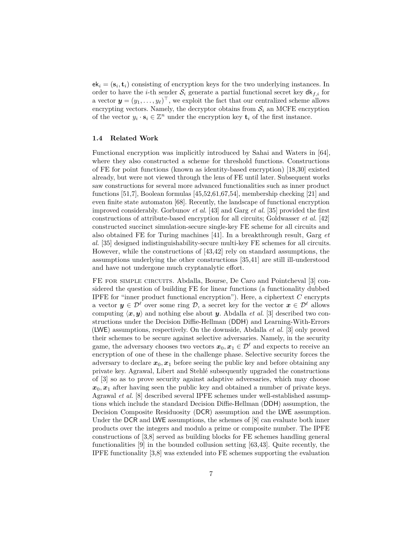$ek_i = (\mathbf{s}_i, \mathbf{t}_i)$  consisting of encryption keys for the two underlying instances. In order to have the *i*-th sender  $S_i$  generate a partial functional secret key  $dk_{f,i}$  for a vector  $\mathbf{y} = (y_1, \ldots, y_\ell)^\top$ , we exploit the fact that our centralized scheme allows encrypting vectors. Namely, the decryptor obtains from  $S_i$  an MCFE encryption of the vector  $y_i \cdot s_i \in \mathbb{Z}^n$  under the encryption key  $\mathbf{t}_i$  of the first instance.

### **1.4 Related Work**

Functional encryption was implicitly introduced by Sahai and Waters in [64], where they also constructed a scheme for threshold functions. Constructions of FE for point functions (known as identity-based encryption) [18,30] existed already, but were not viewed through the lens of FE until later. Subsequent works saw constructions for several more advanced functionalities such as inner product functions [51,7], Boolean formulas [45,52,61,67,54], membership checking [21] and even finite state automaton [68]. Recently, the landscape of functional encryption improved considerably. Gorbunov *et al.* [43] and Garg *et al.* [35] provided the first constructions of attribute-based encryption for all circuits; Goldwasser *et al.* [42] constructed succinct simulation-secure single-key FE scheme for all circuits and also obtained FE for Turing machines [41]. In a breakthrough result, Garg *et al.* [35] designed indistinguishability-secure multi-key FE schemes for all circuits. However, while the constructions of [43,42] rely on standard assumptions, the assumptions underlying the other constructions [35,41] are still ill-understood and have not undergone much cryptanalytic effort.

FE FOR SIMPLE CIRCUITS. Abdalla, Bourse, De Caro and Pointcheval [3] considered the question of building FE for linear functions (a functionality dubbed IPFE for "inner product functional encryption"). Here, a ciphertext *C* encrypts a vector  $y \in \mathcal{D}^{\ell}$  over some ring  $\mathcal{D}$ , a secret key for the vector  $x \in \mathcal{D}^{\ell}$  allows computing  $\langle x, y \rangle$  and nothing else about *y*. Abdalla *et al.* [3] described two constructions under the Decision Diffie-Hellman (DDH) and Learning-With-Errors (LWE) assumptions, respectively. On the downside, Abdalla *et al.* [3] only proved their schemes to be secure against selective adversaries. Namely, in the security game, the adversary chooses two vectors  $x_0, x_1 \in \mathcal{D}^{\ell}$  and expects to receive an encryption of one of these in the challenge phase. Selective security forces the adversary to declare  $x_0, x_1$  before seeing the public key and before obtaining any private key. Agrawal, Libert and Stehlé subsequently upgraded the constructions of [3] so as to prove security against adaptive adversaries, which may choose  $x_0, x_1$  after having seen the public key and obtained a number of private keys. Agrawal *et al.* [8] described several IPFE schemes under well-established assumptions which include the standard Decision Diffie-Hellman (DDH) assumption, the Decision Composite Residuosity (DCR) assumption and the LWE assumption. Under the DCR and LWE assumptions, the schemes of  $[8]$  can evaluate both inner products over the integers and modulo a prime or composite number. The IPFE constructions of [3,8] served as building blocks for FE schemes handling general functionalities [9] in the bounded collusion setting [63,43]. Quite recently, the IPFE functionality [3,8] was extended into FE schemes supporting the evaluation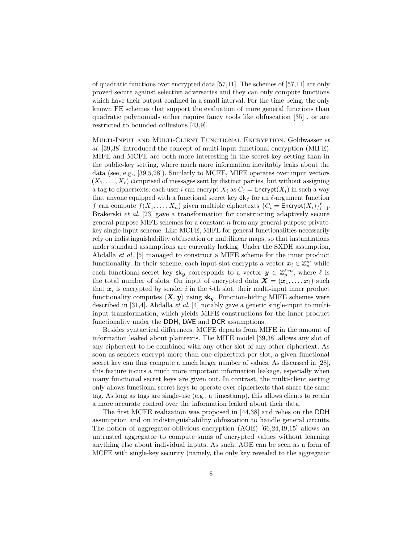of quadratic functions over encrypted data [57,11]. The schemes of [57,11] are only proved secure against selective adversaries and they can only compute functions which have their output confined in a small interval. For the time being, the only known FE schemes that support the evaluation of more general functions than quadratic polynomials either require fancy tools like obfuscation [35] , or are restricted to bounded collusions [43,9].

Multi-Input and Multi-Client Functional Encryption. Goldwasser *et al.* [39,38] introduced the concept of multi-input functional encryption (MIFE). MIFE and MCFE are both more interesting in the secret-key setting than in the public-key setting, where much more information inevitably leaks about the data (see, e.g., [39,5,28]). Similarly to MCFE, MIFE operates over input vectors  $(X_1, \ldots, X_\ell)$  comprised of messages sent by distinct parties, but without assigning a tag to ciphertexts: each user *i* can encrypt  $X_i$  as  $C_i =$  Encrypt $(X_i)$  in such a way that anyone equipped with a functional secret key  $dk_f$  for an  $\ell$ -argument function *f* can compute  $f(X_1, \ldots, X_n)$  given multiple ciphertexts  $\{C_i = \mathsf{Encrypt}(X_i)\}_{i=1}^{\ell}$ . Brakerski *et al.* [23] gave a transformation for constructing adaptively secure general-purpose MIFE schemes for a constant *n* from any general-purpose privatekey single-input scheme. Like MCFE, MIFE for general functionalities necessarily rely on indistinguishability obfuscation or multilinear maps, so that instantiations under standard assumptions are currently lacking. Under the SXDH assumption, Abdalla *et al.* [5] managed to construct a MIFE scheme for the inner product functionality. In their scheme, each input slot encrypts a vector  $x_i \in \mathbb{Z}_p^m$  while each functional secret key  $\mathsf{sk}_y$  corresponds to a vector  $y \in \mathbb{Z}_p^{\ell \cdot m}$ , where  $\ell$  is the total number of slots. On input of encrypted data  $\mathbf{X} = (\mathbf{x}_1, \dots, \mathbf{x}_\ell)$  such that  $x_i$  is encrypted by sender  $i$  in the  $i$ -th slot, their multi-input inner product functionality computes  $\langle X, y \rangle$  using  $\mathsf{sk}_y$ . Function-hiding MIFE schemes were described in [31,4]. Abdalla *et al.* [4] notably gave a generic single-input to multiinput transformation, which yields MIFE constructions for the inner product functionality under the DDH, LWE and DCR assumptions.

Besides syntactical differences, MCFE departs from MIFE in the amount of information leaked about plaintexts. The MIFE model [39,38] allows any slot of any ciphertext to be combined with any other slot of any other ciphertext. As soon as senders encrypt more than one ciphertext per slot, a given functional secret key can thus compute a much larger number of values. As discussed in [28], this feature incurs a much more important information leakage, especially when many functional secret keys are given out. In contrast, the multi-client setting only allows functional secret keys to operate over ciphertexts that share the same tag. As long as tags are single-use (e.g., a timestamp), this allows clients to retain a more accurate control over the information leaked about their data.

The first MCFE realization was proposed in [44,38] and relies on the DDH assumption and on indistinguishability obfuscation to handle general circuits. The notion of aggregator-oblivious encryption (AOE) [66,24,49,15] allows an untrusted aggregator to compute sums of encrypted values without learning anything else about individual inputs. As such, AOE can be seen as a form of MCFE with single-key security (namely, the only key revealed to the aggregator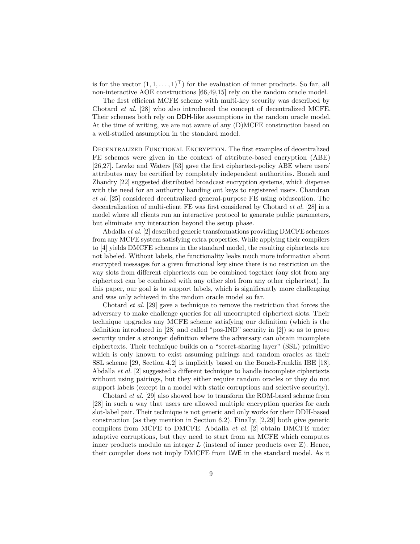is for the vector  $(1, 1, \ldots, 1)^{\top}$  for the evaluation of inner products. So far, all non-interactive AOE constructions [66,49,15] rely on the random oracle model.

The first efficient MCFE scheme with multi-key security was described by Chotard *et al.* [28] who also introduced the concept of decentralized MCFE. Their schemes both rely on DDH-like assumptions in the random oracle model. At the time of writing, we are not aware of any (D)MCFE construction based on a well-studied assumption in the standard model.

Decentralized Functional Encryption. The first examples of decentralized FE schemes were given in the context of attribute-based encryption (ABE) [26,27]. Lewko and Waters [53] gave the first ciphertext-policy ABE where users' attributes may be certified by completely independent authorities. Boneh and Zhandry [22] suggested distributed broadcast encryption systems, which dispense with the need for an authority handing out keys to registered users. Chandran *et al.* [25] considered decentralized general-purpose FE using obfuscation. The decentralization of multi-client FE was first considered by Chotard *et al.* [28] in a model where all clients run an interactive protocol to generate public parameters, but eliminate any interaction beyond the setup phase.

Abdalla *et al.* [2] described generic transformations providing DMCFE schemes from any MCFE system satisfying extra properties. While applying their compilers to [4] yields DMCFE schemes in the standard model, the resulting ciphertexts are not labeled. Without labels, the functionality leaks much more information about encrypted messages for a given functional key since there is no restriction on the way slots from different ciphertexts can be combined together (any slot from any ciphertext can be combined with any other slot from any other ciphertext). In this paper, our goal is to support labels, which is significantly more challenging and was only achieved in the random oracle model so far.

Chotard *et al.* [29] gave a technique to remove the restriction that forces the adversary to make challenge queries for all uncorrupted ciphertext slots. Their technique upgrades any MCFE scheme satisfying our definition (which is the definition introduced in [28] and called "pos-IND" security in [2]) so as to prove security under a stronger definition where the adversary can obtain incomplete ciphertexts. Their technique builds on a "secret-sharing layer" (SSL) primitive which is only known to exist assuming pairings and random oracles as their SSL scheme [29, Section 4.2] is implicitly based on the Boneh-Franklin IBE [18]. Abdalla *et al.* [2] suggested a different technique to handle incomplete ciphertexts without using pairings, but they either require random oracles or they do not support labels (except in a model with static corruptions and selective security).

Chotard *et al.* [29] also showed how to transform the ROM-based scheme from [28] in such a way that users are allowed multiple encryption queries for each slot-label pair. Their technique is not generic and only works for their DDH-based construction (as they mention in Section 6.2). Finally, [2,29] both give generic compilers from MCFE to DMCFE. Abdalla *et al.* [2] obtain DMCFE under adaptive corruptions, but they need to start from an MCFE which computes inner products modulo an integer  $L$  (instead of inner products over  $\mathbb{Z}$ ). Hence, their compiler does not imply DMCFE from LWE in the standard model. As it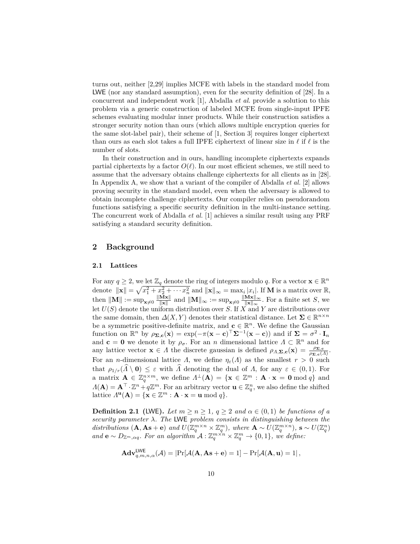turns out, neither [2,29] implies MCFE with labels in the standard model from LWE (nor any standard assumption), even for the security definition of [28]. In a concurrent and independent work [1], Abdalla *et al.* provide a solution to this problem via a generic construction of labeled MCFE from single-input IPFE schemes evaluating modular inner products. While their construction satisfies a stronger security notion than ours (which allows multiple encryption queries for the same slot-label pair), their scheme of [1, Section 3] requires longer ciphertext than ours as each slot takes a full IPFE ciphertext of linear size in  $\ell$  if  $\ell$  is the number of slots.

In their construction and in ours, handling incomplete ciphertexts expands partial ciphertexts by a factor  $O(\ell)$ . In our most efficient schemes, we still need to assume that the adversary obtains challenge ciphertexts for all clients as in [28]. In Appendix A, we show that a variant of the compiler of Abdalla *et al.* [2] allows proving security in the standard model, even when the adversary is allowed to obtain incomplete challenge ciphertexts. Our compiler relies on pseudorandom functions satisfying a specific security definition in the multi-instance setting. The concurrent work of Abdalla *et al.* [1] achieves a similar result using any PRF satisfying a standard security definition.

# **2 Background**

#### **2.1 Lattices**

For any  $q \geq 2$ , we let  $\mathbb{Z}_q$  denote the ring of integers modulo q. For a vector  $\mathbf{x} \in \mathbb{R}^n$ denote  $\|\mathbf{x}\| = \sqrt{x_1^2 + x_2^2 + \cdots x_n^2}$  and  $\|\mathbf{x}\|_{\infty} = \max_i |x_i|$ . If **M** is a matrix over R,  $\text{then } \|\mathbf{M}\| := \sup_{\mathbf{x}\neq 0} \frac{\|\mathbf{Mx}\|}{\|\mathbf{x}\|}$  $\frac{\mathbf{M} \mathbf{x} \parallel}{\|\mathbf{x}\|}$  and  $\|\mathbf{M}\|_{\infty} := \sup_{\mathbf{x} \neq 0} \frac{\|\mathbf{M} \mathbf{x}\|_{\infty}}{\|\mathbf{x}\|_{\infty}}$  $\frac{\mathbf{M} \mathbf{x} \parallel_{\infty}}{\|\mathbf{x}\|_{\infty}}$ . For a finite set *S*, we let *U*(*S*) denote the uniform distribution over *S*. If *X* and *Y* are distributions over the same domain, then  $\Delta(X, Y)$  denotes their statistical distance. Let  $\Sigma \in \mathbb{R}^{n \times n}$ be a symmetric positive-definite matrix, and  $\mathbf{c} \in \mathbb{R}^n$ . We define the Gaussian function on  $\mathbb{R}^n$  by  $\rho_{\mathbf{\Sigma,c}}(\mathbf{x}) = \exp(-\pi(\mathbf{x}-\mathbf{c})^\top \mathbf{\Sigma}^{-1}(\mathbf{x}-\mathbf{c}))$  and if  $\mathbf{\Sigma} = \sigma^2 \cdot \mathbf{I}_n$ and **c** = **0** we denote it by  $\rho_{\sigma}$ . For an *n* dimensional lattice  $\Lambda \subset \mathbb{R}^n$  and for any lattice vector  $\mathbf{x} \in \Lambda$  the discrete gaussian is defined  $\rho_{\Lambda, \Sigma, c}(\mathbf{x}) = \frac{\rho_{\Sigma, c}}{\rho_{\Sigma, c}(\Lambda)}$ . For an *n*-dimensional lattice *Λ*, we define  $\eta_{\varepsilon}(A)$  as the smallest  $r > 0$  such that  $\rho_{1/r}(\widehat{A} \setminus \mathbf{0}) \leq \varepsilon$  with  $\widehat{A}$  denoting the dual of *Λ*, for any  $\varepsilon \in (0,1)$ . For a matrix  $\mathbf{A} \in \mathbb{Z}_q^{n \times m}$ , we define  $\Lambda^{\perp}(\mathbf{A}) = {\mathbf{x} \in \mathbb{Z}^m : \mathbf{A} \cdot \mathbf{x} = \mathbf{0} \bmod q}$  and  $\Lambda(\mathbf{A}) = \mathbf{A}^{\top} \cdot \mathbb{Z}^n + q\mathbb{Z}^m$ . For an arbitrary vector  $\mathbf{u} \in \mathbb{Z}_q^n$ , we also define the shifted lattice  $\Lambda^{\mathbf{u}}(\mathbf{A}) = {\mathbf{x} \in \mathbb{Z}^m : \mathbf{A} \cdot \mathbf{x} = \mathbf{u} \bmod q}.$ 

**Definition 2.1** (LWE). Let  $m \geq n \geq 1$ ,  $q \geq 2$  and  $\alpha \in (0,1)$  be functions of a *security parameter λ. The* LWE *problem consists in distinguishing between the* distributions  $(\mathbf{A}, \mathbf{A}\mathbf{s} + \mathbf{e})$  and  $U(\mathbb{Z}_q^{m \times n} \times \mathbb{Z}_q^m)$ , where  $\mathbf{A} \sim U(\mathbb{Z}_q^{m \times n})$ ,  $\mathbf{s} \sim U(\mathbb{Z}_q^n)$ *and*  $\mathbf{e} \sim D_{\mathbb{Z}^m, \alpha q}$ *. For an algorithm*  $\mathcal{A}: \mathbb{Z}_q^{m \times n} \times \mathbb{Z}_q^m \to \{0, 1\}$ *, we define:* 

$$
\mathbf{Adv}_{q,m,n,\alpha}^{\mathsf{LWE}}(\mathcal{A}) = |\mathrm{Pr}[\mathcal{A}(\mathbf{A}, \mathbf{As} + \mathbf{e}) = 1] - \mathrm{Pr}[\mathcal{A}(\mathbf{A}, \mathbf{u}) = 1],
$$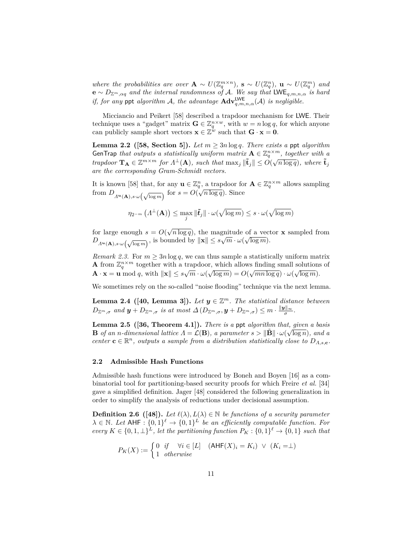*where the probabilities are over*  $\mathbf{A} \sim U(\mathbb{Z}_q^{m \times n})$ ,  $\mathbf{s} \sim U(\mathbb{Z}_q^n)$ ,  $\mathbf{u} \sim U(\mathbb{Z}_q^m)$  and **e** ∼ *D*Z*m,αq and the internal randomness of* A*. We say that* LWE*q,m,n,α is hard if, for any* ppt *algorithm* A, the advantage  $\text{Adv}_{q,m,n,\alpha}^{\text{LWE}}(\mathcal{A})$  *is negligible.* 

Micciancio and Peikert [58] described a trapdoor mechanism for LWE. Their technique uses a "gadget" matrix  $\mathbf{G} \in \mathbb{Z}_q^{n \times w}$ , with  $w = n \log q$ , for which anyone can publicly sample short vectors  $\mathbf{x} \in \mathbb{Z}^{\omega}$  such that  $\mathbf{G} \cdot \mathbf{x} = \mathbf{0}$ .

**Lemma 2.2** ([58, Section 5]). Let  $m \geq 3n \log q$ . There exists a ppt algorithm GenTrap *that outputs a statistically uniform matrix*  $\mathbf{A} \in \mathbb{Z}_q^{n \times m}$ , together with a *trapdoor*  $\mathbf{T_A} \in \mathbb{Z}^{m \times m}$  *for*  $\Lambda^{\perp}(A)$ *, such that*  $\max_j ||\tilde{\mathbf{t}}_j|| \leq O(\sqrt{n \log q})$ *, where*  $\tilde{\mathbf{t}}_j$ *are the corresponding Gram-Schmidt vectors.*

It is known [58] that, for any  $\mathbf{u} \in \mathbb{Z}_q^n$ , a trapdoor for  $\mathbf{A} \in \mathbb{Z}_q^{n \times m}$  allows sampling from  $D_{\Lambda^u(\mathbf{A}),s\cdot\omega(\sqrt{\log m})}$  for  $s = O(\sqrt{n \log q})$ . Since

$$
\eta_{2^{-m}}\left(\varLambda^{\perp}(\mathbf{A})\right) \leq \max_{j} \|\tilde{\boldsymbol{t}}_j\| \cdot \omega(\sqrt{\log m}) \leq s \cdot \omega(\sqrt{\log m})
$$

for large enough  $s = O(\sqrt{n \log q})$ , the magnitude of a vector **x** sampled from *D*<sub>*Λ*<sup>*u*</sup>(**A**)*,s*·*ω*( $\sqrt{\log m}$ ), is bounded by  $\|\mathbf{x}\| \leq s\sqrt{m} \cdot \omega(\sqrt{\log m})$ .</sub>

*Remark 2.3.* For  $m \geq 3n \log q$ , we can thus sample a statistically uniform matrix **A** from  $\mathbb{Z}_q^{n \times m}$  together with a trapdoor, which allows finding small solutions of  $\mathbf{A} \cdot \mathbf{x} = \mathbf{u} \bmod q$ , with  $\|\mathbf{x}\| \leq s\sqrt{m} \cdot \omega(\sqrt{\log m}) = O(\sqrt{mn \log q}) \cdot \omega(\sqrt{\log m})$ .

We sometimes rely on the so-called "noise flooding" technique via the next lemma.

**Lemma 2.4** ([40, Lemma 3]). Let  $y \in \mathbb{Z}^m$ . The statistical distance between  $D_{\mathbb{Z}^m, \sigma}$  and  $y + D_{\mathbb{Z}^m, \sigma}$  is at most  $\Delta(D_{\mathbb{Z}^m, \sigma}, y + D_{\mathbb{Z}^m, \sigma}) \leq m \cdot \frac{\|y\|_{\infty}}{\sigma}$ .

**Lemma 2.5** ([36, Theorem 4.1]). *There is a* ppt *algorithm that, given a basis* **B** *of an n-dimensional lattice*  $\Lambda = \mathcal{L}(\mathbf{B})$ *, a parameter*  $s > ||\mathbf{\tilde{B}}|| \cdot \omega(\sqrt{\log n})$ *, and a center*  $\mathbf{c} \in \mathbb{R}^n$ *, outputs a sample from a distribution statistically close to*  $D_{A,s,\mathbf{c}}$ *.* 

### **2.2 Admissible Hash Functions**

Admissible hash functions were introduced by Boneh and Boyen [16] as a combinatorial tool for partitioning-based security proofs for which Freire *et al.* [34] gave a simplified definition. Jager [48] considered the following generalization in order to simplify the analysis of reductions under decisional assumption.

**Definition 2.6** ([48]). Let  $\ell(\lambda), L(\lambda) \in \mathbb{N}$  be functions of a security parameter  $\lambda \in \mathbb{N}$ . Let AHF :  $\{0,1\}^{\ell} \to \{0,1\}^{\ell}$  be an efficiently computable function. For  $every K \in \{0, 1, \perp\}^L$ , let the partitioning function  $P_K: \{0, 1\}^{\ell} \to \{0, 1\}$  such that

$$
P_K(X) := \begin{cases} 0 & \text{if } \forall i \in [L] \\ 1 & \text{otherwise} \end{cases} \quad (\mathsf{AHF}(X)_i = K_i) \ \lor \ (K_i = \perp)
$$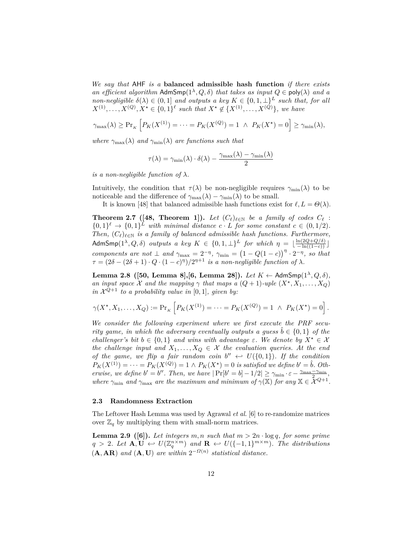*We say that* AHF *is a* **balanced admissible hash function** *if there exists an efficient algorithm* AdmSmp $(1^{\lambda}, Q, \delta)$  *that takes as input*  $Q \in \text{poly}(\lambda)$  *and a non-negligible*  $\delta(\lambda) \in (0,1]$  *and outputs a key*  $K \in \{0,1,\perp\}^L$  *such that, for all*  $X^{(1)}, \ldots, X^{(Q)}, X^* \in \{0,1\}^{\ell}$  such that  $X^* \notin \{X^{(1)}, \ldots, X^{(Q)}\}$ , we have

$$
\gamma_{\max}(\lambda) \ge \Pr_{K} \left[ P_{K}(X^{(1)}) = \dots = P_{K}(X^{(Q)}) = 1 \ \wedge \ P_{K}(X^{\star}) = 0 \right] \ge \gamma_{\min}(\lambda),
$$

*where*  $\gamma_{\text{max}}(\lambda)$  *and*  $\gamma_{\text{min}}(\lambda)$  *are functions such that* 

$$
\tau(\lambda) = \gamma_{\min}(\lambda) \cdot \delta(\lambda) - \frac{\gamma_{\max}(\lambda) - \gamma_{\min}(\lambda)}{2}
$$

*is a non-negligible function of*  $\lambda$ *.* 

Intuitively, the condition that  $\tau(\lambda)$  be non-negligible requires  $\gamma_{\min}(\lambda)$  to be noticeable and the difference of  $\gamma_{\text{max}}(\lambda) - \gamma_{\text{min}}(\lambda)$  to be small.

It is known [48] that balanced admissible hash functions exist for  $\ell, L = \Theta(\lambda)$ .

**Theorem 2.7** ([48, Theorem 1]). Let  $(C_{\ell})_{\ell \in \mathbb{N}}$  be a family of codes  $C_{\ell}$  :  $\{0,1\}^{\ell} \rightarrow \{0,1\}^L$  with minimal distance  $c \cdot L$  for some constant  $c \in (0,1/2)$ . *Then,*  $(C_{\ell})_{\ell \in \mathbb{N}}$  *is a family of balanced admissible hash functions. Furthermore,*  $\mathsf{AdmSmp}(1^\lambda,Q,\delta)$  *outputs a key*  $K \in \{0,1,\perp\}^L$  *for which*  $\eta = \lfloor \frac{\ln(2Q+Q/\delta)}{-\ln((1-c))} \rfloor$ *components are not*  $\perp$  *and*  $\gamma_{\text{max}} = 2^{-\eta}$ ,  $\gamma_{\text{min}} = (1 - Q(1 - c))^{\eta} \cdot 2^{-\eta}$ , so that  $\tau = (2\delta - (2\delta + 1) \cdot Q \cdot (1 - c)^{\eta})/2^{\eta+1}$  *is a non-negligible function of*  $\lambda$ *.* 

**Lemma 2.8 ([50, Lemma 8],[6, Lemma 28]).** *Let K* ← AdmSmp(1*<sup>λ</sup> , Q, δ*)*, an input space*  $X$  *and the mapping*  $\gamma$  *that maps a*  $(Q + 1)$ *-uple*  $(X^*, X_1, \ldots, X_Q)$ *in*  $\mathcal{X}^{Q+1}$  *to a probability value in* [0, 1]*, given by:* 

$$
\gamma(X^*, X_1, \dots, X_Q) := \Pr_{K} \left[ P_K(X^{(1)}) = \dots = P_K(X^{(Q)}) = 1 \ \wedge \ P_K(X^*) = 0 \right].
$$

*We consider the following experiment where we first execute the PRF security game, in which the adversary eventually outputs a quess*  $\ddot{b} \in \{0,1\}$  *of the challenger's bit*  $b \in \{0, 1\}$  *and wins with advantage*  $\varepsilon$ *. We denote by*  $X^* \in \mathcal{X}$ *the challenge input and*  $X_1, \ldots, X_Q \in \mathcal{X}$  *the evaluation queries. At the end of the game, we flip a fair random coin*  $b'' \leftarrow U({0,1})$ *. If the condition*  $P_K(X^{(1)}) = \cdots = P_K(X^{(Q)}) = 1 \wedge P_K(X^*) = 0$  *is satisfied we define*  $b' = \hat{b}$ *. Otherwise, we define*  $b' = b''$ . Then, we have  $|\Pr[b' = b] - 1/2| \ge \gamma_{\min} \cdot \varepsilon - \frac{\gamma_{\max} - \gamma_{\min}}{2}$ *where*  $\gamma_{\min}$  *and*  $\gamma_{\max}$  *are the maximum and minimum of*  $\gamma(\mathbb{X})$  *for any*  $\mathbb{X} \in \mathcal{X}^{Q+1}$ *.* 

### **2.3 Randomness Extraction**

The Leftover Hash Lemma was used by Agrawal *et al.* [6] to re-randomize matrices over  $\mathbb{Z}_q$  by multiplying them with small-norm matrices.

**Lemma 2.9** ([6]). Let integers  $m, n$  such that  $m > 2n \cdot \log q$ , for some prime  $q > 2$ *. Let*  $\mathbf{A}, \mathbf{U} \leftrightarrow U(\mathbb{Z}_q^{n \times m})$  and  $\mathbf{R} \leftrightarrow U(\{-1,1\}^{m \times m})$ *. The distributions*  $(A, AR)$  *and*  $(A, U)$  *are within*  $2^{-\Omega(n)}$  *statistical distance.*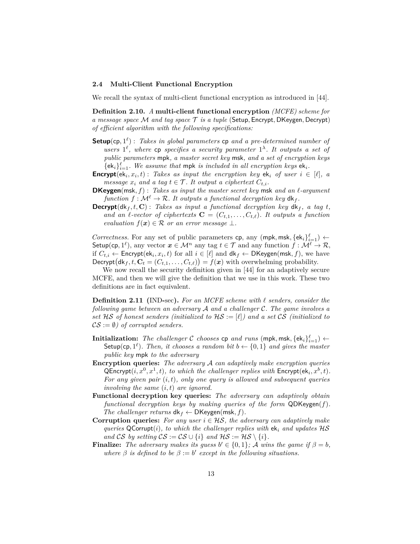#### **2.4 Multi-Client Functional Encryption**

We recall the syntax of multi-client functional encryption as introduced in [44].

**Definition 2.10.** *A* **multi-client functional encryption** *(MCFE) scheme for a message space* M *and tag space* T *is a tuple* (Setup*,* Encrypt*,* DKeygen*,* Decrypt) *of efficient algorithm with the following specifications:*

- **Setup**(cp*,* 1 *`* ) : *Takes in global parameters* cp *and a pre-determined number of users*  $1^{\ell}$ , where cp *specifies a security parameter*  $1^{\lambda}$ *. It outputs a set of public parameters* mpk*, a master secret key* msk*, and a set of encryption keys*  $\{\mathsf{ek}_i\}_{i=1}^{\ell}$ . We assume that mpk *is included in all encryption keys*  $\mathsf{ek}_i$ *.*
- **Encrypt**( $ek_i, x_i, t$ ) : *Takes as input the encryption key*  $ek_i$  *of user*  $i \in [\ell], a$ *message*  $x_i$  *and a tag*  $t \in \mathcal{T}$ *. It output a ciphertext*  $C_{t,i}$ *.*
- **DKeygen**(msk,  $f$ ) : *Takes as input the master secret key* msk *and an*  $l$ *-argument function*  $f: \mathcal{M}^{\ell} \to \mathcal{R}$ *. It outputs a functional decryption key*  $d\mathbf{k}_f$ *.*
- **Decrypt**( $dk_f, t, C$ ) : *Takes as input a functional decryption key*  $dk_f$ *, a tag t, and an*  $\ell$ -vector of ciphertexts  $\mathbf{C} = (C_{t,1}, \ldots, C_{t,\ell})$ . It outputs a function *evaluation*  $f(x) \in \mathcal{R}$  *or an error message*  $\perp$ *.*

*Correctness.* For any set of public parameters  $\mathsf{cp}$ , any  $(\mathsf{mpk}, \mathsf{msk}, \{\mathsf{ek}_i\}_{i=1}^{\ell}) \leftarrow$ Setup(cp,  $1^{\ell}$ ), any vector  $x \in \mathcal{M}^n$  any tag  $t \in \mathcal{T}$  and any function  $f : \mathcal{M}^{\ell} \to \mathcal{R}$ , if  $C_{t,i} \leftarrow$  Encrypt $(\mathsf{ek}_i, x_i, t)$  for all  $i \in [\ell]$  and  $\mathsf{dk}_f \leftarrow \mathsf{DKeygen}(\mathsf{msk}, f)$ , we have Decrypt  $(dk_f, t, C_t = (C_{t,1}, \ldots, C_{t,\ell})) = f(x)$  with overwhelming probability.

We now recall the security definition given in [44] for an adaptively secure MCFE, and then we will give the definition that we use in this work. These two definitions are in fact equivalent.

**Definition 2.11 (**IND**-**sec**).** *For an MCFE scheme with ` senders, consider the following game between an adversary* A *and a challenger* C*. The game involves a set* HS *of honest senders (initialized to* HS := [*`*]*) and a set* CS *(initialized to*  $CS := \emptyset$ *)* of corrupted senders.

- $\textbf{Initialization:} \ \ \textit{The challenge C chooses cp and runs (mpk, msk, \{ek_i\}_{i=1}^{\ell}) \leftarrow \textbf{R}(\textit{The image})$ Setup(cp,  $1^{\ell}$ ). Then, it chooses a random bit  $b \leftarrow \{0, 1\}$  and gives the master *public key* mpk *to the adversary*
- **Encryption queries:** *The adversary* A *can adaptively make encryption queries*  $\mathsf{QProperty}(i, x^0, x^1, t)$ , to which the challenger replies with  $\mathsf{Encrypt}(\mathsf{ek}_i, x^b, t)$ . *For any given pair* (*i, t*)*, only one query is allowed and subsequent queries involving the same* (*i, t*) *are ignored.*
- **Functional decryption key queries:** *The adversary can adaptively obtain functional decryption keys by making queries of the form* QDKeygen(*f*)*. The challenger returns*  $dk_f \leftarrow DKeygen(msk, f)$ *.*
- **Corruption queries:** For any user  $i \in \mathcal{HS}$ , the adversary can adaptively make *queries* QCorrupt(*i*)*, to which the challenger replies with*  $ek_i$  *and updates*  $\mathcal{H}\mathcal{S}$ *and*  $\mathcal{CS}$  *by setting*  $\mathcal{CS} := \mathcal{CS} \cup \{i\}$  *and*  $\mathcal{HS} := \mathcal{HS} \setminus \{i\}.$
- **Finalize:** *The adversary makes its guess*  $b' \in \{0, 1\}$ ; *A wins the game if*  $\beta = b$ , where  $\beta$  *is defined to be*  $\beta := b'$  *except in the following situations.*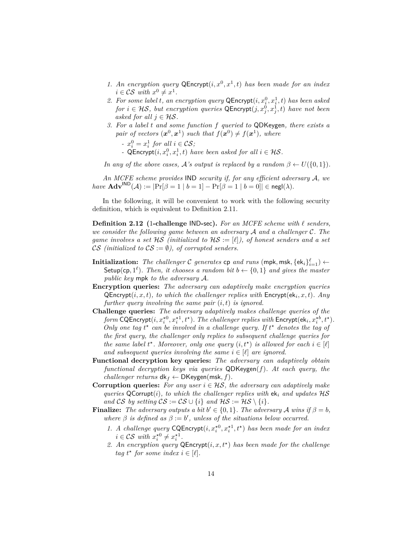- 1. An encryption query  $\mathsf{QProperty}(i, x^0, x^1, t)$  has been made for an index  $i \in \mathcal{CS}$  *with*  $x^0 \neq x^1$ *.*
- 2. For some label *t*, an encryption query  $\mathsf{QProperty}(i, x_i^0, x_i^1, t)$  has been asked *for*  $i \in \mathcal{HS}$ , but encryption queries  $\mathsf{QProperty}(j, x_j^0, x_j^1, t)$  have not been *asked for all*  $j \in \mathcal{HS}$ .
- *3. For a label t and some function f queried to* QDKeygen*, there exists a* pair of vectors  $(x^0, x^1)$  such that  $f(x^0) \neq f(x^1)$ , where

*-*  $x_i^0 = x_i^1$  for all  $i \in \mathcal{CS}$ ;

*-* QEncrypt $(i, x_i^0, x_i^1, t)$  *have been asked for all*  $i \in \mathcal{HS}$ *.* 

*In any of the above cases,*  $\mathcal{A}$ 's *output is replaced by a random*  $\beta \leftarrow U(\{0,1\})$ *.* 

*An MCFE scheme provides* IND *security if, for any efficient adversary* A*, we*  $have \text{ Adv}^{\text{IND}}(\mathcal{A}) := |\Pr[\beta = 1 | b = 1] - \Pr[\beta = 1 | b = 0]| \in \text{negl}(\lambda).$ 

In the following, it will be convenient to work with the following security definition, which is equivalent to Definition 2.11.

**Definition 2.12 (**1**-challenge** IND**-**sec**).** *For an MCFE scheme with ` senders, we consider the following game between an adversary* A *and a challenger* C*. The game involves a set*  $HS$  *(initialized to*  $HS := [\ell]$ *), of honest senders and a set* CS (initialized to  $CS := \emptyset$ ), of corrupted senders.

- $\textbf{Initialization:} \ \ \textit{The challenge C generates \textbf{cp} \ \textit{and} \ \textit{runs} \ (\textsf{mpk}, \textsf{msk}, \{\textsf{ek}_i\}_{i=1}^\ell) \leftarrow$ Setup(cp,  $1^{\ell}$ ). Then, it chooses a random bit  $b \leftarrow \{0, 1\}$  and gives the master *public key* mpk *to the adversary* A*.*
- **Encryption queries:** *The adversary can adaptively make encryption queries*  $\mathsf{QProperty}(i, x, t)$ *, to which the challenger replies with*  $\mathsf{Encrypt}(\mathsf{ek}_i, x, t)$ *. Any further query involving the same pair* (*i, t*) *is ignored.*
- **Challenge queries:** *The adversary adaptively makes challenge queries of the form* CQEncrypt $(i, x_i^{*0}, x_i^{*1}, t^{\star})$ *. The challenger replies with* Encrypt $(\mathsf{ek}_i, x_i^{*b}, t^{\star})$ *.* Only one tag  $t^*$  can be involved in a challenge query. If  $t^*$  denotes the tag of *the first query, the challenger only replies to subsequent challenge queries for the same label*  $t^*$ *. Moreover, only one query*  $(i, t^*)$  *is allowed for each*  $i \in [\ell]$ *and subsequent queries involving the same*  $i \in [\ell]$  *are ignored.*
- **Functional decryption key queries:** *The adversary can adaptively obtain functional decryption keys via queries* QDKeygen(*f*)*. At each query, the challenger returns*  $dk_f \leftarrow \text{DKeygen}(\text{msk}, f)$ *.*
- **Corruption queries:** *For any user*  $i \in \mathcal{HS}$ *, the adversary can adaptively make queries*  $Q$ Corrupt(*i*)*, to which the challenger replies with*  $ek_i$  *and updates*  $HS$ *and* CS *by setting*  $CS := CS \cup \{i\}$  *and*  $HS := HS \setminus \{i\}$ *.*
- **Finalize:** *The adversary outputs a bit*  $b' \in \{0, 1\}$ *. The adversary A wins* if  $\beta = b$ *, where*  $\beta$  *is defined as*  $\beta := b'$ , *unless of the situations below occurred.* 
	- 1. *A challenge query* CQEncrypt $(i, x_i^{\star 0}, x_i^{\star 1}, t^{\star})$  *has been made for an index*  $i \in \mathcal{CS}$  *with*  $x_i^{\star 0} \neq x_i^{\star 1}$ .
	- *2. An encryption query* QEncrypt(*i, x, t?* ) *has been made for the challenge tag*  $t^*$  *for some index*  $i \in [\ell]$ *.*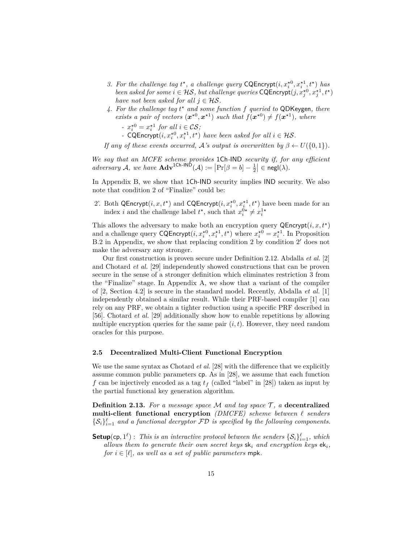- 3. For the challenge tag  $t^*$ , a challenge query  $\text{CQProperty}(i, x_i^{*0}, x_i^{*1}, t^*)$  has *been asked for some*  $i \in \mathcal{HS}$ , *but challenge queries*  $\mathsf{CQEncrypt}(j, x_j^{*0}, x_j^{*1}, t^*)$ *have not been asked for all*  $j \in \mathcal{HS}$ .
- *4. For the challenge tag t ? and some function f queried to* QDKeygen*, there exists a pair of vectors*  $(x^{*0}, x^{*1})$  *such that*  $f(x^{*0}) \neq f(x^{*1})$ *, where*

*-*  $x_i^{\star 0} = x_i^{\star 1}$  for all  $i \in \mathcal{CS}$ ;

*-* CQEncrypt $(i, x_i^{*0}, x_i^{*1}, t^*)$  *have been asked for all*  $i \in \mathcal{HS}$ *.* 

*If any of these events occurred,*  $\mathcal{A}$ *'s output is overwritten by*  $\beta \leftarrow U(\{0,1\})$ *.* 

*We say that an MCFE scheme provides* 1Ch*-*IND *security if, for any efficient*  $adversary \mathcal{A}$ , we have  $\mathbf{Adv}^{\mathsf{1Ch-IND}}(\mathcal{A}) := |\Pr[\beta = b] - \frac{1}{2}| \in \mathsf{negl}(\lambda)$ .

In Appendix B, we show that  $1$ Ch-IND security implies IND security. We also note that condition 2 of "Finalize" could be:

2'. Both QEncrypt $(i, x, t^*)$  and CQEncrypt $(i, x_i^{*0}, x_i^{*1}, t^*)$  have been made for an index *i* and the challenge label  $t^*$ , such that  $x_i^{0*} \neq x_i^{1*}$ 

This allows the adversary to make both an encryption query  $\mathsf{QProperty}(i, x, t^*)$ and a challenge query  $\text{CQProperty}(i, x_i^{\star 0}, x_i^{\star 1}, t^{\star})$  where  $x_i^{\star 0} = x_i^{\star 1}$ . In Proposition B.2 in Appendix, we show that replacing condition 2 by condition 2' does not make the adversary any stronger.

Our first construction is proven secure under Definition 2.12. Abdalla *et al.* [2] and Chotard *et al.* [29] independently showed constructions that can be proven secure in the sense of a stronger definition which eliminates restriction 3 from the "Finalize" stage. In Appendix A, we show that a variant of the compiler of [2, Section 4.2] is secure in the standard model. Recently, Abdalla *et al.* [1] independently obtained a similar result. While their PRF-based compiler [1] can rely on any PRF, we obtain a tighter reduction using a specific PRF described in [56]. Chotard *et al.* [29] additionally show how to enable repetitions by allowing multiple encryption queries for the same pair  $(i, t)$ . However, they need random oracles for this purpose.

#### **2.5 Decentralized Multi-Client Functional Encryption**

We use the same syntax as Chotard *et al.* [28] with the difference that we explicitly assume common public parameters cp. As in [28], we assume that each function *f* can be injectively encoded as a tag *t<sup>f</sup>* (called "label" in [28]) taken as input by the partial functional key generation algorithm.

**Definition 2.13.** For a message space  $M$  and tag space  $T$ , a decentralized **multi-client functional encryption**  $(DMCFE)$  scheme between  $\ell$  senders  $\{S_i\}_{i=1}^{\ell}$  and a functional decryptor  $\mathcal{FD}$  is specified by the following components.

**Setup**(cp,  $1^{\ell}$ ): *This is an interactive protocol between the senders*  $\{S_i\}_{i=1}^{\ell}$ *, which allows them to generate their own secret keys* sk*<sup>i</sup> and encryption keys* ek*i, for*  $i \in [\ell]$ *, as well as a set of public parameters* mpk.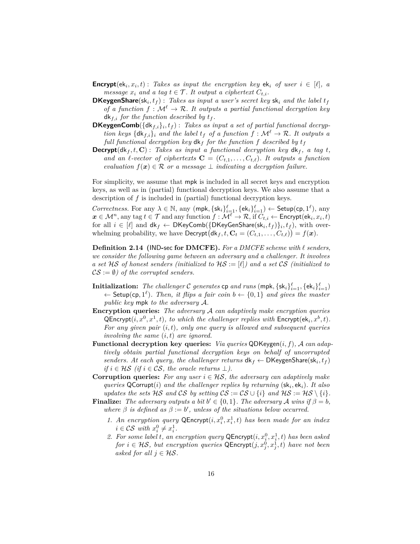- **Encrypt**( $ek_i, x_i, t$ ) : *Takes as input the encryption key*  $ek_i$  *of user*  $i \in [\ell], a$ *message*  $x_i$  *and a tag*  $t \in \mathcal{T}$ *. It output a ciphertext*  $C_{t,i}$ *.*
- **DKeygenShare**(sk*<sup>i</sup> , t<sup>f</sup>* ) : *Takes as input a user's secret key* sk*<sup>i</sup> and the label t<sup>f</sup> of a function*  $f : \mathcal{M}^{\ell} \to \mathcal{R}$ *. It outputs a partial functional decryption key*  $dk_{f,i}$  *for the function described by*  $t_f$ *.*
- **DKeygenComb**( $\{dk_{f,i}\}_i, t_f$ ): Takes as input a set of partial functional decryp*tion keys*  $\{dk_{f,i}\}_i$  *and the label*  $t_f$  *of a function*  $f : \mathcal{M}^{\ell} \to \mathcal{R}$ *. It outputs a full functional decryption key*  $d$ **k**<sub>*f*</sub> *for the function f described by*  $t_f$
- **Decrypt**( $d$ k<sub>f</sub>, *t*, **C**) : *Takes as input a functional decryption key*  $d$ k<sub>f</sub>, *a tag t*, *and an l-vector of ciphertexts*  $\mathbf{C} = (C_{t,1}, \ldots, C_{t,\ell})$ *. It outputs a function evaluation*  $f(x) \in \mathcal{R}$  *or a message*  $\perp$  *indicating a decryption failure.*

For simplicity, we assume that mpk is included in all secret keys and encryption keys, as well as in (partial) functional decryption keys. We also assume that a description of *f* is included in (partial) functional decryption keys.

 $Correctness$ . For any  $\lambda \in \mathbb{N}$ , any  $(\textsf{mpk}, \{\textsf{sk}_i\}_{i=1}^{\ell}, \{\textsf{ek}_i\}_{i=1}^{\ell}) \leftarrow \textsf{Setup}(\textsf{cp}, 1^{\ell})$ , any  $\bm{x} \in \mathcal{M}^n,$  any tag  $t \in \mathcal{T}$  and any function  $f: \mathcal{M}^\ell \to \mathcal{R},$  if  $C_{t,i} \leftarrow \mathsf{Encrypt}(\mathsf{ek}_i, x_i, t)$ for all  $i \in [\ell]$  and  $dk_f \leftarrow \mathsf{DKeyComb}(\{\mathsf{DKeyGenShare}(sk_i, t_f)\}_i, t_f)$ , with overwhelming probability, we have  $\textsf{Decrypt}(\textsf{dk}_f, t, \mathbf{C}_t = (C_{t,1}, \ldots, C_{t,\ell})) = f(\boldsymbol{x}).$ 

**Definition 2.14 (**IND**-**sec **for DMCFE).** *For a DMCFE scheme with ` senders, we consider the following game between an adversary and a challenger. It involves a set* HS *of honest senders (initialized to* HS := [*`*]*) and a set* CS *(initialized to*  $CS := \emptyset$ *)* of the corrupted senders.

- **Initialization:** The challenger  $C$  generates  $\mathsf{cp}$  and  $\mathsf{runs}$  (mpk,  $\{\mathsf{sk}_i\}_{i=1}^\ell, \{\mathsf{ek}_i\}_{i=1}^\ell)$  $\leftarrow$  Setup(cp, 1<sup> $\ell$ </sup>). Then, it flips a fair coin  $b \leftarrow \{0, 1\}$  and gives the master *public key* mpk *to the adversary* A*.*
- **Encryption queries:** *The adversary* A *can adaptively make encryption queries*  $\mathsf{QProperty}(i, x^0, x^1, t)$ , to which the challenger replies with  $\mathsf{Encrypt}(\mathsf{ek}_i, x^b, t)$ . *For any given pair* (*i, t*)*, only one query is allowed and subsequent queries involving the same* (*i, t*) *are ignored.*
- **Functional decryption key queries:** *Via queries* QDKeygen(*i, f*)*,* A *can adaptively obtain partial functional decryption keys on behalf of uncorrupted senders. At each query, the challenger returns*  $dk_f \leftarrow \text{DKeygenShare}(sk_i, t_f)$ *if*  $i \in \mathcal{HS}$  (*if*  $i \in \mathcal{CS}$ , the oracle returns  $\perp$ ).
- **Corruption queries:** *For any user*  $i \in \mathcal{HS}$ , *the adversary can adaptively make queries* QCorrupt(*i*) *and the challenger replies by returning* (sk*<sup>i</sup> ,* ek*i*)*. It also updates the sets* HS *and* CS *by setting*  $CS := CS \cup \{i\}$  *and*  $HS := HS \setminus \{i\}$ *.*
- **Finalize:** *The adversary outputs a bit*  $b' \in \{0, 1\}$ *. The adversary A wins* if  $\beta = b$ *, where*  $\beta$  *is defined as*  $\beta := b'$ , *unless of the situations below occurred.* 
	- *1. An encryption query*  $\mathsf{QProperty}(i, x_i^0, x_i^1, t)$  *has been made for an index*  $i \in \mathcal{CS}$  *with*  $x_i^0 \neq x_i^1$ .
	- 2. For some label *t*, an encryption query  $\mathsf{QProperty}(i, x_i^0, x_i^1, t)$  has been asked *for*  $i \in \mathcal{HS}$ , but encryption queries  $\mathsf{QProperty}(j, x_j^0, x_j^1, t)$  have not been *asked for all*  $j \in \mathcal{HS}$ .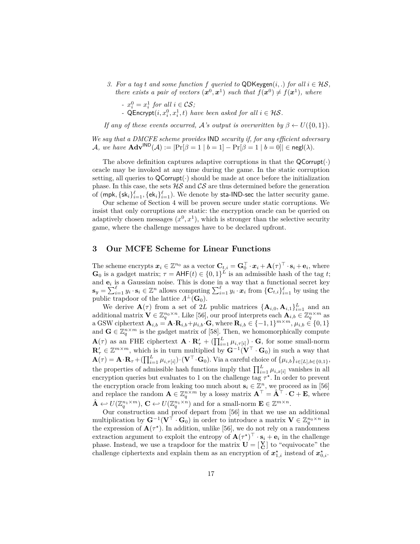*3. For a tag t and some function*  $f$  *queried to*  $QDKeygen(i,.)$  *for all*  $i \in \mathcal{HS}$ *, there exists a pair of vectors*  $(x^0, x^1)$  *such that*  $f(x^0) \neq f(x^1)$ *, where* 

*-*  $x_i^0 = x_i^1$  for all  $i \in \mathcal{CS}$ ; *-*  $\mathsf{QProperty}(i, x_i^0, x_i^1, t)$  *have been asked for all*  $i \in \mathcal{HS}$ *.* 

*If any of these events occurred,* A's *output is overwritten by*  $\beta \leftarrow U(\{0,1\})$ *.* 

*We say that a DMCFE scheme provides* IND *security if, for any efficient adversary* A, we have  $\mathbf{Adv}^{\mathsf{IND}}(\mathcal{A}) := |\Pr[\beta = 1 \mid b = 1] - \Pr[\beta = 1 \mid b = 0]| \in \mathsf{negl}(\lambda).$ 

The above definition captures adaptive corruptions in that the  $\mathsf{QCorrupt}(\cdot)$ oracle may be invoked at any time during the game. In the static corruption setting, all queries to  $QCorrupt(\cdot)$  should be made at once before the initialization phase. In this case, the sets  $H\mathcal{S}$  and  $\mathcal{CS}$  are thus determined before the generation of  $(\textsf{mpk}, \{ \textsf{sk}_i \}_{i=1}^\ell, \{ \textsf{ek}_i \}_{i=1}^\ell)$ . We denote by sta-IND-sec the latter security game.

Our scheme of Section 4 will be proven secure under static corruptions. We insist that only corruptions are static: the encryption oracle can be queried on adaptively chosen messages  $(x^0, x^1)$ , which is stronger than the selective security game, where the challenge messages have to be declared upfront.

# **3 Our MCFE Scheme for Linear Functions**

The scheme encrypts  $x_i \in \mathbb{Z}^{n_0}$  as a vector  $\mathbf{C}_{t,i} = \mathbf{G}_0^\top \cdot x_i + \mathbf{A}(\tau)^\top \cdot \mathbf{s}_i + \mathbf{e}_i$ , where  $\mathbf{G}_0$  is a gadget matrix;  $\tau = \mathsf{AHF}(t) \in \{0,1\}^L$  is an admissible hash of the tag *t*; and  $e_i$  is a Gaussian noise. This is done in a way that a functional secret key  $\mathbf{s}_y = \sum_{i=1}^{\ell} y_i \cdot \mathbf{s}_i \in \mathbb{Z}^n$  allows computing  $\sum_{i=1}^{\ell} y_i \cdot x_i$  from  $\{\mathbf{C}_{t,i}\}_{i=1}^{\ell}$  by using the public trapdoor of the lattice  $\Lambda^{\perp}(\mathbf{G}_0)$ .

We derive  $\mathbf{A}(\tau)$  from a set of 2*L* public matrices  $\{\mathbf{A}_{i,0}, \mathbf{A}_{i,1}\}_{i=1}^L$  and an additional matrix  $\mathbf{V} \in \mathbb{Z}_q^{n_0 \times n}$ . Like [56], our proof interprets each  $\mathbf{A}_{i,b} \in \mathbb{Z}_q^{n \times m}$  as a GSW ciphertext  $\mathbf{A}_{i,b} = \mathbf{A} \cdot \mathbf{R}_{i,b} + \mu_{i,b} \cdot \mathbf{G}$ , where  $\mathbf{R}_{i,b} \in \{-1,1\}^{m \times m}, \mu_{i,b} \in \{0,1\}$ and  $\mathbf{G} \in \mathbb{Z}_q^{n \times m}$  is the gadget matrix of [58]. Then, we homomorphically compute  $\mathbf{A}(\tau)$  as an FHE ciphertext  $\mathbf{A} \cdot \mathbf{R}'_{\tau} + (\prod_{i=1}^{L} \mu_{i,\tau[i]}) \cdot \mathbf{G}$ , for some small-norm  $\mathbf{R}'_7 \in \mathbb{Z}^{m \times m}$ , which is in turn multiplied by  $\mathbf{G}^{-1}(\mathbf{V}^{\top} \cdot \mathbf{G}_0)$  in such a way that  $\mathbf{A}(\tau) = \mathbf{A} \cdot \mathbf{R}_{\tau} + (\prod_{i=1}^{L} \mu_{i,\tau[i]}) \cdot (\mathbf{V}^{\top} \cdot \mathbf{G}_{0}).$  Via a careful choice of  $\{\mu_{i,b}\}_{i \in [L], b \in \{0,1\}},$ the properties of admissible hash functions imply that  $\prod_{i=1}^{L} \mu_{i,x[i]}$  vanishes in all encryption queries but evaluates to 1 on the challenge tag  $\tau^*$ . In order to prevent the encryption oracle from leaking too much about  $\mathbf{s}_i \in \mathbb{Z}^n$ , we proceed as in [56] and replace the random  $\mathbf{A} \in \mathbb{Z}_q^{n \times m}$  by a lossy matrix  $\mathbf{A}^\top = \hat{\mathbf{A}}^\top \cdot \mathbf{C} + \mathbf{E}$ , where  $\hat{\mathbf{A}} \leftarrow U(\mathbb{Z}_q^{n_1 \times m}), \mathbf{C} \leftarrow U(\mathbb{Z}_q^{n_1 \times n})$  and for a small-norm  $\mathbf{E} \in \mathbb{Z}^{m \times n}$ .

Our construction and proof depart from [56] in that we use an additional multiplication by  $G^{-1}(V^{\top} \cdot G_0)$  in order to introduce a matrix  $V \in \mathbb{Z}_q^{n_0 \times n}$  in the expression of  $\mathbf{A}(\tau^*)$ . In addition, unlike [56], we do not rely on a randomness extraction argument to exploit the entropy of  $\mathbf{A}(\tau^*)^\top \cdot \mathbf{s}_i + \mathbf{e}_i$  in the challenge phase. Instead, we use a trapdoor for the matrix  $\mathbf{U} = \begin{bmatrix} \mathbf{V} \\ \mathbf{C} \end{bmatrix}$  to "equivocate" the challenge ciphertexts and explain them as an encryption of  $x^*_{1,i}$  instead of  $x^*_{0,i}$ .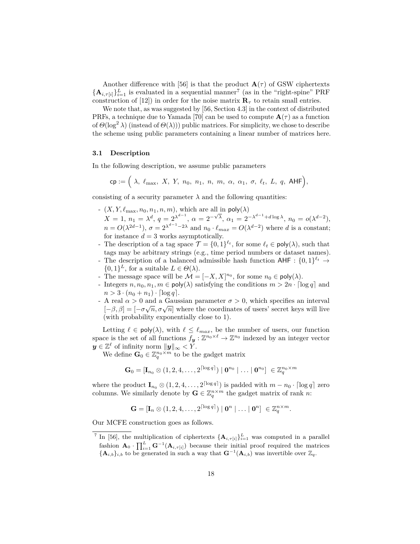Another difference with [56] is that the product  $\mathbf{A}(\tau)$  of GSW ciphertexts  ${\mathbf A}_{i,\tau[i]}_{i=1}^L$  is evaluated in a sequential manner<sup>7</sup> (as in the "right-spine" PRF construction of [12]) in order for the noise matrix  $\mathbf{R}_{\tau}$  to retain small entries.

We note that, as was suggested by [56, Section 4.3] in the context of distributed PRFs, a technique due to Yamada [70] can be used to compute  $\mathbf{A}(\tau)$  as a function of  $\Theta(\log^2 \lambda)$  (instead of  $\Theta(\lambda)$ )) public matrices. For simplicity, we chose to describe the scheme using public parameters containing a linear number of matrices here.

### **3.1 Description**

In the following description, we assume public parameters

$$
cp := \Big(\ \lambda, \ \ell_{\max}, \ X, \ Y, \ n_0, \ n_1, \ n, \ m, \ \alpha, \ \alpha_1, \ \sigma, \ \ell_t, \ L, \ q, \ \mathsf{AHF}\Big),
$$

consisting of a security parameter  $\lambda$  and the following quantities:

- $(X, Y, \ell_{\max}, n_0, n_1, n, m)$ , which are all in  $\text{poly}(\lambda)$
- $X = 1, n_1 = \lambda^d, q = 2^{\lambda^{d-1}}, \alpha = 2^{-\sqrt{\lambda}}, \alpha_1 = 2^{-\lambda^{d-1}+d\log\lambda}, n_0 = o(\lambda^{d-2}),$  $n = O(\lambda^{2d-1}), \sigma = 2^{\lambda^{d-1}-2\lambda}$  and  $n_0 \cdot \ell_{max} = O(\lambda^{d-2})$  where *d* is a constant; for instance  $d = 3$  works asymptotically.
- The description of a tag space  $\mathcal{T} = \{0,1\}^{\ell_t}$ , for some  $\ell_t \in \text{poly}(\lambda)$ , such that tags may be arbitrary strings (e.g., time period numbers or dataset names). - The description of a balanced admissible hash function  $\text{AHF}: \{0,1\}^{\ell_t} \rightarrow$  $\{0,1\}^L$ , for a suitable  $L \in \Theta(\lambda)$ .
- The message space will be  $\mathcal{M} = [-X, X]^{n_0}$ , for some  $n_0 \in \text{poly}(\lambda)$ .
- Integers  $n, n_0, n_1, m \in \text{poly}(\lambda)$  satisfying the conditions  $m > 2n \cdot \lceil \log q \rceil$  and  $n > 3 \cdot (n_0 + n_1) \cdot \lfloor \log q \rfloor$ .
- A real *α >* 0 and a Gaussian parameter *σ >* 0, which specifies an interval √  $[-\beta, \beta] = [-\sigma\sqrt{n}, \sigma\sqrt{n}]$  where the coordinates of users' secret keys will live (with probability exponentially close to 1).

Letting  $\ell \in \text{poly}(\lambda)$ , with  $\ell \leq \ell_{max}$ , be the number of users, our function space is the set of all functions  $f_y : \mathbb{Z}^{n_0 \times \ell} \to \mathbb{Z}^{n_0}$  indexed by an integer vector  $y \in \mathbb{Z}^{\ell}$  of infinity norm  $||y||_{\infty} < Y$ .

We define  $\mathbf{G}_0 \in \mathbb{Z}_q^{n_0 \times m}$  to be the gadget matrix

$$
\mathbf{G}_0 = [\mathbf{I}_{n_0} \otimes (1, 2, 4, \dots, 2^{\lceil \log q \rceil}) \mid \mathbf{0}^{n_0} \mid \dots \mid \mathbf{0}^{n_0} \rceil \in \mathbb{Z}_q^{n_0 \times m}
$$

where the product  $\mathbf{I}_{n_0} \otimes (1, 2, 4, \ldots, 2^{\lceil \log q \rceil})$  is padded with  $m - n_0 \cdot \lceil \log q \rceil$  zero columns. We similarly denote by  $\mathbf{G} \in \mathbb{Z}_q^{n \times m}$  the gadget matrix of rank *n*:

$$
\mathbf{G} = [\mathbf{I}_n \otimes (1, 2, 4, \dots, 2^{\lceil \log q \rceil}) \mid \mathbf{0}^n \mid \dots \mid \mathbf{0}^n] \in \mathbb{Z}_q^{n \times m}.
$$

Our MCFE construction goes as follows.

<sup>&</sup>lt;sup>7</sup> In [56], the multiplication of ciphertexts  $\{\mathbf{A}_{i,\tau[i]}\}_{i=1}^L$  was computed in a parallel fashion  $\mathbf{A}_0 \cdot \prod_{i=1}^L \mathbf{G}^{-1}(\mathbf{A}_{i,\tau[i]})$  because their initial proof required the matrices  ${\bf\{A}_{i,b}\}_i$  to be generated in such a way that  ${\bf G}^{-1}({\bf A}_{i,b})$  was invertible over  $\mathbb{Z}_q$ .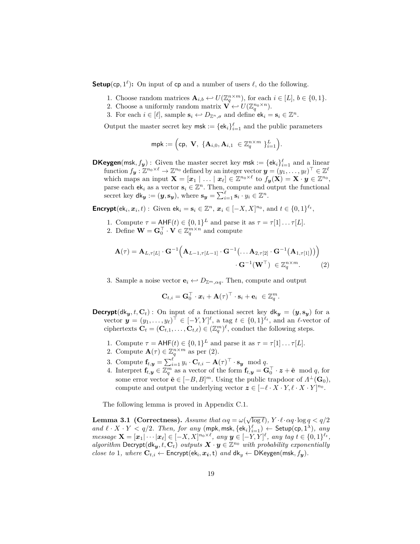**Setup**(cp,  $1^{\ell}$ ): On input of cp and a number of users  $\ell$ , do the following.

- 1. Choose random matrices  $\mathbf{A}_{i,b} \leftarrow U(\mathbb{Z}_q^{n \times m})$ , for each  $i \in [L], b \in \{0,1\}$ .
- 2. Choose a uniformly random matrix  $\mathbf{V} \leftrightarrow U(\mathbb{Z}_q^{n_0 \times n})$ .
- 3. For each  $i \in [\ell]$ , sample  $\mathbf{s}_i \leftarrow D_{\mathbb{Z}^n, \sigma}$  and define  $\mathbf{e} \mathbf{k}_i = \mathbf{s}_i \in \mathbb{Z}^n$ .

Output the master secret key  $msk := \{ek_i\}_{i=1}^{\ell}$  and the public parameters

$$
\mathsf{mpk} := \Big(\mathsf{cp}, \ \mathbf{V}, \ \{\mathbf{A}_{i,0}, \mathbf{A}_{i,1} \ \in \mathbb{Z}_q^{n \times m} \ \}_{i=1}^L\Big).
$$

**DKeygen**(msk,  $f_y$ ): Given the master secret key msk := { $ek_i$ } ${}_{i=1}^{\ell}$  and a linear  $\text{function } f_{\boldsymbol{y}} : \mathbb{Z}^{n_0 \times \ell} \to \mathbb{Z}^{n_0} \text{ defined by an integer vector } \boldsymbol{y} = (y_1, \ldots, y_\ell)^\top \in \mathbb{Z}^\ell$ which maps an input  $\mathbf{X} = [\mathbf{x}_1 | \dots | \mathbf{x}_\ell] \in \mathbb{Z}^{n_0 \times \ell}$  to  $f_{\mathbf{y}}(\mathbf{X}) = \mathbf{X} \cdot \mathbf{y} \in \mathbb{Z}^{n_0}$ , parse each  $ek_i$  as a vector  $s_i \in \mathbb{Z}^n$ . Then, compute and output the functional secret key  $d\mathbf{k}_y := (\mathbf{y}, \mathbf{s}_y)$ , where  $\mathbf{s}_y = \sum_{i=1}^{\ell} \mathbf{s}_i \cdot y_i \in \mathbb{Z}^n$ .

**Encrypt** $(e^{k_i}, x_i, t)$ : Given  $e^{k_i} = s_i \in \mathbb{Z}^n$ ,  $x_i \in [-X, X]^{n_0}$ , and  $t \in \{0, 1\}^{\ell_t}$ ,

- 1. Compute  $\tau = \text{AHF}(t) \in \{0,1\}^L$  and parse it as  $\tau = \tau[1] \dots \tau[L]$ .
- 2. Define  $\mathbf{W} = \mathbf{G}_0^{\top} \cdot \mathbf{V} \in \mathbb{Z}_q^{m \times n}$  and compute

$$
\mathbf{A}(\tau) = \mathbf{A}_{L,\tau[L]} \cdot \mathbf{G}^{-1} \Big( \mathbf{A}_{L-1,\tau[L-1]} \cdot \mathbf{G}^{-1} \big( \dots \mathbf{A}_{2,\tau[2]} \cdot \mathbf{G}^{-1} \big( \mathbf{A}_{1,\tau[1]} \big) \big) \Big) \cdot \mathbf{G}^{-1} \big( \mathbf{W}^{\top} \big) \in \mathbb{Z}_q^{n \times m}.
$$
 (2)

3. Sample a noise vector  $\mathbf{e}_i \leftrightarrow D_{\mathbb{Z}^m, \alpha q}$ . Then, compute and output

$$
\mathbf{C}_{t,i} = \mathbf{G}_0^{\top} \cdot \boldsymbol{x}_i + \mathbf{A}(\tau)^{\top} \cdot \mathbf{s}_i + \mathbf{e}_i \ \in \mathbb{Z}_q^m
$$

*.*

**Decrypt**( $dk_y, t, C_t$ ): On input of a functional secret key  $dk_y = (y, s_y)$  for a vector  $\mathbf{y} = (y_1, \ldots, y_\ell)^\top \in [-Y, Y]^\ell$ , a tag  $t \in \{0, 1\}^{\ell_t}$ , and an  $\ell$ -vector of ciphertexts  $\mathbf{C}_t = (\mathbf{C}_{t,1}, \dots, \mathbf{C}_{t,\ell}) \in (\mathbb{Z}_q^m)^{\ell}$ , conduct the following steps.

- 1. Compute  $\tau = \text{AHF}(t) \in \{0,1\}^L$  and parse it as  $\tau = \tau[1] \dots \tau[L]$ .
- 2. Compute  $\mathbf{A}(\tau) \in \mathbb{Z}_q^{n \times m}$  as per (2).
- 3. Compute  $\mathbf{f}_{t,y} = \sum_{i=1}^{\ell} y_i \cdot \mathbf{C}_{t,i} \mathbf{A}(\tau)^{\top} \cdot \mathbf{s}_y \mod q.$
- 4. Interpret  $\mathbf{f}_{t,y} \in \mathbb{Z}_q^m$  as a vector of the form  $\mathbf{f}_{t,y} = \mathbf{G}_0^\top \cdot \mathbf{z} + \tilde{\mathbf{e}} \mod q$ , for some error vector  $\tilde{\mathbf{e}} \in [-B, B]^m$ . Using the public trapdoor of  $\Lambda^{\perp}(\mathbf{G}_0)$ , compute and output the underlying vector  $z \in [-\ell \cdot X \cdot Y, \ell \cdot X \cdot Y]^{n_0}$ .

The following lemma is proved in Appendix C.1.

**Lemma 3.1 (Correctness).** *Assume that*  $\alpha q = \omega(\sqrt{\log \ell})$ ,  $Y \cdot \ell \cdot \alpha q \cdot \log q < q/2$  $and \ell \cdot X \cdot Y \le q/2$ . Then, for any  $(\text{mpk}, \text{msk}, \{\text{ek}_i\}_{i=1}^{\ell}) \leftarrow \text{Setup}(\text{cp}, 1^{\lambda})$ , any  $message \ \mathbf{X} = [\mathbf{x}_1 | \cdots | \mathbf{x}_\ell] \in [-X, X]^{n_0 \times \ell}, \ any \ \mathbf{y} \in [-Y, Y]^\ell, \ any \ tag \ t \in \{0, 1\}^{\ell_t},$ *algorithm* Decrypt( $d$ k<sub>y</sub>, t,  $C$ <sub>t</sub>) *outputs*  $X \cdot y \in \mathbb{Z}^{n_0}$  *with probability exponentially close to* 1*, where*  $\mathbf{C}_{t,i} \leftarrow$  Encrypt(ek<sub>i</sub>,  $x_i$ , t) *and*  $dk_y \leftarrow$  DKeygen(msk,  $f_y$ )*.*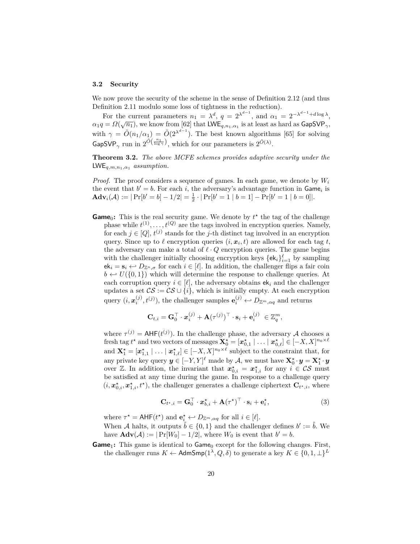#### **3.2 Security**

We now prove the security of the scheme in the sense of Definition 2.12 (and thus Definition 2.11 modulo some loss of tightness in the reduction).

For the current parameters  $n_1 = \lambda^d$ ,  $q = 2^{\lambda^{d-1}}$ , and  $\alpha_1 = 2^{-\lambda^{d-1} + d \log \lambda}$ ,  $\alpha_1 q = \Omega(\sqrt{n_1})$ , we know from [62] that LWE<sub>*q,n*1*,α*<sub>1</sub></sub> is at least as hard as GapSVP<sub>γ</sub>, with  $\gamma = \tilde{O}(n_1/\alpha_1) = \tilde{O}(2^{\lambda^{d-1}})$ . The best known algorithms [65] for solving GapSVP<sub> $\gamma$ </sub> run in  $2^{\tilde{O}(\frac{n_1}{\log \gamma})}$ , which for our parameters is  $2^{\tilde{O}(\lambda)}$ .

**Theorem 3.2.** *The above MCFE schemes provides adaptive security under the* LWE*q,m,n*1*,α*<sup>1</sup> *assumption.*

*Proof.* The proof considers a sequence of games. In each game, we denote by *W<sup>i</sup>* the event that  $b' = b$ . For each *i*, the adversary's advantage function in  $\text{Game}_i$  is  $\mathbf{Adv}_i(\mathcal{A}) := |\Pr[b' = b] - 1/2| = \frac{1}{2} \cdot |\Pr[b' = 1 | b = 1] - \Pr[b' = 1 | b = 0]|.$ 

**Game**<sub>0</sub>: This is the real security game. We denote by  $t^*$  the tag of the challenge phase while  $t^{(1)}, \ldots, t^{(Q)}$  are the tags involved in encryption queries. Namely, for each  $j \in [Q], t^{(j)}$  stands for the *j*-th distinct tag involved in an encryption query. Since up to  $\ell$  encryption queries  $(i, x_i, t)$  are allowed for each tag  $t$ , the adversary can make a total of  $\ell \cdot Q$  encryption queries. The game begins with the challenger initially choosing encryption keys  $\{ek_i\}_{i=1}^{\ell}$  by sampling  $ek_i = s_i \leftrightarrow D_{\mathbb{Z}^n, \sigma}$  for each  $i \in [\ell]$ . In addition, the challenger flips a fair coin  $b \leftrightarrow U(\{0,1\})$  which will determine the response to challenge queries. At each corruption query  $i \in [\ell]$ , the adversary obtains  $ek_i$  and the challenger updates a set  $\mathcal{CS} := \mathcal{CS} \cup \{i\}$ , which is initially empty. At each encryption query  $(i, \mathbf{x}_i^{(j)}, t^{(j)})$ , the challenger samples  $\mathbf{e}_i^{(j)} \leftarrow D_{\mathbb{Z}^m, \alpha q}$  and returns

$$
\mathbf{C}_{t,i} = \mathbf{G}_0^{\top} \cdot \mathbf{x}_i^{(j)} + \mathbf{A}(\tau^{(j)})^{\top} \cdot \mathbf{s}_i + \mathbf{e}_i^{(j)} \in \mathbb{Z}_q^m,
$$

where  $\tau^{(j)} = AHF(t^{(j)})$ . In the challenge phase, the adversary A chooses a fresh tag  $t^*$  and two vectors of messages  $\mathbf{X}_0^* = [\mathbf{x}_{0,1}^* \mid \ldots \mid \mathbf{x}_{0,\ell}^*] \in [-X, X]^{n_0 \times \ell}$ and  $\mathbf{X}_1^* = [\mathbf{x}_{1,1}^* \mid \dots \mid \mathbf{x}_{1,\ell}^*] \in [-X, X]^{n_0 \times \ell}$  subject to the constraint that, for any private key query  $y \in [-Y, Y]^{\ell}$  made by A, we must have  $\mathbf{X}_0^{\star} \cdot y = \mathbf{X}_1^{\star} \cdot y$ over  $\mathbb{Z}$ . In addition, the invariant that  $x_{0,i}^{\star} = x_{1,i}^{\star}$  for any  $i \in \mathcal{CS}$  must be satisfied at any time during the game. In response to a challenge query  $(i, x_{0,i}^{\star}, x_{1,i}^{\star}, t^{\star})$ , the challenger generates a challenge ciphertext  $\mathbf{C}_{t^{\star},i}$ , where

$$
\mathbf{C}_{t^{\star},i} = \mathbf{G}_{0}^{\top} \cdot \mathbf{x}_{b,i}^{\star} + \mathbf{A}(\tau^{\star})^{\top} \cdot \mathbf{s}_{i} + \mathbf{e}_{i}^{\star}, \tag{3}
$$

where  $\tau^* = \text{AHF}(t^*)$  and  $\mathbf{e}_i^* \leftrightarrow D_{\mathbb{Z}^m, \alpha q}$  for all  $i \in [\ell].$ 

When A halts, it outputs  $\hat{b} \in \{0, 1\}$  and the challenger defines  $b' := \hat{b}$ . We have  $\mathbf{Adv}(\mathcal{A}) := |\Pr[W_0] - 1/2|$ , where  $W_0$  is event that  $b' = b$ .

**Game**<sub>1</sub>: This game is identical to Game<sub>0</sub> except for the following changes. First, the challenger runs  $K \leftarrow$  AdmSmp( $1^{\lambda}, Q, \delta$ ) to generate a key  $K \in \{0, 1, \perp\}^L$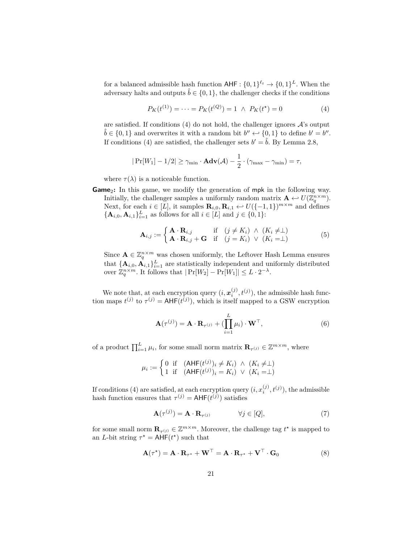for a balanced admissible hash function  $\mathsf{AHF}:\{0,1\}^{\ell_t} \to \{0,1\}^L$ . When the adversary halts and outputs  $\hat{b} \in \{0, 1\}$ , the challenger checks if the conditions

$$
P_K(t^{(1)}) = \dots = P_K(t^{(Q)}) = 1 \ \wedge \ P_K(t^*) = 0 \tag{4}
$$

are satisfied. If conditions  $(4)$  do not hold, the challenger ignores  $\mathcal{A}$ 's output  $\hat{b} \in \{0, 1\}$  and overwrites it with a random bit  $b'' \leftarrow \{0, 1\}$  to define  $b' = b''$ . If conditions (4) are satisfied, the challenger sets  $b' = \hat{b}$ . By Lemma 2.8,

$$
|\Pr[W_1] - 1/2| \ge \gamma_{\min} \cdot \mathbf{Adv}(\mathcal{A}) - \frac{1}{2} \cdot (\gamma_{\max} - \gamma_{\min}) = \tau,
$$

where  $\tau(\lambda)$  is a noticeable function.

**Game**<sub>2</sub>: In this game, we modify the generation of mpk in the following way. Initially, the challenger samples a uniformly random matrix  $\mathbf{A} \leftarrow U(\mathbb{Z}_q^{n \times m})$ . Next, for each  $i \in [L]$ , it samples  $\mathbf{R}_{i,0}, \mathbf{R}_{i,1} \leftrightarrow U({-1,1})^{m \times m}$  and defines  ${ {\bf A}_{i,0}, {\bf A}_{i,1} }_{i=1}^L$  as follows for all  $i \in [L]$  and  $j \in \{0,1\}$ :

$$
\mathbf{A}_{i,j} := \begin{cases} \mathbf{A} \cdot \mathbf{R}_{i,j} & \text{if } \quad (j \neq K_i) \land (K_i \neq \perp) \\ \mathbf{A} \cdot \mathbf{R}_{i,j} + \mathbf{G} & \text{if } \quad (j = K_i) \lor (K_i = \perp) \end{cases} \tag{5}
$$

Since  $\mathbf{A} \in \mathbb{Z}_q^{n \times m}$  was chosen uniformly, the Leftover Hash Lemma ensures that  ${\mathbf\{A}_{i,0}, \mathbf{A}_{i,1}\}_{i=1}^L$  are statistically independent and uniformly distributed over  $\mathbb{Z}_q^{n \times m}$ . It follows that  $|\Pr[W_2] - \Pr[W_1]| \leq L \cdot 2^{-\lambda}$ .

We note that, at each encryption query  $(i, x_i^{(j)}, t^{(j)})$ , the admissible hash function maps  $t^{(j)}$  to  $\tau^{(j)} = AHF(t^{(j)})$ , which is itself mapped to a GSW encryption

$$
\mathbf{A}(\tau^{(j)}) = \mathbf{A} \cdot \mathbf{R}_{\tau^{(j)}} + (\prod_{i=1}^{L} \mu_i) \cdot \mathbf{W}^{\top},
$$
\n(6)

of a product  $\prod_{i=1}^{L} \mu_i$ , for some small norm matrix  $\mathbf{R}_{\tau^{(j)}} \in \mathbb{Z}^{m \times m}$ , where

$$
\mu_i := \begin{cases} 0 & \text{if } (\text{AHF}(t^{(j)})_i \neq K_i) \land (K_i \neq \perp) \\ 1 & \text{if } (\text{AHF}(t^{(j)})_i = K_i) \lor (K_i = \perp) \end{cases}
$$

If conditions (4) are satisfied, at each encryption query  $(i, x_i^{(j)}, t^{(j)})$ , the admissible hash function ensures that  $\tau^{(j)} = \text{AHF}(t^{(j)})$  satisfies

$$
\mathbf{A}(\tau^{(j)}) = \mathbf{A} \cdot \mathbf{R}_{\tau^{(j)}} \qquad \forall j \in [Q], \tag{7}
$$

for some small norm  $\mathbf{R}_{\tau^{(j)}} \in \mathbb{Z}^{m \times m}$ . Moreover, the challenge tag  $t^*$  is mapped to an *L*-bit string  $\tau^* = AHF(t^*)$  such that

$$
\mathbf{A}(\tau^*) = \mathbf{A} \cdot \mathbf{R}_{\tau^*} + \mathbf{W}^\top = \mathbf{A} \cdot \mathbf{R}_{\tau^*} + \mathbf{V}^\top \cdot \mathbf{G}_0 \tag{8}
$$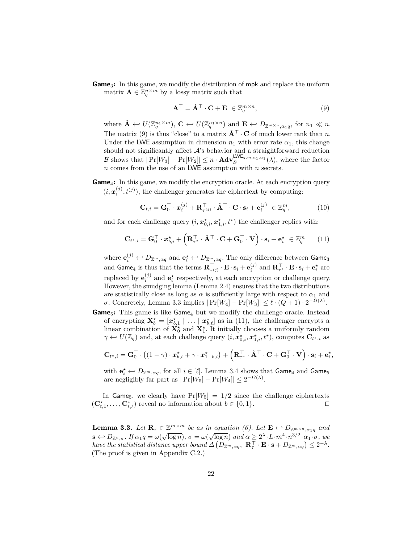**Game**3**:** In this game, we modify the distribution of mpk and replace the uniform matrix  $\mathbf{A} \in \mathbb{Z}_q^{n \times m}$  by a lossy matrix such that

$$
\mathbf{A}^{\top} = \hat{\mathbf{A}}^{\top} \cdot \mathbf{C} + \mathbf{E} \in \mathbb{Z}_q^{m \times n},\tag{9}
$$

where  $\hat{\mathbf{A}} \leftarrow U(\mathbb{Z}_q^{n_1 \times m})$ ,  $\mathbf{C} \leftarrow U(\mathbb{Z}_q^{n_1 \times n})$  and  $\mathbf{E} \leftarrow D_{\mathbb{Z}^{m \times n}, \alpha_1 q}$ , for  $n_1 \ll n$ . The matrix (9) is thus "close" to a matrix  $\hat{\mathbf{A}}^{\top} \cdot \mathbf{C}$  of much lower rank than *n*. Under the LWE assumption in dimension  $n_1$  with error rate  $\alpha_1$ , this change should not significantly affect  $A$ 's behavior and a straightforward reduction B shows that  $|\Pr[W_3] - \Pr[W_2]| \le n \cdot \text{Adv}_{\mathcal{B}}^{\text{LWE}_{q,m,n_1,\alpha_1}}(\lambda)$ , where the factor *n* comes from the use of an LWE assumption with *n* secrets.

**Game**<sub>4</sub>: In this game, we modify the encryption oracle. At each encryption query  $(i, x_i^{(j)}, t^{(j)})$ , the challenger generates the ciphertext by computing:

$$
\mathbf{C}_{t,i} = \mathbf{G}_0^{\top} \cdot \mathbf{x}_i^{(j)} + \mathbf{R}_{\tau^{(j)}}^{\top} \cdot \hat{\mathbf{A}}^{\top} \cdot \mathbf{C} \cdot \mathbf{s}_i + \mathbf{e}_i^{(j)} \in \mathbb{Z}_q^m,
$$
(10)

and for each challenge query  $(i, x_{0,i}^{\star}, x_{1,i}^{\star}, t^{\star})$  the challenger replies with:

$$
\mathbf{C}_{t^*,i} = \mathbf{G}_0^\top \cdot \mathbf{x}_{b,i}^* + \left(\mathbf{R}_{\tau^*}^\top \cdot \hat{\mathbf{A}}^\top \cdot \mathbf{C} + \mathbf{G}_0^\top \cdot \mathbf{V}\right) \cdot \mathbf{s}_i + \mathbf{e}_i^* \in \mathbb{Z}_q^m \qquad (11)
$$

where  $\mathbf{e}^{(j)}_i \hookleftarrow D_{\mathbb{Z}^m, \alpha q}$  and  $\mathbf{e}^{\star}_i \hookleftarrow D_{\mathbb{Z}^m, \alpha q}.$  The only difference between <code>Game</code>3 and  $\mathbf{Game}_4$  is thus that the terms  $\mathbf{R}_{\tau^{(j)}}^\top \cdot \mathbf{E} \cdot \mathbf{s}_i + \mathbf{e}_i^{(j)}$  and  $\mathbf{R}_{\tau^\star}^\top \cdot \mathbf{E} \cdot \mathbf{s}_i + \mathbf{e}_i^\star$  are replaced by  $\mathbf{e}_i^{(j)}$  and  $\mathbf{e}_i^*$  respectively, at each encryption or challenge query. However, the smudging lemma (Lemma 2.4) ensures that the two distributions are statistically close as long as  $\alpha$  is sufficiently large with respect to  $\alpha_1$  and *σ*. Concretely, Lemma 3.3 implies  $|\Pr[W_4] - \Pr[W_3]| \le \ell \cdot (Q+1) \cdot 2^{-\Omega(\lambda)}$ .

**Game**<sub>5</sub>: This game is like Game<sub>4</sub> but we modify the challenge oracle. Instead of encrypting  $\mathbf{X}_{b}^{\star} = [\mathbf{x}_{b,1}^{\star} | \dots | \mathbf{x}_{b,\ell}^{\star}]$  as in (11), the challenger encrypts a linear combination of  $\mathbf{X}_0^{\star}$  and  $\mathbf{X}_1^{\star}$ . It initially chooses a uniformly random  $\gamma \leftrightarrow U(\mathbb{Z}_q)$  and, at each challenge query  $(i, \mathbf{x}_{0,i}^{\star}, \mathbf{x}_{1,i}^{\star}, t^{\star})$ , computes  $\mathbf{C}_{t^{\star},i}$  as

$$
\mathbf{C}_{t^{\star},i} = \mathbf{G}_0^{\top} \cdot \left( (1 - \gamma) \cdot \boldsymbol{x}_{b,i}^{\star} + \gamma \cdot \boldsymbol{x}_{1-b,i}^{\star} \right) + \left( \mathbf{R}_{\tau^{\star}}^{\top} \cdot \hat{\mathbf{A}}^{\top} \cdot \mathbf{C} + \mathbf{G}_0^{\top} \cdot \mathbf{V} \right) \cdot \mathbf{s}_i + \mathbf{e}_i^{\star},
$$

with  $\mathbf{e}_i^* \leftarrow D_{\mathbb{Z}^m, \alpha q}$ , for all  $i \in [\ell]$ . Lemma 3.4 shows that  $\mathsf{Game}_4$  and  $\mathsf{Game}_5$ are negligibly far part as  $|\Pr[W_5] - \Pr[W_4]| \leq 2^{-\Omega(\lambda)}$ .

In Game<sub>5</sub>, we clearly have  $Pr[W_5] = 1/2$  since the challenge ciphertexts  $(\mathbf{C}^{\star}_{t,1}, \ldots, \mathbf{C}^{\star}_{t,\ell})$  reveal no information about  $b \in \{0,1\}.$ 

**Lemma 3.3.** Let  $\mathbf{R}_{\tau} \in \mathbb{Z}^{m \times m}$  be as in equation (6). Let  $\mathbf{E} \leftarrow D_{\mathbb{Z}^{m \times n}, \alpha_1 q}$  and  $\mathbf{s} \leftarrow D_{\mathbb{Z}^n, \sigma}.$  If  $\alpha_1 q = \omega(\sqrt{\log n}), \sigma = \omega(\sqrt{\log n})$  and  $\alpha \geq 2^{\lambda} \cdot L \cdot m^4 \cdot n^{3/2} \cdot \alpha_1 \cdot \sigma$ , we  $h$ ave the statistical distance upper bound  $\Delta \left( D_{\mathbb{Z}^m, \alpha q}, \ \mathbf{R}_{\tau}^{\top} \cdot \mathbf{E} \cdot \mathbf{s} + D_{\mathbb{Z}^m, \alpha q} \right) \leq 2^{-\lambda}.$ (The proof is given in Appendix C.2.)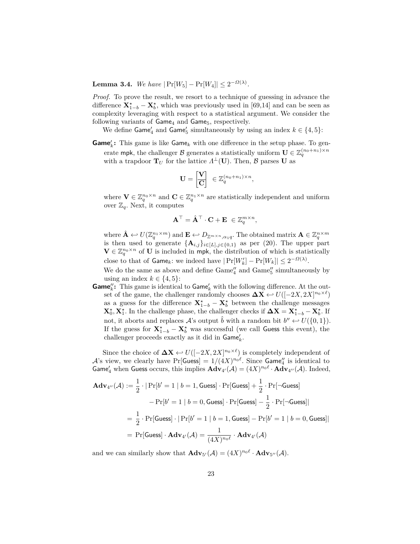**Lemma 3.4.** *We have*  $|\Pr[W_5] - \Pr[W_4]| \leq 2^{-\Omega(\lambda)}$ *.* 

*Proof.* To prove the result, we resort to a technique of guessing in advance the difference  $\mathbf{X}^{\star}_{1-b} - \mathbf{X}^{\star}_b$ , which was previously used in [69,14] and can be seen as complexity leveraging with respect to a statistical argument. We consider the following variants of  $Game_4$  and  $Game_5$ , respectively.

We define  $\textsf{Game}_4'$  and  $\textsf{Game}_5'$  simultaneously by using an index  $k \in \{4,5\}$ :

 $Game'_k$ : This game is like  $Game_k$  with one difference in the setup phase. To generate mpk, the challenger  $\mathcal{B}$  generates a statistically uniform  $\mathbf{U} \in \mathbb{Z}_q^{(n_0+n_1)\times n}$ with a trapdoor  $\mathbf{T}_U$  for the lattice  $\Lambda^{\perp}(\mathbf{U})$ . Then,  $\mathcal{B}$  parses **U** as

$$
\mathbf{U} = \begin{bmatrix} \mathbf{V} \\ \hline \mathbf{C} \end{bmatrix} \in \mathbb{Z}_q^{(n_0+n_1)\times n},
$$

where  $\mathbf{V} \in \mathbb{Z}_q^{n_0 \times n}$  and  $\mathbf{C} \in \mathbb{Z}_q^{n_1 \times n}$  are statistically independent and uniform over  $\mathbb{Z}_q$ . Next, it computes

$$
\mathbf{A}^{\top} = \hat{\mathbf{A}}^{\top} \cdot \mathbf{C} + \mathbf{E} \ \in \mathbb{Z}_q^{m \times n},
$$

where  $\hat{\mathbf{A}} \leftarrow U(\mathbb{Z}_q^{n_1 \times m})$  and  $\mathbf{E} \leftarrow D_{\mathbb{Z}^{m \times n}, \alpha_1 q}$ . The obtained matrix  $\mathbf{A} \in \mathbb{Z}_q^{n \times m}$ is then used to generate  $\{A_{i,j}\}_{i\in[L],j\in\{0,1\}}$  as per (20). The upper part  $\mathbf{V} \in \mathbb{Z}_q^{n_0 \times n}$  of **U** is included in mpk, the distribution of which is statistically close to that of  $\textsf{Game}_k$ : we indeed have  $|\Pr[W_k'] - \Pr[W_k]| \leq 2^{-\Omega(\lambda)}$ .

We do the same as above and define  $\mathrm{Game}^\prime_4$  and  $\mathrm{Game}^{\prime\prime}_5$  simultaneously by using an index  $k \in \{4, 5\}$ :

**Game**<sup> $\mu$ </sup>: This game is identical to Game<sup> $\mu$ </sup> with the following difference. At the outset of the game, the challenger randomly chooses  $\Delta X \leftrightarrow U([-2X, 2X]^{n_0 \times \ell})$ as a guess for the difference  $\mathbf{X}^{\star}_{1-b} - \mathbf{X}^{\star}_b$  between the challenge messages **X**<sup> $>$ </sup>, **X**<sup> $>$ </sup><sub>1</sub>. In the challenge phase, the challenger checks if  $\Delta$ **X** = **X**<sup> $>$ </sup><sub>*A*</sub><sup>*b*</sup> − **X**<sup> $>$ *t*</sup><sub>*b*</sub>. If not, it aborts and replaces  $\mathcal{A}$ 's output  $\hat{b}$  with a random bit  $b'' \leftarrow U(\{0, 1\})$ . If the guess for  $X^*_{1-b} - X^*_{b}$  was successful (we call Guess this event), the challenger proceeds exactly as it did in  $\mathsf{Game}_k'.$ 

Since the choice of  $\Delta X \leftrightarrow U([-2X, 2X]^{n_0 \times \ell})$  is completely independent of  $\mathcal{A}$ 's view, we clearly have  $\Pr[\mathsf{Guess}] = 1/(4X)^{n_0\ell}$ . Since  $\mathsf{Game}''_4$  is identical to **Game**'<sub>4</sub> when **Guess** occurs, this implies  $\mathbf{Adv}_{4'}(\mathcal{A}) = (4X)^{n_0\ell} \cdot \mathbf{Adv}_{4''}(\mathcal{A})$ . Indeed,

$$
\mathbf{Adv}_{4''}(\mathcal{A}) := \frac{1}{2} \cdot |\Pr[b' = 1 \mid b = 1, \text{Guess}] \cdot \Pr[\text{Guess}] + \frac{1}{2} \cdot \Pr[\neg \text{Guess}]
$$

$$
-\Pr[b' = 1 \mid b = 0, \text{Guess}] \cdot \Pr[\text{Guess}] - \frac{1}{2} \cdot \Pr[\neg \text{Guess}]|
$$

$$
= \frac{1}{2} \cdot \Pr[\text{Guess}] \cdot |\Pr[b' = 1 \mid b = 1, \text{Guess}] - \Pr[b' = 1 \mid b = 0, \text{Guess}]|
$$

$$
= \Pr[\text{Guess}] \cdot \mathbf{Adv}_{4'}(\mathcal{A}) = \frac{1}{(4X)^{n_0 \ell}} \cdot \mathbf{Adv}_{4'}(\mathcal{A})
$$

and we can similarly show that  $\mathbf{Adv}_{5'}(\mathcal{A}) = (4X)^{n_0\ell} \cdot \mathbf{Adv}_{5''}(\mathcal{A})$ .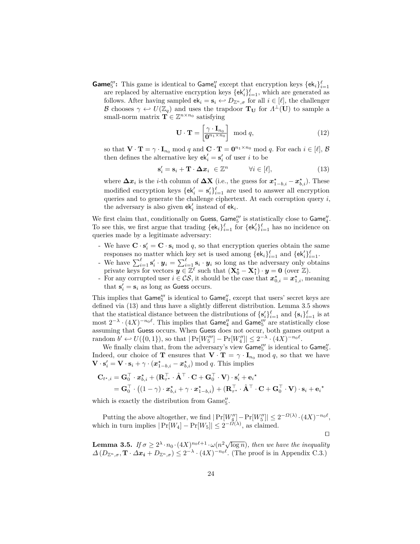**Game**<sup>"</sup>: This game is identical to **Game**<sup>"</sup> except that encryption keys  $\{ek_i\}_{i=1}^{\ell}$ are replaced by alternative encryption keys  $\{\mathsf{ek}'_i\}_{i=1}^{\ell}$ , which are generated as follows. After having sampled  $ek_i = s_i \leftrightarrow D_{\mathbb{Z}^n, \sigma}$  for all  $i \in [\ell]$ , the challenger B chooses  $\gamma \leftrightarrow U(\mathbb{Z}_q)$  and uses the trapdoor  $T_U$  for  $\Lambda^{\perp}(U)$  to sample a small-norm matrix  $\mathbf{T} \in \mathbb{Z}^{n \times n_0}$  satisfying

$$
\mathbf{U} \cdot \mathbf{T} = \begin{bmatrix} \gamma \cdot \mathbf{I}_{n_0} \\ \mathbf{0}^{n_1 \times n_0} \end{bmatrix} \mod q, \tag{12}
$$

so that  $\mathbf{V} \cdot \mathbf{T} = \gamma \cdot \mathbf{I}_{n_0} \text{ mod } q$  and  $\mathbf{C} \cdot \mathbf{T} = \mathbf{0}^{n_1 \times n_0} \text{ mod } q$ . For each  $i \in [\ell], \mathcal{B}$ then defines the alternative key  $ek'_i = s'_i$  of user *i* to be

$$
\mathbf{s}'_i = \mathbf{s}_i + \mathbf{T} \cdot \mathbf{\Delta} \mathbf{x}_i \in \mathbb{Z}^n \qquad \forall i \in [\ell], \tag{13}
$$

where  $\Delta x_i$  is the *i*-th column of  $\Delta X$  (i.e., the guess for  $x_{1-b,i}^{\star} - x_{b,i}^{\star}$ ). These modified encryption keys  $\{ek'_i = s'_i\}_{i=1}^{\ell}$  are used to answer all encryption queries and to generate the challenge ciphertext. At each corruption query *i*, the adversary is also given  $ek'_i$  instead of  $ek_i$ .

We first claim that, conditionally on Guess, Game" is statistically close to  $\mathsf{Game}_4''$ . To see this, we first argue that trading  $\{\mathsf{ek}_i\}_{i=1}^{\ell}$  for  $\{\mathsf{ek}'_i\}_{i=1}^{\ell}$  has no incidence on queries made by a legitimate adversary:

- We have  $\mathbf{C} \cdot \mathbf{s}'_i = \mathbf{C} \cdot \mathbf{s}_i \mod q$ , so that encryption queries obtain the same responses no matter which key set is used among  $\{ek_i\}_{i=1}^{\ell}$  and  $\{ek'_i\}_{i=1}^{\ell}$ .
- We have  $\sum_{i=1}^{\ell} s'_i \cdot y_i = \sum_{i=1}^{\ell} s_i \cdot y_i$  so long as the adversary only obtains private keys for vectors  $y \in \mathbb{Z}^{\ell}$  such that  $(\mathbf{X}_0^{\star} - \mathbf{X}_1^{\star}) \cdot y = 0$  (over  $\mathbb{Z}$ ).
- For any corrupted user  $i \in \mathcal{CS}$ , it should be the case that  $x_{0,i}^{\star} = x_{1,i}^{\star}$ , meaning that  $\mathbf{s}'_i = \mathbf{s}_i$  as long as Guess occurs.

This implies that  $\mathsf{Game}_5'''$  is identical to  $\mathsf{Game}_4'',$  except that users' secret keys are defined via (13) and thus have a slightly different distribution. Lemma 3.5 shows that the statistical distance between the distributions of  $\{s_i'\}_{i=1}^{\ell}$  and  $\{s_i\}_{i=1}^{\ell}$  is at most  $2^{-\lambda} \cdot (4X)^{-n_0\ell}$ . This implies that  $\mathsf{Game}''_4$  and  $\mathsf{Game}'''_5$  are statistically close assuming that Guess occurs. When Guess does not occur, both games output a  $r \text{ and } b' \leftarrow U(\{0, 1\}), \text{ so that } |\Pr[W_5'''] - \Pr[W_4'']| \leq 2^{-\lambda} \cdot (4X)^{-n_0\ell}.$ 

We finally claim that, from the adversary's view  $\mathsf{Game}_5'''$  is identical to  $\mathsf{Game}_5''$ . Indeed, our choice of **T** ensures that  $\mathbf{V} \cdot \mathbf{T} = \gamma \cdot \mathbf{I}_{n_0} \text{ mod } q$ , so that we have  $\mathbf{V} \cdot \mathbf{s}'_i = \mathbf{V} \cdot \mathbf{s}_i + \gamma \cdot (\boldsymbol{x}^{\star}_{1-b,i} - \boldsymbol{x}^{\star}_{b,i}) \mod q$ . This implies

$$
\mathbf{C}_{t^{\star},i} = \mathbf{G}_{0}^{\top} \cdot \mathbf{x}_{b,i}^{\star} + (\mathbf{R}_{\tau^{\star}}^{\top} \cdot \hat{\mathbf{A}}^{\top} \cdot \mathbf{C} + \mathbf{G}_{0}^{\top} \cdot \mathbf{V}) \cdot \mathbf{s}_{i}' + \mathbf{e}_{i}^{\star} = \mathbf{G}_{0}^{\top} \cdot ((1 - \gamma) \cdot \mathbf{x}_{b,i}^{\star} + \gamma \cdot \mathbf{x}_{1-b,i}^{\star}) + (\mathbf{R}_{\tau^{\star}}^{\top} \cdot \hat{\mathbf{A}}^{\top} \cdot \mathbf{C} + \mathbf{G}_{0}^{\top} \cdot \mathbf{V}) \cdot \mathbf{s}_{i} + \mathbf{e}_{i}^{\star}
$$

which is exactly the distribution from  $\text{Game}_5''$ .

Putting the above altogether, we find  $|\Pr[W''_4] - \Pr[W''_5]| \leq 2^{-\Omega(\lambda)} \cdot (4X)^{-n_0\ell}$ , which in turn implies  $|\Pr[W_4] - \Pr[W_5]| \leq 2^{-\Omega(\lambda)}$ , as claimed.

 $\Box$ 

**Lemma 3.5.** *If*  $\sigma \geq 2^{\lambda} \cdot n_0 \cdot (4X)^{n_0\ell+1} \cdot \omega(n^2 \sqrt{\log n})$ , then we have the inequality  $\Delta(D_{\mathbb{Z}^n}, \sigma, \mathbf{T} \cdot \Delta x_i + D_{\mathbb{Z}^n}, \sigma) \leq 2^{-\lambda} \cdot (4X)^{-n_0 \ell}$ . (The proof is in Appendix C.3.)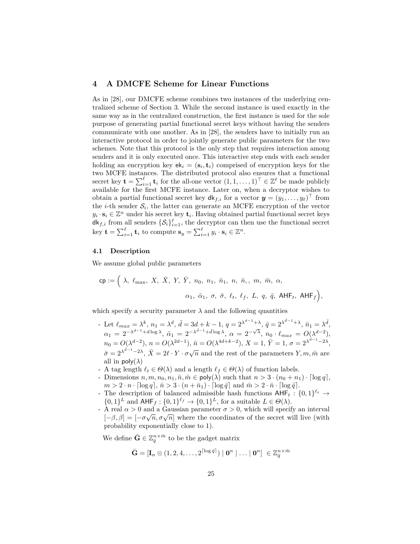# **4 A DMCFE Scheme for Linear Functions**

As in [28], our DMCFE scheme combines two instances of the underlying centralized scheme of Section 3. While the second instance is used exactly in the same way as in the centralized construction, the first instance is used for the sole purpose of generating partial functional secret keys without having the senders communicate with one another. As in [28], the senders have to initially run an interactive protocol in order to jointly generate public parameters for the two schemes. Note that this protocol is the only step that requires interaction among senders and it is only executed once. This interactive step ends with each sender holding an encryption key  $ek_i = (s_i, t_i)$  comprised of encryption keys for the two MCFE instances. The distributed protocol also ensures that a functional secret key  $\mathbf{t} = \sum_{i=1}^{\ell} \mathbf{t}_i$  for the all-one vector  $(1, 1, \dots, 1)^\top \in \mathbb{Z}^{\ell}$  be made publicly available for the first MCFE instance. Later on, when a decryptor wishes to obtain a partial functional secret key  $d\mathsf{k}_{f,i}$  for a vector  $\mathbf{y} = (y_1, \ldots, y_\ell)^\top$  from the *i*-th sender  $S_i$ , the latter can generate an MCFE encryption of the vector  $y_i \cdot s_i \in \mathbb{Z}^n$  under his secret key  $\mathbf{t}_i$ . Having obtained partial functional secret keys  $\mathsf{d}\mathsf{k}_{f,i}$  from all senders  $\{\mathcal{S}_i\}_{i=1}^{\ell}$ , the decryptor can then use the functional secret key  $\mathbf{t} = \sum_{i=1}^{\ell} \mathbf{t}_i$  to compute  $\mathbf{s}_y = \sum_{i=1}^{\ell} y_i \cdot \mathbf{s}_i \in \mathbb{Z}^n$ .

#### **4.1 Description**

We assume global public parameters

$$
\mathsf{cp} := \Big( \; \lambda, \; \ell_{\max}, \; X, \; \bar{X}, \; Y, \; \bar{Y}, \; n_0, \; n_1, \; \bar{n}_1, \; n, \; \bar{n}, \; m, \; \bar{m}, \; \alpha, \\[.5em] \quad \alpha_1, \; \bar{\alpha}_1, \; \sigma, \; \bar{\sigma}, \; \ell_t, \; \ell_f, \; L, \; q, \; \bar{q}, \; \mathsf{AHF}_t, \; \mathsf{AHF}_f \Big),
$$

which specify a security parameter  $\lambda$  and the following quantities

- Let  $\ell_{max} = \lambda^k$ ,  $n_1 = \lambda^d$ ,  $\bar{d} = 3d + k 1$ ,  $q = 2^{\lambda^{d-1} + \lambda}$ ,  $\bar{q} = 2^{\lambda^{\bar{d}-1} + \lambda}$ ,  $\bar{n}_1 = \lambda^{\bar{d}}$ ,  $\alpha_1 = 2^{-\lambda^{d-1}+d\log\lambda}, \ \bar{\alpha}_1 = 2^{-\lambda^{d-1}+d\log\lambda}, \ \alpha = 2^{-\sqrt{\lambda}}, \ n_0 \cdot \ell_{max} = O(\lambda^{d-2}),$  $n_0 = O(\lambda^{d-2}), n = O(\lambda^{2d-1}), \bar{n} = O(\lambda^{4d+k-2}), X = 1, \bar{Y} = 1, \sigma = 2^{\lambda^{d-1}-2\lambda},$  $\bar{\sigma} = 2^{\lambda^{\bar{d}-1}-2\lambda}, \ \bar{X} = 2\ell \cdot Y \cdot \sigma \sqrt{n}$  and the rest of the parameters *Y, m, m*̄ are all in  $\mathsf{poly}(\lambda)$
- A tag length  $\ell_t \in \Theta(\lambda)$  and a length  $\ell_f \in \Theta(\lambda)$  of function labels.
- Dimensions  $n, m, n_0, n_1, \overline{n}, \overline{m} \in \text{poly}(\lambda)$  such that  $n > 3 \cdot (n_0 + n_1) \cdot \lceil \log q \rceil$ ,  $m > 2 \cdot n \cdot \lceil \log q \rceil$ ,  $\bar{n} > 3 \cdot (n + \bar{n}_1) \cdot \lceil \log \bar{q} \rceil$  and  $\bar{m} > 2 \cdot \bar{n} \cdot \lceil \log \bar{q} \rceil$ .
- The description of balanced admissible hash functions  $\text{AHF}_t: \{0,1\}^{\ell_t} \to$  $\{0,1\}^L$  and  $\mathsf{AHF}_f: \{0,1\}^{\ell_f} \to \{0,1\}^L$ , for a suitable  $L \in \Theta(\lambda)$ .
- A real  $\alpha > 0$  and a Gaussian parameter  $\sigma > 0$ , which will specify an interval  $[-\beta, \beta] = [-\sigma\sqrt{n}, \sigma\sqrt{n}]$  where the coordinates of the secret will live (with probability exponentially close to 1).

We define  $\bar{\mathbf{G}} \in \mathbb{Z}_q^{n \times \bar{m}}$  to be the gadget matrix

$$
\bar{\mathbf{G}} = [\mathbf{I}_n \otimes (1,2,4,\ldots,2^{\lceil \log \bar{q} \rceil}) \mid \mathbf{0}^n \mid \ldots \mid \mathbf{0}^n] \; \in \mathbb{Z}^{n \times \bar{m}}_{\bar{q}}
$$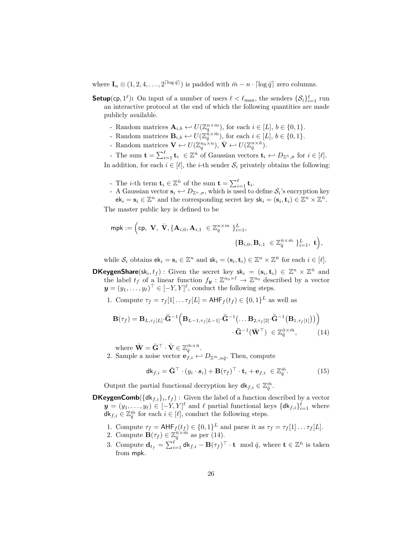where  $\mathbf{I}_n \otimes (1, 2, 4, \ldots, 2^{\lceil \log \bar{q} \rceil})$  is padded with  $\bar{m} - n \cdot \lceil \log \bar{q} \rceil$  zero columns.

- **Setup**(cp,  $1^{\ell}$ ): On input of a number of users  $\ell < \ell_{\max}$ , the senders  $\{S_i\}_{i=1}^{\ell}$  run an interactive protocol at the end of which the following quantities are made publicly available.
	- Random matrices  $\mathbf{A}_{i,b} \leftarrow U(\mathbb{Z}_q^{n \times m})$ , for each  $i \in [L], b \in \{0,1\}.$
	- Random matrices  $\mathbf{B}_{i,b} \leftarrow U(\mathbb{Z}_q^{\hat{n}\times\hat{m}})$ , for each  $i \in [L], b \in \{0,1\}.$
	- Random matrices  $\mathbf{V} \leftarrow U(\mathbb{Z}_q^{n_0 \times n}), \ \mathbf{V} \leftarrow U(\mathbb{Z}_\bar{q}^{n \times \bar{n}}).$
	- $\mathbf{t} = \sum_{i=1}^{\ell} \mathbf{t}_i \in \mathbb{Z}^{\bar{n}}$  of Gaussian vectors  $\mathbf{t}_i \leftarrow D_{\mathbb{Z}^{\bar{n}}, \bar{\sigma}}$  for  $i \in [\ell].$

In addition, for each  $i \in [\ell]$ , the *i*-th sender  $S_i$  privately obtains the following:

- The *i*-th term  $\mathbf{t}_i \in \mathbb{Z}^{\bar{n}}$  of the sum  $\mathbf{t} = \sum_{i=1}^{\ell} \mathbf{t}_i$ .
- A Gaussian vector  $\mathbf{s}_i \leftrightarrow D_{\mathbb{Z}^n,\sigma}$ , which is used to define  $\mathcal{S}_i$ 's encryption key  $\mathsf{ek}_i = \mathbf{s}_i \in \mathbb{Z}^n$  and the corresponding secret key  $\mathsf{sk}_i = (\mathbf{s}_i, \mathbf{t}_i) \in \mathbb{Z}^n \times \mathbb{Z}^{\bar{n}}$ .

The master public key is defined to be

$$
\mathsf{mpk} := \Big(\mathsf{cp}, \ \mathbf{V}, \ \bar{\mathbf{V}}, \{\mathbf{A}_{i,0}, \mathbf{A}_{i,1}\ \in \mathbb{Z}_q^{n \times m} \ \}_{i=1}^L, \\ \{ \mathbf{B}_{i,0}, \mathbf{B}_{i,1}\ \in \mathbb{Z}_{\bar{q}}^{\bar{n} \times \bar{m}} \ \}_{i=1}^L, \ \mathbf{t} \Big),
$$

while  $S_i$  obtains  $ek_i = s_i \in \mathbb{Z}^n$  and  $sk_i = (s_i, t_i) \in \mathbb{Z}^n \times \mathbb{Z}^{\bar{n}}$  for each  $i \in [\ell]$ .

**DKeygenShare**(sk<sub>*i*</sub>, *t*<sub>*f*</sub>): Given the secret key sk<sub>*i*</sub> = (s<sub>*i*</sub>, t<sub>*i*</sub>)  $\in \mathbb{Z}^n \times \mathbb{Z}^{\bar{n}}$  and the label  $t_f$  of a linear function  $f_y : \mathbb{Z}^{n_0 \times \ell} \to \mathbb{Z}^{n_0}$  described by a vector  $y = (y_1, \ldots, y_\ell)^\top \in [-Y, Y]^\ell$ , conduct the following steps.

1. Compute  $\tau_f = \tau_f[1] \dots \tau_f[L] = \mathsf{AHF}_f(t_f) \in \{0,1\}^L$  as well as

$$
\mathbf{B}(\tau_f) = \mathbf{B}_{L,\tau_f[L]}\cdot\bar{\mathbf{G}}^{-1}\Big(\mathbf{B}_{L-1,\tau_f[L-1]}\cdot\bar{\mathbf{G}}^{-1}\big(\dots\mathbf{B}_{2,\tau_f[2]}\cdot\bar{\mathbf{G}}^{-1}\big(\mathbf{B}_{1,\tau_f[1]}\big)\big)\Big) \cdot\bar{\mathbf{G}}^{-1}\big(\bar{\mathbf{W}}^{\top}\big) \in \mathbb{Z}_{\bar{q}}^{\bar{n}\times\bar{m}},
$$
(14)

where  $\bar{\mathbf{W}} = \bar{\mathbf{G}}^{\top} \cdot \bar{\mathbf{V}} \in \mathbb{Z}_{\bar{q}}^{\bar{m} \times \bar{n}}$ .

2. Sample a noise vector  $\mathbf{e}_{f,i} \leftrightarrow D_{\mathbb{Z}^{\bar{m}}, \alpha \bar{q}}$ . Then, compute

$$
\mathsf{dk}_{f,i} = \bar{\mathbf{G}}^{\top} \cdot (y_i \cdot s_i) + \mathbf{B}(\tau_f)^{\top} \cdot \mathbf{t}_i + \mathbf{e}_{f,i} \in \mathbb{Z}_q^{\bar{m}}.
$$
 (15)

Output the partial functional decryption key  $\mathsf{d}\mathsf{k}_{f,i} \in \mathbb{Z}_q^{\bar{m}}$ .

**DKeygenComb**( $\{dk_{f,i}\}_i, t_f$ ) : Given the label of a function described by a vector  $y = (y_1, \ldots, y_\ell) \in [-Y, Y]^\ell$  and  $\ell$  partial functional keys  $\{\mathsf{dk}_{f,i}\}_{i=1}^\ell$  where  $\mathsf{d}\mathsf{k}_{f,i} \in \mathbb{Z}_{\overline{q}}^{\overline{m}}$  for each  $i \in [\ell]$ , conduct the following steps.

- 1. Compute  $\tau_f = \text{AHF}_f(t_f) \in \{0,1\}^L$  and parse it as  $\tau_f = \tau_f[1] \dots \tau_f[L]$ .
- 2. Compute  $\mathbf{B}(\tau_f) \in \mathbb{Z}_q^{\bar{n}\times\tilde{m}}$  as per (14).
- 3. Compute  $\mathbf{d}_{t_f} = \sum_{i=1}^{\ell} \mathbf{d}_{f,i} \mathbf{B}(\tau_f)^{\top} \cdot \mathbf{t} \mod \bar{q}$ , where  $\mathbf{t} \in \mathbb{Z}^{\bar{n}}$  is taken from mpk.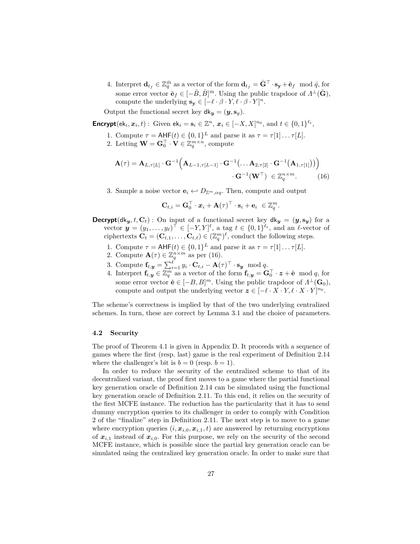4. Interpret  $\mathbf{d}_{t_f} \in \mathbb{Z}_{\overline{q}}^{\overline{m}}$  as a vector of the form  $\mathbf{d}_{t_f} = \bar{\mathbf{G}}^{\top} \cdot \mathbf{s_y} + \tilde{\mathbf{e}}_f \mod \overline{q}$ , for some error vector  $\tilde{\mathbf{e}}_f \in [-\bar{B}, \bar{B}]^{\bar{m}}$ . Using the public trapdoor of  $\Lambda^{\perp}(\bar{\mathbf{G}})$ , compute the underlying  $\mathbf{s_y} \in [-\ell \cdot \beta \cdot Y, \ell \cdot \beta \cdot Y]^n$ .

Output the functional secret key  $d\mathbf{k_y} = (\mathbf{y}, \mathbf{s_y}).$ 

**Encrypt**( $ek_i, x_i, t$ ) : Given  $ek_i = s_i \in \mathbb{Z}^n$ ,  $x_i \in [-X, X]^{n_0}$ , and  $t \in \{0, 1\}^{\ell_t}$ ,

- 1. Compute  $\tau = \text{AHF}(t) \in \{0,1\}^L$  and parse it as  $\tau = \tau[1] \dots \tau[L]$ .
- 2. Letting  $\mathbf{W} = \mathbf{G}_0^{\top} \cdot \mathbf{V} \in \mathbb{Z}_q^{m \times n}$ , compute

$$
\mathbf{A}(\tau) = \mathbf{A}_{L,\tau[L]} \cdot \mathbf{G}^{-1} \Big( \mathbf{A}_{L-1,\tau[L-1]} \cdot \mathbf{G}^{-1} \big( \dots \mathbf{A}_{2,\tau[2]} \cdot \mathbf{G}^{-1} \big( \mathbf{A}_{1,\tau[1]} \big) \big) \Big) \cdot \mathbf{G}^{-1} \big( \mathbf{W}^{\top} \big) \in \mathbb{Z}_q^{n \times m}.
$$
 (16)

3. Sample a noise vector  $\mathbf{e}_i \leftrightarrow D_{\mathbb{Z}^m, \alpha q}$ . Then, compute and output

$$
\mathbf{C}_{t,i} = \mathbf{G}_0^\top \cdot \boldsymbol{x}_i + \mathbf{A}(\tau)^\top \cdot \mathbf{s}_i + \mathbf{e}_i \ \in \mathbb{Z}_q^m
$$

*.*

- **Decrypt**( $dk_y, t, C_t$ ): On input of a functional secret key  $dk_y = (y, s_y)$  for a vector  $\mathbf{y} = (y_1, \ldots, y_\ell)^\top \in [-Y, Y]^\ell$ , a tag  $t \in \{0, 1\}^{\ell_t}$ , and an  $\ell$ -vector of ciphertexts  $\mathbf{C}_t = (\mathbf{C}_{t,1}, \dots, \mathbf{C}_{t,\ell}) \in (\mathbb{Z}_q^m)^{\ell}$ , conduct the following steps.
	- 1. Compute  $\tau = \mathsf{AHF}(t) \in \{0,1\}^L$  and parse it as  $\tau = \tau[1] \dots \tau[L]$ .
	- 2. Compute  $\mathbf{A}(\tau) \in \mathbb{Z}_q^{n \times m}$  as per (16).
	- 3. Compute  $\mathbf{f}_{t, y} = \sum_{i=1}^{\ell} y_i \cdot \mathbf{C}_{t, i} \mathbf{A}(\tau)^{\top} \cdot \mathbf{s}_y \mod q.$
	- 4. Interpret  $\mathbf{f}_{t,y} \in \mathbb{Z}_q^m$  as a vector of the form  $\mathbf{f}_{t,y} = \mathbf{G}_0^\top \cdot \mathbf{z} + \tilde{\mathbf{e}} \mod q$ , for some error vector  $\tilde{\mathbf{e}} \in [-B, B]^m$ . Using the public trapdoor of  $\Lambda^{\perp}(\mathbf{G}_0)$ , compute and output the underlying vector  $z \in [-\ell \cdot X \cdot Y, \ell \cdot X \cdot Y]^{n_0}$ .

The scheme's correctness is implied by that of the two underlying centralized schemes. In turn, these are correct by Lemma 3.1 and the choice of parameters.

#### **4.2 Security**

The proof of Theorem 4.1 is given in Appendix D. It proceeds with a sequence of games where the first (resp. last) game is the real experiment of Definition 2.14 where the challenger's bit is  $b = 0$  (resp.  $b = 1$ ).

In order to reduce the security of the centralized scheme to that of its decentralized variant, the proof first moves to a game where the partial functional key generation oracle of Definition 2.14 can be simulated using the functional key generation oracle of Definition 2.11. To this end, it relies on the security of the first MCFE instance. The reduction has the particularity that it has to send dummy encryption queries to its challenger in order to comply with Condition 2 of the "finalize" step in Definition 2.11. The next step is to move to a game where encryption queries  $(i, x_{i,0}, x_{i,1}, t)$  are answered by returning encryptions of  $x_{i,1}$  instead of  $x_{i,0}$ . For this purpose, we rely on the security of the second MCFE instance, which is possible since the partial key generation oracle can be simulated using the centralized key generation oracle. In order to make sure that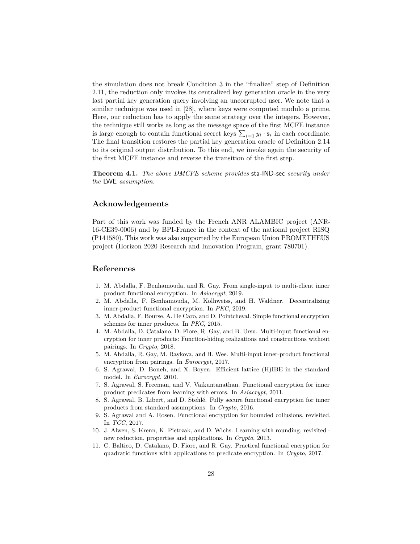the simulation does not break Condition 3 in the "finalize" step of Definition 2.11, the reduction only invokes its centralized key generation oracle in the very last partial key generation query involving an uncorrupted user. We note that a similar technique was used in [28], where keys were computed modulo a prime. Here, our reduction has to apply the same strategy over the integers. However, the technique still works as long as the message space of the first MCFE instance is large enough to contain functional secret keys  $\sum_{i=1} y_i \cdot \mathbf{s}_i$  in each coordinate. The final transition restores the partial key generation oracle of Definition 2.14 to its original output distribution. To this end, we invoke again the security of the first MCFE instance and reverse the transition of the first step.

**Theorem 4.1.** *The above DMCFE scheme provides* sta*-*IND*-*sec *security under the* LWE *assumption.*

# **Acknowledgements**

Part of this work was funded by the French ANR ALAMBIC project (ANR-16-CE39-0006) and by BPI-France in the context of the national project RISQ (P141580). This work was also supported by the European Union PROMETHEUS project (Horizon 2020 Research and Innovation Program, grant 780701).

# **References**

- 1. M. Abdalla, F. Benhamouda, and R. Gay. From single-input to multi-client inner product functional encryption. In *Asiacrypt*, 2019.
- 2. M. Abdalla, F. Benhamouda, M. Kolhweiss, and H. Waldner. Decentralizing inner-product functional encryption. In *PKC*, 2019.
- 3. M. Abdalla, F. Bourse, A. De Caro, and D. Pointcheval. Simple functional encryption schemes for inner products. In *PKC*, 2015.
- 4. M. Abdalla, D. Catalano, D. Fiore, R. Gay, and B. Ursu. Multi-input functional encryption for inner products: Function-hiding realizations and constructions without pairings. In *Crypto*, 2018.
- 5. M. Abdalla, R. Gay, M. Raykova, and H. Wee. Multi-input inner-product functional encryption from pairings. In *Eurocrypt*, 2017.
- 6. S. Agrawal, D. Boneh, and X. Boyen. Efficient lattice (H)IBE in the standard model. In *Eurocrypt*, 2010.
- 7. S. Agrawal, S. Freeman, and V. Vaikuntanathan. Functional encryption for inner product predicates from learning with errors. In *Asiacrypt*, 2011.
- 8. S. Agrawal, B. Libert, and D. Stehlé. Fully secure functional encryption for inner products from standard assumptions. In *Crypto*, 2016.
- 9. S. Agrawal and A. Rosen. Functional encryption for bounded collusions, revisited. In *TCC*, 2017.
- 10. J. Alwen, S. Krenn, K. Pietrzak, and D. Wichs. Learning with rounding, revisited new reduction, properties and applications. In *Crypto*, 2013.
- 11. C. Baltico, D. Catalano, D. Fiore, and R. Gay. Practical functional encryption for quadratic functions with applications to predicate encryption. In *Crypto*, 2017.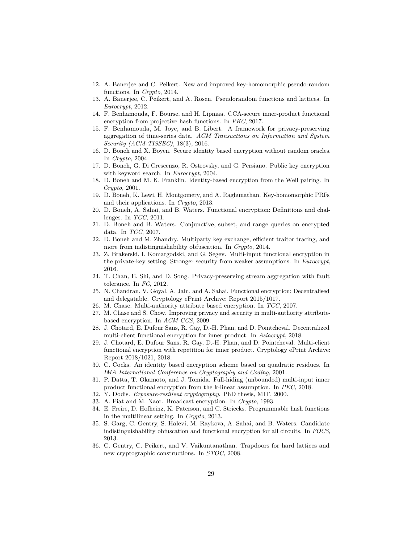- 12. A. Banerjee and C. Peikert. New and improved key-homomorphic pseudo-random functions. In *Crypto*, 2014.
- 13. A. Banerjee, C. Peikert, and A. Rosen. Pseudorandom functions and lattices. In *Eurocrypt*, 2012.
- 14. F. Benhamouda, F. Bourse, and H. Lipmaa. CCA-secure inner-product functional encryption from projective hash functions. In *PKC*, 2017.
- 15. F. Benhamouda, M. Joye, and B. Libert. A framework for privacy-preserving aggregation of time-series data. *ACM Transactions on Information and System Security (ACM-TISSEC)*, 18(3), 2016.
- 16. D. Boneh and X. Boyen. Secure identity based encryption without random oracles. In *Crypto*, 2004.
- 17. D. Boneh, G. Di Crescenzo, R. Ostrovsky, and G. Persiano. Public key encryption with keyword search. In *Eurocrypt*, 2004.
- 18. D. Boneh and M. K. Franklin. Identity-based encryption from the Weil pairing. In *Crypto*, 2001.
- 19. D. Boneh, K. Lewi, H. Montgomery, and A. Raghunathan. Key-homomorphic PRFs and their applications. In *Crypto*, 2013.
- 20. D. Boneh, A. Sahai, and B. Waters. Functional encryption: Definitions and challenges. In *TCC*, 2011.
- 21. D. Boneh and B. Waters. Conjunctive, subset, and range queries on encrypted data. In *TCC*, 2007.
- 22. D. Boneh and M. Zhandry. Multiparty key exchange, efficient traitor tracing, and more from indistinguishability obfuscation. In *Crypto*, 2014.
- 23. Z. Brakerski, I. Komargodski, and G. Segev. Multi-input functional encryption in the private-key setting: Stronger security from weaker assumptions. In *Eurocrypt*, 2016.
- 24. T. Chan, E. Shi, and D. Song. Privacy-preserving stream aggregation with fault tolerance. In *FC*, 2012.
- 25. N. Chandran, V. Goyal, A. Jain, and A. Sahai. Functional encryption: Decentralised and delegatable. Cryptology ePrint Archive: Report 2015/1017.
- 26. M. Chase. Multi-authority attribute based encryption. In *TCC*, 2007.
- 27. M. Chase and S. Chow. Improving privacy and security in multi-authority attributebased encryption. In *ACM-CCS*, 2009.
- 28. J. Chotard, E. Dufour Sans, R. Gay, D.-H. Phan, and D. Pointcheval. Decentralized multi-client functional encryption for inner product. In *Asiacrypt*, 2018.
- 29. J. Chotard, E. Dufour Sans, R. Gay, D.-H. Phan, and D. Pointcheval. Multi-client functional encryption with repetition for inner product. Cryptology ePrint Archive: Report 2018/1021, 2018.
- 30. C. Cocks. An identity based encryption scheme based on quadratic residues. In *IMA International Conference on Cryptography and Coding*, 2001.
- 31. P. Datta, T. Okamoto, and J. Tomida. Full-hiding (unbounded) multi-input inner product functional encryption from the k-linear assumption. In *PKC*, 2018.
- 32. Y. Dodis. *Exposure-resilient cryptography*. PhD thesis, MIT, 2000.
- 33. A. Fiat and M. Naor. Broadcast encryption. In *Crypto*, 1993.
- 34. E. Freire, D. Hofheinz, K. Paterson, and C. Striecks. Programmable hash functions in the multilinear setting. In *Crypto*, 2013.
- 35. S. Garg, C. Gentry, S. Halevi, M. Raykova, A. Sahai, and B. Waters. Candidate indistinguishability obfuscation and functional encryption for all circuits. In *FOCS*, 2013.
- 36. C. Gentry, C. Peikert, and V. Vaikuntanathan. Trapdoors for hard lattices and new cryptographic constructions. In *STOC*, 2008.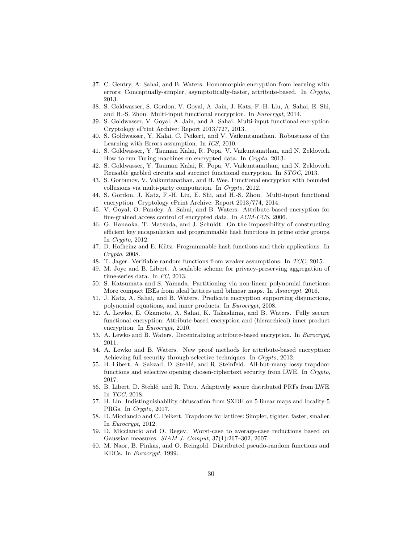- 37. C. Gentry, A. Sahai, and B. Waters. Homomorphic encryption from learning with errors: Conceptually-simpler, asymptotically-faster, attribute-based. In *Crypto*, 2013.
- 38. S. Goldwasser, S. Gordon, V. Goyal, A. Jain, J. Katz, F.-H. Liu, A. Sahai, E. Shi, and H.-S. Zhou. Multi-input functional encryption. In *Eurocrypt*, 2014.
- 39. S. Goldwasser, V. Goyal, A. Jain, and A. Sahai. Multi-input functional encryption. Cryptology ePrint Archive: Report 2013/727, 2013.
- 40. S. Goldwasser, Y. Kalai, C. Peikert, and V. Vaikuntanathan. Robustness of the Learning with Errors assumption. In *ICS*, 2010.
- 41. S. Goldwasser, Y. Tauman Kalai, R. Popa, V. Vaikuntanathan, and N. Zeldovich. How to run Turing machines on encrypted data. In *Crypto*, 2013.
- 42. S. Goldwasser, Y. Tauman Kalai, R. Popa, V. Vaikuntanathan, and N. Zeldovich. Reusable garbled circuits and succinct functional encryption. In *STOC*, 2013.
- 43. S. Gorbunov, V. Vaikuntanathan, and H. Wee. Functional encryption with bounded collusions via multi-party computation. In *Crypto*, 2012.
- 44. S. Gordon, J. Katz, F.-H. Liu, E. Shi, and H.-S. Zhou. Multi-input functional encryption. Cryptology ePrint Archive: Report 2013/774, 2014.
- 45. V. Goyal, O. Pandey, A. Sahai, and B. Waters. Attribute-based encryption for fine-grained access control of encrypted data. In *ACM-CCS*, 2006.
- 46. G. Hanaoka, T. Matsuda, and J. Schuldt. On the impossibility of constructing efficient key encapsulation and programmable hash functions in prime order groups. In *Crypto*, 2012.
- 47. D. Hofheinz and E. Kiltz. Programmable hash functions and their applications. In *Crypto*, 2008.
- 48. T. Jager. Verifiable random functions from weaker assumptions. In *TCC*, 2015.
- 49. M. Joye and B. Libert. A scalable scheme for privacy-preserving aggregation of time-series data. In *FC*, 2013.
- 50. S. Katsumata and S. Yamada. Partitioning via non-linear polynomial functions: More compact IBEs from ideal lattices and bilinear maps. In *Asiacrypt*, 2016.
- 51. J. Katz, A. Sahai, and B. Waters. Predicate encryption supporting disjunctions, polynomial equations, and inner products. In *Eurocrypt*, 2008.
- 52. A. Lewko, E. Okamoto, A. Sahai, K. Takashima, and B. Waters. Fully secure functional encryption: Attribute-based encryption and (hierarchical) inner product encryption. In *Eurocrypt*, 2010.
- 53. A. Lewko and B. Waters. Decentralizing attribute-based encryption. In *Eurocrypt*, 2011.
- 54. A. Lewko and B. Waters. New proof methods for attribute-based encryption: Achieving full security through selective techniques. In *Crypto*, 2012.
- 55. B. Libert, A. Sakzad, D. Stehlé, and R. Steinfeld. All-but-many lossy trapdoor functions and selective opening chosen-ciphertext security from LWE. In *Crypto*, 2017.
- 56. B. Libert, D. Stehlé, and R. Titiu. Adaptively secure distributed PRFs from LWE. In *TCC*, 2018.
- 57. H. Lin. Indistinguishability obfuscation from SXDH on 5-linear maps and locality-5 PRGs. In *Crypto*, 2017.
- 58. D. Micciancio and C. Peikert. Trapdoors for lattices: Simpler, tighter, faster, smaller. In *Eurocrypt*, 2012.
- 59. D. Micciancio and O. Regev. Worst-case to average-case reductions based on Gaussian measures. *SIAM J. Comput*, 37(1):267–302, 2007.
- 60. M. Naor, B. Pinkas, and O. Reingold. Distributed pseudo-random functions and KDCs. In *Eurocrypt*, 1999.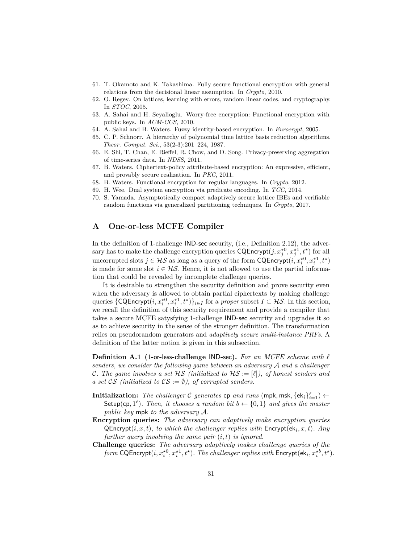- 61. T. Okamoto and K. Takashima. Fully secure functional encryption with general relations from the decisional linear assumption. In *Crypto*, 2010.
- 62. O. Regev. On lattices, learning with errors, random linear codes, and cryptography. In *STOC*, 2005.
- 63. A. Sahai and H. Seyalioglu. Worry-free encryption: Functional encryption with public keys. In *ACM-CCS*, 2010.
- 64. A. Sahai and B. Waters. Fuzzy identity-based encryption. In *Eurocrypt*, 2005.
- 65. C. P. Schnorr. A hierarchy of polynomial time lattice basis reduction algorithms. *Theor. Comput. Sci.*, 53(2-3):201–224, 1987.
- 66. E. Shi, T. Chan, E. Rieffel, R. Chow, and D. Song. Privacy-preserving aggregation of time-series data. In *NDSS*, 2011.
- 67. B. Waters. Ciphertext-policy attribute-based encryption: An expressive, efficient, and provably secure realization. In *PKC*, 2011.
- 68. B. Waters. Functional encryption for regular languages. In *Crypto*, 2012.
- 69. H. Wee. Dual system encryption via predicate encoding. In *TCC*, 2014.
- 70. S. Yamada. Asymptotically compact adaptively secure lattice IBEs and verifiable random functions via generalized partitioning techniques. In *Crypto*, 2017.

# **A One-or-less MCFE Compiler**

In the definition of 1-challenge IND-sec security, (i.e., Definition 2.12), the adversary has to make the challenge encryption queries  $\mathsf{CQProperty}t(j, x_j^{\star 0}, x_j^{\star 1}, t^{\star})$  for all uncorrupted slots  $j \in \mathcal{HS}$  as long as a query of the form  $\mathsf{CQProperty}(i, x_i^{*0}, x_i^{*1}, t^*)$ is made for some slot  $i \in \mathcal{HS}$ . Hence, it is not allowed to use the partial information that could be revealed by incomplete challenge queries.

It is desirable to strengthen the security definition and prove security even when the adversary is allowed to obtain partial ciphertexts by making challenge queries  $\{CQProperty(t, x_i^{*0}, x_i^{*1}, t^*)\}_{i \in I}$  for a *proper* subset  $I \subset \mathcal{HS}$ . In this section, we recall the definition of this security requirement and provide a compiler that takes a secure MCFE satysfying 1-challenge IND-sec security and upgrades it so as to achieve security in the sense of the stronger definition. The transformation relies on pseudorandom generators and *adaptively secure multi-instance PRFs*. A definition of the latter notion is given in this subsection.

**Definition A.1 (**1**-**or**-**less**-challenge** IND**-**sec**).** *For an MCFE scheme with ` senders, we consider the following game between an adversary* A *and a challenger C.* The game involves a set  $HS$  (initialized to  $HS := [\ell]$ ), of honest senders and *a set*  $\mathcal{CS}$  *(initialized to*  $\mathcal{CS} := \emptyset$ *), of corrupted senders.* 

- **Initialization:** The challenger C generates  $\mathsf{cp}$  and runs  $(\mathsf{mpk}, \mathsf{msk}, \{\mathsf{ek}_i\}_{i=1}^{\ell}) \leftarrow$ Setup(cp,  $1^{\ell}$ ). Then, it chooses a random bit  $b \leftarrow \{0, 1\}$  and gives the master *public key* mpk *to the adversary* A*.*
- **Encryption queries:** *The adversary can adaptively make encryption queries*  $\mathsf{QProperty}(i, x, t)$ *, to which the challenger replies with*  $\mathsf{Encrypt}(\mathsf{ek}_i, x, t)$ *. Any further query involving the same pair* (*i, t*) *is ignored.*
- **Challenge queries:** *The adversary adaptively makes challenge queries of the form* CQEncrypt $(i, x_i^{*0}, x_i^{*1}, t^{\star})$ *. The challenger replies with* Encrypt $(\mathsf{ek}_i, x_i^{*b}, t^{\star})$ *.*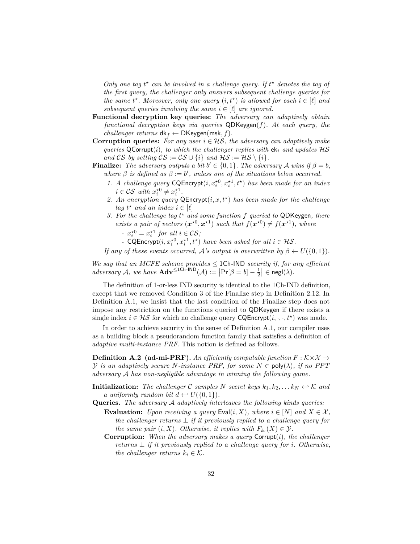Only one tag  $t^*$  can be involved in a challenge query. If  $t^*$  denotes the tag of *the first query, the challenger only answers subsequent challenge queries for the same*  $t^*$ *. Moreover, only one query*  $(i, t^*)$  *is allowed for each*  $i \in [\ell]$  *and subsequent queries involving the same*  $i \in [\ell]$  *are ignored.* 

- **Functional decryption key queries:** *The adversary can adaptively obtain functional decryption keys via queries* QDKeygen(*f*)*. At each query, the challenger returns*  $dk_f \leftarrow DK$ eygen(msk, f).
- **Corruption queries:** *For any user*  $i \in \mathcal{HS}$ , *the adversary can adaptively make queries* QCorrupt(*i*)*, to which the challenger replies with*  $ek_i$  *and updates*  $HS$ *and* CS *by setting*  $CS := CS \cup \{i\}$  *and*  $HS := HS \setminus \{i\}$ *.*
- **Finalize:** *The adversary outputs a bit*  $b' \in \{0, 1\}$ *. The adversary A wins* if  $\beta = b$ *, where*  $\beta$  *is defined as*  $\beta := b'$ , *unless one of the situations below occurred.* 
	- 1. *A challenge query* CQEncrypt $(i, x_i^{\star 0}, x_i^{\star 1}, t^{\star})$  *has been made for an index*  $i \in \mathcal{CS}$  *with*  $x_i^{\star 0} \neq x_i^{\star 1}$ *.*
	- *2. An encryption query* QEncrypt(*i, x, t?* ) *has been made for the challenge tag*  $t^*$  *and an index*  $i \in [\ell]$
	- *3. For the challenge tag t ? and some function f queried to* QDKeygen*, there exists a pair of vectors*  $(x^{*0}, x^{*1})$  *such that*  $f(x^{*0}) \neq f(x^{*1})$ *, where* 
		- *–*  $x_i^{\star 0} = x_i^{\star 1}$  for all  $i \in \mathcal{CS}$ ;
		- *-* CQEncrypt $(i, x_i^{*0}, x_i^{*1}, t^*)$  *have been asked for all*  $i \in \mathcal{HS}$ *.*

*If any of these events occurred,*  $\mathcal{A}$ 's *output is overwritten by*  $\beta \leftarrow U(\{0,1\})$ *.* 

*We say that an MCFE scheme provides*  $\leq$  1Ch-IND *security if, for any efficient*  $adversary \mathcal{A}$ , we have  $\mathbf{Adv}^{\leq 1Ch-IND}(\mathcal{A}) := \left| \Pr[\beta = b] - \frac{1}{2} \right| \in negl(\lambda)$ .

The definition of 1-or-less IND security is identical to the 1Ch-IND definition, except that we removed Condition 3 of the Finalize step in Definition 2*.*12. In Definition A.1, we insist that the last condition of the Finalize step does not impose any restriction on the functions queried to QDKeygen if there exists a single index  $i \in \mathcal{HS}$  for which no challenge query  $CQEncrypt(i, \cdot, \cdot, t^*)$  was made.

In order to achieve security in the sense of Definition A.1, our compiler uses as a building block a pseudorandom function family that satisfies a definition of *adaptive multi-instance PRF*. This notion is defined as follows.

**Definition A.2** (ad-mi-PRF). An efficiently computable function  $F : K \times X \rightarrow$ *Y is an adaptively secure N-instance PRF, for some*  $N \in \text{poly}(\lambda)$ *, if no PPT adversary* A *has non-negligible advantage in winning the following game.*

- **Initialization:** The challenger C samples N secret keys  $k_1, k_2, \ldots k_N \leftrightarrow K$  and *a* uniformly random bit  $d \leftarrow U(\{0, 1\})$ .
- **Queries.** *The adversary* A *adaptively interleaves the following kinds queries:*
	- **Evaluation:** *Upon receiving a query*  $\textsf{Eval}(i, X)$ *, where*  $i \in [N]$  *and*  $X \in \mathcal{X}$ *, the challenger returns* ⊥ *if it previously replied to a challenge query for the same pair*  $(i, X)$ *. Otherwise, it replies with*  $F_{k_i}(X) \in \mathcal{Y}$ *.*
	- **Corruption:** *When the adversary makes a query* Corrupt(*i*)*, the challenger returns*  $\perp$  *if it previously replied to a challenge query for <i>i. Otherwise, the challenger returns*  $k_i \in \mathcal{K}$ .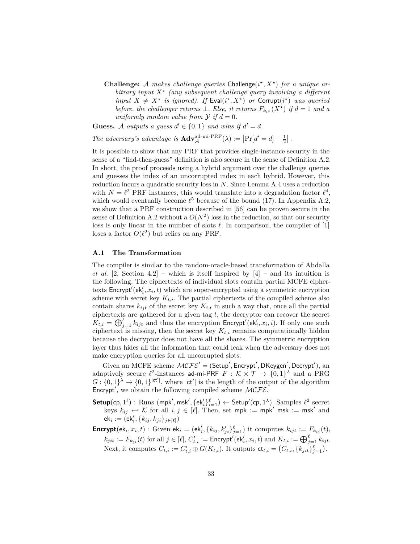**Challenge:** A makes challenge queries Challenge( $i^*$ ,  $X^*$ ) for a unique ar*bitrary input X? (any subsequent challenge query involving a different input*  $X \neq X^*$  *is ignored). If* Eval( $i^*, X^*$ ) *or* Corrupt( $i^*$ ) *was queried before, the challenger returns*  $\perp$ *. Else, it returns*  $F_{k_i}(X^*)$  *if*  $d = 1$  *and a uniformly random value from*  $\mathcal{Y}$  *if*  $d = 0$ *.* 

**Guess.** A *outputs* a guess  $d' \in \{0, 1\}$  and wins if  $d' = d$ .

The adversary's advantage is  $\mathbf{Adv}_{\mathcal{A}}^{\text{ad-min-PRF}}(\lambda) := \left| \Pr[d' = d] - \frac{1}{2} \right|$ .

It is possible to show that any PRF that provides single-instance security in the sense of a "find-then-guess" definition is also secure in the sense of Definition A.2. In short, the proof proceeds using a hybrid argument over the challenge queries and guesses the index of an uncorrupted index in each hybrid. However, this reduction incurs a quadratic security loss in *N*. Since Lemma A.4 uses a reduction with  $N = \ell^2$  PRF instances, this would translate into a degradation factor  $\ell^4$ , which would eventually become  $\ell^5$  because of the bound (17). In Appendix A.2, we show that a PRF construction described in [56] can be proven secure in the sense of Definition A.2 without a  $O(N^2)$  loss in the reduction, so that our security loss is only linear in the number of slots  $\ell$ . In comparison, the compiler of  $[1]$ loses a factor  $O(\ell^2)$  but relies on any PRF.

# **A.1 The Transformation**

The compiler is similar to the random-oracle-based transformation of Abdalla *et al.* [2, Section 4.2] – which is itself inspired by  $[4]$  – and its intuition is the following. The ciphertexts of individual slots contain partial MCFE ciphertexts  $\mathsf{Encrypt}'(\mathsf{ek}'_i, x_i, t)$  which are super-encrypted using a symmetric encryption scheme with secret key  $K_{t,i}$ . The partial ciphertexts of the compiled scheme also contain shares  $k_{ijt}$  of the secret key  $K_{i,t}$  in such a way that, once all the partial ciphertexts are gathered for a given tag *t*, the decryptor can recover the secret  $K_{t,i} = \bigoplus_{j=1}^{\ell} k_{ijt}$  and thus the encryption Encrypt<sup>'</sup>( $ek'_i, x_i, i$ ). If only one such ciphertext is missing, then the secret key  $K_{t,i}$  remains computationally hidden because the decryptor does not have all the shares. The symmetric encryption layer thus hides all the information that could leak when the adversary does not make encryption queries for all uncorrupted slots.

Given an MCFE scheme  $MCFE' = (Setup', Encryption', DKeygen', Decrypt'),$  and adaptively secure  $\ell^2$ -instances ad-mi-PRF  $F : \mathcal{K} \times \mathcal{T} \to \{0,1\}^{\lambda}$  and a PRG  $G: \{0,1\}^{\lambda} \to \{0,1\}^{|\mathsf{ct}^{\prime}|}$ , where  $|\mathsf{ct}^{\prime}|$  is the length of the output of the algorithm Encrypt', we obtain the following compiled scheme  $MCFE$ .

- $\mathsf{Setup}(\mathsf{cp}, 1^\ell): \ \mathsf{Runs}\;(\mathsf{mpk}', \mathsf{msk}', \{\mathsf{ek}'_i\}_{i=1}^\ell) \leftarrow \mathsf{Setup}'(\mathsf{cp}, 1^\lambda). \ \mathsf{Samples}\;\ell^2\;\mathrm{secret}$ keys  $k_{ij} \leftrightarrow \mathcal{K}$  for all  $i, j \in [\ell]$ . Then, set mpk := mpk' msk := msk' and  $\mathsf{ek}_i := \big(\mathsf{\acute{e}k}'_i, \{k_{ij},k_{ji}\}_{j \in [\ell]}\big)$
- **Encrypt** $(\mathsf{ek}_i, x_i, t)$ : Given  $\mathsf{ek}_i = (\mathsf{ek}'_i, \{k_{ij}, k'_{ji}\}_{j=1}^\ell)$  it computes  $k_{ijt} := F_{k_{ij}}(t)$ ,  $k_{jit} := F_{k_{ji}}(t)$  for all  $j \in [\ell],\, C_{t,i}' := \mathsf{Energy}'(\mathsf{ek}'_i,x_i,t)$  and  $K_{t,i} := \bigoplus_{j=1}^\ell k_{ijt}.$ Next, it computes  $C_{t,i} := C'_{t,i} \oplus G(K_{t,i})$ . It outputs  $\mathsf{ct}_{t,i} = (C_{t,i}, \{k_{jit}\}_{j=1}^{\ell})$ .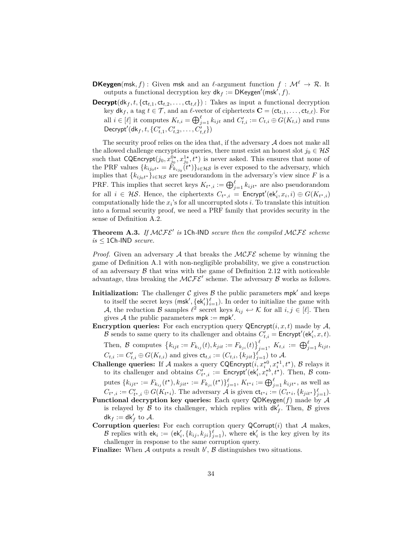- **DKeygen**(msk, f) : Given msk and an  $\ell$ -argument function  $f : \mathcal{M}^{\ell} \to \mathcal{R}$ . It outputs a functional decryption key  $dk_f := \mathsf{DKeygen}'(\mathsf{msk}', f)$ .
- **Decrypt**( $dk_f$ ,  $t$ , { $ct_{t,1}$ ,  $ct_{t,2}$ , . . . ,  $ct_{t,\ell}$ }) : Takes as input a functional decryption key  $dk_f$ , a tag  $t \in \mathcal{T}$ , and an  $\ell$ -vector of ciphertexts  $\mathbf{C} = (\mathsf{ct}_{t,1}, \ldots, \mathsf{ct}_{t,\ell})$ . For all  $i \in [\ell]$  it computes  $K_{t,i} = \bigoplus_{j=1}^{\ell} k_{ijt}$  and  $C'_{t,i} := C_{t,i} \oplus G(K_{t,i})$  and runs  $\mathsf{Decrypt}'(\mathsf{dk}_f, t, \{C'_{t,1}, C'_{t,2}, \ldots, C'_{t,\ell}\})$

The security proof relies on the idea that, if the adversary  $A$  does not make all the allowed challenge encryptions queries, there must exist an honest slot  $j_0 \in \mathcal{HS}$ such that  $CQProperty(f_0, x_{j_0}^{0*}, x_{j_0}^{1*}, t^*)$  is never asked. This ensures that none of the PRF values  ${k_{ij_0t}} \neq \tilde{F}_{k_{ij_0}}(\tilde{t}^*)\}_{i \in \mathcal{H}\mathcal{S}}$  is ever exposed to the adversary, which implies that  ${k_{ij_0t}}$ ,  ${k_{i\neq0}}$  are pseudorandom in the adversary's view since F is a PRF. This implies that secret keys  $K_{t^*,i} := \bigoplus_{j=1}^{\ell} k_{ij}t^*$  are also pseudorandom for all  $i \in \mathcal{HS}$ . Hence, the ciphertexts  $C_{t^*,i}$  = Encrypt'(ek'<sub>i</sub>, x<sub>i</sub>, i)  $\oplus$   $G(K_{t^*,i})$ computationally hide the *x<sup>i</sup>* 's for all uncorrupted slots *i*. To translate this intuition into a formal security proof, we need a PRF family that provides security in the sense of Definition A.2.

**Theorem A.3.** If  $MCFE'$  is 1Ch-IND secure then the compiled  $MCFE$  scheme  $is \leq 1$ Ch-IND *secure*.

*Proof.* Given an adversary A that breaks the  $MCFE$  scheme by winning the game of Definition A.1 with non-negligible probability, we give a construction of an adversary  $\beta$  that wins with the game of Definition 2.12 with noticeable advantage, thus breaking the  $MCFE'$  scheme. The adversary  $B$  works as follows.

- **Initialization:** The challenger  $\mathcal{C}$  gives  $\mathcal{B}$  the public parameters mpk<sup>'</sup> and keeps to itself the secret keys  $(msk', \{ek'_i\}_{i=1}^{\ell})$ . In order to initialize the game with A, the reduction B samples  $\ell^2$  secret keys  $k_{ij} \leftrightarrow \mathcal{K}$  for all  $i, j \in [\ell]$ . Then gives A the public parameters  $mpk := mpk'$ .
- **Encryption queries:** For each encryption query  $\mathsf{QProperty}(i, x, t)$  made by  $\mathcal{A}$ , B sends to same query to its challenger and obtains  $C'_{t,i} =$  Encrypt'( $ek'_i, x, t$ ).

Then, B computes  ${k_{ijt} := F_{k_{ij}}(t), k_{jit} := F_{k_{ji}}(t)}_{j=1}^{\ell}, K_{t,i} := \bigoplus_{j=1}^{\ell} k_{ijt}$  $C_{t,i} := C'_{t,i} \oplus G(K_{t,i})$  and gives  $\mathsf{ct}_{t,i} := (C_{t,i}, \{k_{jit}\}_{j=1}^{\ell})$  to A.

- **Challenge queries:** If A makes a query  $\text{CQProperty}(i, x_i^{*0}, x_i^{*1}, t^*)$ , B relays it to its challenger and obtains  $C'_{t^*,i} := \textsf{Encrypt}'(\textsf{ek}'_i, x_i^{*b}, t^*)$ . Then, B computes  ${k_{ijt}} := F_{k_{ij}}(t^{\star}), k_{jit^{\star}} := F_{k_{ji}}(t^{\star})\}_{j=1}^{\ell}, K_{t^{\star}i} := \bigoplus_{j=1}^{\ell} k_{ijt^{\star}},$  as well as  $C_{t^*,i} := C'_{t^*,i} \oplus G(K_{t^*i})$ . The adversary A is given  $\mathsf{ct}_{t^*i} := (C_{t^*i}, \{k_{jit^*}\}_{j=1}^{\ell})$ .
- **Functional decryption key queries:** Each query QDKeygen( $f$ ) made by  $A$ is relayed by  $\beta$  to its challenger, which replies with  $dk'_f$ . Then,  $\beta$  gives  $dk_f := dk'_f$  to  $\mathcal{A}.$
- **Corruption queries:** For each corruption query  $Q$ Corrupt $(i)$  that A makes, B replies with  $ek_i := (ek'_i, \{k_{ij}, k_{ji}\}_{j=1}^{\ell}),$  where  $ek'_i$  is the key given by its challenger in response to the same corruption query.
- **Finalize:** When  $A$  outputs a result  $b'$ ,  $B$  distinguishes two situations.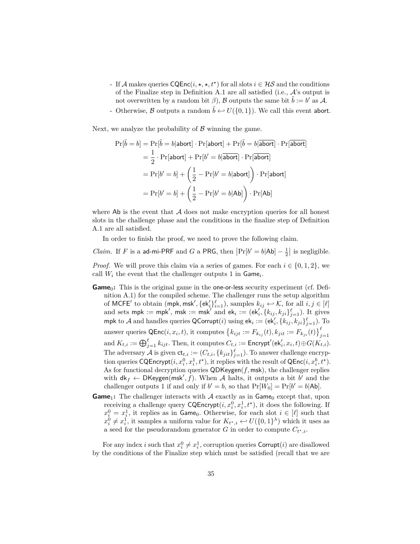- If A makes queries  $\text{CQEnc}(i, \star, \star, t^*)$  for all slots  $i \in \mathcal{HS}$  and the conditions of the Finalize step in Definition A.1 are all satisfied (i.e.,  $\mathcal{A}$ 's output is not overwritten by a random bit  $\beta$ ), B outputs the same bit  $\tilde{b} := b'$  as A.
- Otherwise,  $\beta$  outputs a random  $\tilde{b} \leftrightarrow U(\{0, 1\})$ . We call this event abort.

Next, we analyze the probability of  $\beta$  winning the game.

$$
\Pr[\tilde{b} = b] = \Pr[\tilde{b} = b | \text{abort}] \cdot \Pr[\text{abort}] + \Pr[\tilde{b} = b | \overline{\text{abort}}] \cdot \Pr[\overline{\text{abort}}]
$$
\n
$$
= \frac{1}{2} \cdot \Pr[\text{abort}] + \Pr[b' = b | \overline{\text{abort}}] \cdot \Pr[\overline{\text{abort}}]
$$
\n
$$
= \Pr[b' = b] + \left(\frac{1}{2} - \Pr[b' = b | \text{abort}]\right) \cdot \Pr[\text{abort}]
$$
\n
$$
= \Pr[b' = b] + \left(\frac{1}{2} - \Pr[b' = b | \text{Ab}]\right) \cdot \Pr[\text{Ab}]
$$

where  $\Delta b$  is the event that  $\mathcal A$  does not make encryption queries for all honest slots in the challenge phase and the conditions in the finalize step of Definition A.1 are all satisfied.

In order to finish the proof, we need to prove the following claim.

*Claim.* If *F* is a ad-mi-PRF and *G* a PRG, then  $|\Pr[b' = b | \text{Ab}] - \frac{1}{2}|$  is negligible.

*Proof.* We will prove this claim via a series of games. For each  $i \in \{0, 1, 2\}$ , we call  $W_i$  the event that the challenger outputs 1 in  $\mathsf{Game}_i$ .

- **Game**<sub>0</sub>: This is the original game in the one-or-less security experiment (cf. Definition A.1) for the compiled scheme. The challenger runs the setup algorithm of MCFE<sup>'</sup> to obtain (mpk, msk', {ek'<sub>i</sub>} ${}_{i=1}^{\ell}$ ), samples  $k_{ij} \leftarrow \mathcal{K}$ , for all  $i, j \in [\ell]$ and sets mpk := mpk', msk := msk' and ek<sub>i</sub> := (ek'<sub>i</sub>, { $k_{ij}$ ,  $k_{ji}$ } $_{j=1}^{\ell}$ ). It gives  $m$ pk to  $\mathcal A$  and handles queries  $\mathsf{QCorrupt}(i)$  using  $\mathsf{ek}_i := (\mathsf{ek}'_i, \{k_{ij}, k_{ji}\}_{j=1}^\ell)$ . To answer queries  $\mathsf{QEnc}(i, x_i, t)$ , it computes  $\left\{ k_{ijt} := F_{k_{ij}}(t), k_{jit} := F_{k_{ji}}(t) \right\}_{j=1}^{\ell}$  $\text{and } K_{t,i} := \bigoplus_{j=1}^{\ell} k_{ijt}. \text{ Then, it computes } C_{t,i} := \mathsf{Energy}'(\mathsf{ek}'_i, x_i, t) \oplus G(K_{t,i}).$ The adversary  $\mathcal A$  is given  $\mathsf{ct}_{t,i} := (C_{t,i}, \{k_{jit}\}_{j=1}^{\ell})$ . To answer challenge encryption queries  $\mathsf{CQProperty}(i, x_i^0, x_i^1, t^*)$ , it replies with the result of  $\mathsf{QEnc}(i, x_i^b, t^*)$ . As for functional decryption queries QDKeygen(*f,* msk), the challenger replies with  $dk_f \leftarrow \text{DKeygen}(\text{msk}', f)$ . When A halts, it outputs a bit *b'* and the challenger outputs 1 if and only if  $b' = b$ , so that  $Pr[W_0] = Pr[b' = b | Ab]$ .
- **Game**<sub>1</sub>: The challenger interacts with  $A$  exactly as in Game<sub>0</sub> except that, upon receiving a challenge query  $\mathsf{CQProperty}(i, x_i^0, x_i^1, t^*)$ , it does the following. If  $x_i^0 = x_i^1$ , it replies as in Game<sub>0</sub>. Otherwise, for each slot  $i \in [\ell]$  such that  $x_i^0 \neq x_i^1$ , it samples a uniform value for  $K_{t^*,i} \leftarrow U(\{0,1\}^{\lambda})$  which it uses as a seed for the pseudorandom generator *G* in order to compute  $C_{t^*,i}$ .

For any index *i* such that  $x_i^0 \neq x_i^1$ , corruption queries Corrupt(*i*) are disallowed by the conditions of the Finalize step which must be satisfied (recall that we are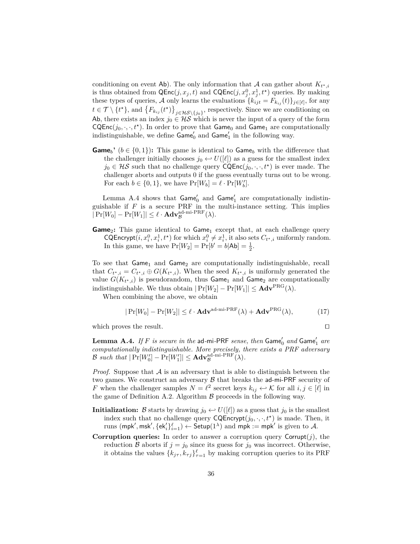conditioning on event Ab). The only information that A can gather about  $K_{t^*,i}$ is thus obtained from  $\mathsf{QEnc}(j, x_j, t)$  and  $\mathsf{CQEnc}(j, x_j^0, x_j^1, t^{\star})$  queries. By making these types of queries, A only learns the evaluations  ${k_{ijt} = F_{k_{ij}}(t)}_{j \in [\ell]}$ , for any  $t \in \mathcal{T} \setminus \{t^{\star}\}\text{, and }\{F_{k_{ij}}(t^{\star})\}_{j\in\mathcal{HS}\setminus\{j_0\}}\text{, respectively. Since we are conditioning on }$ Ab, there exists an index  $j_0 \in \mathcal{HS}$  which is never the input of a query of the form  $CQEnc(j_0, \cdot, \cdot, t^*)$ . In order to prove that  $Game_0$  and  $Game_1$  are computationally indistinguishable, we define  $\mathsf{Game}'_0$  and  $\mathsf{Game}'_1$  in the following way.

**Game**<sub>*b*</sub><sup> $\prime$ </sup> ( $b \in \{0,1\}$ ): This game is identical to Game<sub>*b*</sub> with the difference that the challenger initially chooses  $j_0 \leftrightarrow U([\ell])$  as a guess for the smallest index  $j_0 \in \mathcal{HS}$  such that no challenge query  $\mathsf{CQEnc}(j_0, \cdot, \cdot, t^*)$  is ever made. The challenger aborts and outputs 0 if the guess eventually turns out to be wrong. For each  $b \in \{0, 1\}$ , we have  $\Pr[W_b] = \ell \cdot \Pr[W'_b]$ .

Lemma A.4 shows that  $\mathsf{Game}'_0$  and  $\mathsf{Game}'_1$  are computationally indistinguishable if  $F$  is a secure PRF in the multi-instance setting. This implies  $|\Pr[W_0] - \Pr[W_1]| \leq \ell \cdot \mathbf{Adv}_{\mathcal{B}}^{\text{ad-min-PRF}}(\lambda).$ 

**Game**<sub>2</sub>: This game identical to Game<sub>1</sub> except that, at each challenge query CQEncrypt $(i, x_i^0, x_i^1, t^*)$  for which  $x_i^0 \neq x_i^1$ , it also sets  $C_{t^*, i}$  uniformly random. In this game, we have  $Pr[W_2] = Pr[b' = b | \mathsf{Ab}] = \frac{1}{2}$ .

To see that  $Game<sub>1</sub>$  and  $Game<sub>2</sub>$  are computationally indistinguishable, recall that  $C_{t^*,i} = C_{t^*,i} \oplus G(K_{t^*,i})$ . When the seed  $K_{t^*,i}$  is uniformly generated the value  $G(K_{t^*,i})$  is pseudorandom, thus  $Game_1$  and  $Game_2$  are computationally indistinguishable. We thus obtain  $|Pr[W_2] - Pr[W_1]| \leq \mathbf{Adv}^{PRG}(\lambda)$ .

When combining the above, we obtain

$$
|\Pr[W_0] - \Pr[W_2]| \le \ell \cdot \mathbf{Adv}^{\text{ad-mi-PRF}}(\lambda) + \mathbf{Adv}^{\text{PRG}}(\lambda),
$$
 (17)

which proves the result.  $\Box$ 

 $\bf{Lemma \,\,A.4.} \,\, If \, F \,\, is \,\, secure \,\, in \,\, the \,\,ad{\text{-}}\bf{m}i{\text{-}}\textsf{PRF} \,\, sense, \,\,then \,\, \bf{Game}^{\prime}_0 \,\, and \,\, \bf{Game}^{\prime}_1 \,\, are \,\,}$ *computationally indistinguishable. More precisely, there exists a PRF adversary*  $\mathcal{B}$  such that  $|\Pr[W_0'] - \Pr[W_1']| \leq \mathbf{Adv}_{\mathcal{B}}^{\text{ad-min-PRF}}(\lambda)$ *.* 

*Proof.* Suppose that  $\mathcal A$  is an adversary that is able to distinguish between the two games. We construct an adversary  $\mathcal B$  that breaks the ad-mi-PRF security of *F* when the challenger samples  $N = \ell^2$  secret keys  $k_{ij} \leftrightarrow \mathcal{K}$  for all  $i, j \in [\ell]$  in the game of Definition A.2. Algorithm  $\beta$  proceeds in the following way.

- **Initialization:** B starts by drawing  $j_0 \leftrightarrow U([\ell])$  as a guess that  $j_0$  is the smallest index such that no challenge query  $\mathsf{CQProperty}(j_0, \cdot, \cdot, t^{\star})$  is made. Then, it  $\text{runs } (\mathsf{mpk}', \mathsf{msk}', \{\mathsf{ek}'_i\}_{i=1}^{\ell}) \leftarrow \mathsf{Setup}(1^{\lambda}) \text{ and } \mathsf{mpk} := \mathsf{mpk}' \text{ is given to } \mathcal{A}.$
- **Corruption queries:** In order to answer a corruption query  $\text{Corrupt}(j)$ , the reduction B aborts if  $j = j_0$  since its guess for  $j_0$  was incorrect. Otherwise, it obtains the values  $\{k_{j\tau}, k_{\tau j}\}_{\tau=1}^{\ell}$  by making corruption queries to its PRF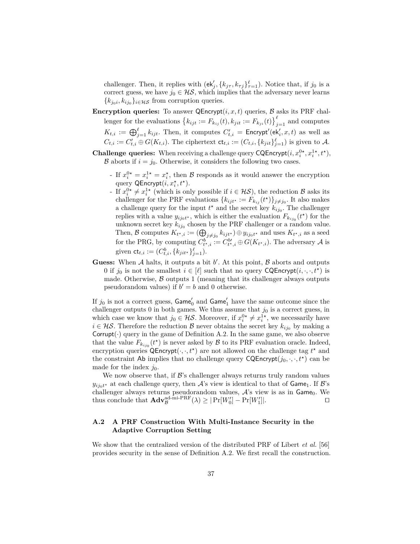challenger. Then, it replies with  $(\mathsf{ek}'_j, \{k_{j\tau}, k_{\tau j}\}_{\tau=1}^{\ell})$ . Notice that, if  $j_0$  is a correct guess, we have  $j_0 \in \mathcal{HS}$ , which implies that the adversary never learns  ${k_{j_0}}_i, k_{ij_0}$ <sub>*i*∈HS</sub> from corruption queries.

- **Encryption queries:** To answer  $\mathsf{QProperty}(i, x, t)$  queries,  $\mathcal{B}$  asks its PRF challenger for the evaluations  $\{k_{ijt} := F_{k_{ij}}(t), k_{jit} := F_{k_{ji}}(t)\}_{j=1}^{\ell}$  and computes  $K_{t,i} := \bigoplus_{j=1}^{\ell} k_{ijt}$ . Then, it computes  $C'_{t,i} = \mathsf{Encrypt}'(\mathsf{ek}'_i, x, t)$  as well as  $C_{t,i} := C'_{t,i} \oplus G(K_{t,i}).$  The ciphertext  $\mathsf{ct}_{t,i} := (C_{t,i}, \{k_{jit}\}_{j=1}^{\ell})$  is given to A.
- **Challenge queries:** When receiving a challenge query CQEncrypt $(i, x_i^{0*}, x_i^{1*}, t^*)$ , B aborts if  $i = j_0$ . Otherwise, it considers the following two cases.
	- If  $x_i^{0*} = x_i^{1*} = x_i^*$ , then B responds as it would answer the encryption query QEncrypt $(i, x_i^{\star}, t^{\star})$ .
	- <sup>2</sup> If  $x_i^{0*} \neq x_i^{1*}$  (which is only possible if *i* ∈ HS), the reduction B asks its challenger for the PRF evaluations  ${k_{ijt*} := F_{k_{ij}}(t*)}_{j \neq j_0}$ . It also makes a challenge query for the input  $t^*$  and the secret key  $k_{ij_0}$ . The challenger replies with a value  $y_{ij_0t}$ <sup>\*</sup>, which is either the evaluation  $F_{k_{ij_0}}(t^*)$  for the unknown secret key  $k_{ij_0}$  chosen by the PRF challenger or a random value. Then, B computes  $K_{t^*,i} := (\bigoplus_{j \neq j_0} k_{ijt^*}) \oplus y_{ij_0t^*}$  and uses  $K_{t^*,i}$  as a seed for the PRG, by computing  $C_{t^{\star},i}^{b} := C_{t^{\star},i}^{b\prime} \oplus G(K_{t^{\star},i})$ . The adversary A is given  $\mathsf{ct}_{t,i} := (C^b_{t,i}, \{k_{jit^*}\}_{j=1}^{\ell}).$
- **Guess:** When  $A$  halts, it outputs a bit  $b'$ . At this point,  $B$  aborts and outputs 0 if  $j_0$  is not the smallest  $i \in [\ell]$  such that no query CQEncrypt $(i, \cdot, \cdot, t^*)$  is made. Otherwise,  $\beta$  outputs 1 (meaning that its challenger always outputs pseudorandom values) if  $b' = b$  and 0 otherwise.

If  $j_0$  is not a correct guess,  $\mathsf{Game}'_0$  and  $\mathsf{Game}'_1$  have the same outcome since the challenger outputs 0 in both games. We thus assume that  $j_0$  is a correct guess, in which case we know that  $j_0 \in \mathcal{HS}$ . Moreover, if  $x_i^{0*} \neq x_i^{1*}$ , we necessarily have *i* ∈ *HS*. Therefore the reduction *B* never obtains the secret key  $k_{ij0}$  by making a Corrupt $(\cdot)$  query in the game of Definition A.2. In the same game, we also observe that the value  $F_{k_{ij_0}}(t^*)$  is never asked by  $\mathcal B$  to its PRF evaluation oracle. Indeed, encryption queries  $\mathsf{QPropertyt}(\cdot, \cdot, t^{\star})$  are not allowed on the challenge tag  $t^{\star}$  and the constraint Ab implies that no challenge query  $CQEncrypt(j_0, \cdot, \cdot, t^*)$  can be made for the index  $j_0$ .

We now observe that, if  $\mathcal{B}$ 's challenger always returns truly random values  $y_{ij_0t^*}$  at each challenge query, then  $\mathcal{A}$ 's view is identical to that of Game<sub>1</sub>. If  $\mathcal{B}$ 's challenger always returns pseudorandom values,  $A$ 's view is as in Game<sub>0</sub>. We thus conclude that  $\mathbf{Adv}_{\mathcal{B}}^{\mathrm{ad-min-PRF}}(\lambda) \geq |\Pr[W_0'] - \Pr[W_1']$ ]|*.* ut

# **A.2 A PRF Construction With Multi-Instance Security in the Adaptive Corruption Setting**

We show that the centralized version of the distributed PRF of Libert *et al.* [56] provides security in the sense of Definition A.2. We first recall the construction.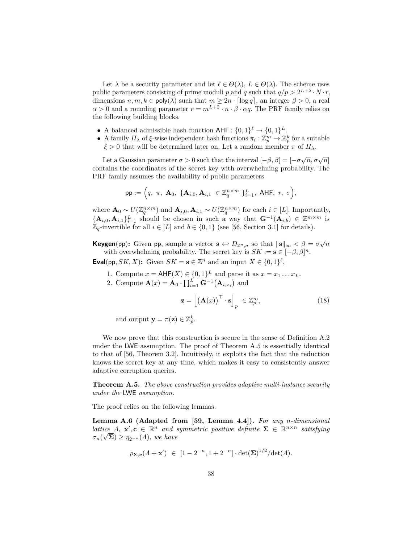Let  $\lambda$  be a security parameter and let  $\ell \in \Theta(\lambda)$ ,  $L \in \Theta(\lambda)$ . The scheme uses public parameters consisting of prime moduli *p* and *q* such that  $q/p > 2^{L+\lambda} \cdot N \cdot r$ , dimensions  $n, m, k \in \text{poly}(\lambda)$  such that  $m \geq 2n \cdot \lceil \log q \rceil$ , an integer  $\beta > 0$ , a real  $\alpha > 0$  and a rounding parameter  $r = m^{L+2} \cdot n \cdot \beta \cdot \alpha q$ . The PRF family relies on the following building blocks.

- A balanced admissible hash function  $\mathsf{AHF} : \{0,1\}^{\ell} \to \{0,1\}^L$ .
- A family  $\Pi_{\lambda}$  of  $\xi$ -wise independent hash functions  $\pi_i : \mathbb{Z}_p^m \to \mathbb{Z}_p^k$  for a suitable *ξ >* 0 that will be determined later on. Let a random member *π* of *Πλ*.

Let a Gaussian parameter  $\sigma > 0$  such that the interval  $[-\beta, \beta] = [-\sigma\sqrt{n}, \sigma\sqrt{n}]$ contains the coordinates of the secret key with overwhelming probability. The PRF family assumes the availability of public parameters

$$
\mathsf{pp} := \Big( q, \; \pi, \; \mathbf{A}_0, \; \{ \mathbf{A}_{i,0}, \mathbf{A}_{i,1} \; \in \mathbb{Z}_q^{n \times m} \; \}_{i=1}^L, \; \mathsf{AHF}, \; r, \; \sigma \Big),
$$

where  $\mathbf{A}_0 \sim U(\mathbb{Z}_q^{n \times m})$  and  $\mathbf{A}_{i,0}, \mathbf{A}_{i,1} \sim U(\mathbb{Z}_q^{n \times m})$  for each  $i \in [L]$ . Importantly,  ${ {\bf A}_{i,0}, {\bf A}_{i,1} }_{i=1}^L$  should be chosen in such a way that  ${{\bf G}}^{-1}({\bf A}_{i,b}) \in \mathbb{Z}^{m \times m}$  is  $\mathbb{Z}_q$ -invertible for all  $i \in [L]$  and  $b \in \{0,1\}$  (see [56, Section 3.1] for details).

**Keygen**(pp): Given pp, sample a vector  $\mathbf{s} \leftrightarrow D_{\mathbb{Z}^n, \sigma}$  so that  $\|\mathbf{s}\|_{\infty} < \beta = \sigma \sqrt{n}$ with overwhelming probability. The secret key is  $SK := \mathbf{s} \in [-\beta, \beta]^n$ .

**Eval**(pp, *SK, X*): Given *SK* =  $\mathbf{s} \in \mathbb{Z}^n$  and an input  $X \in \{0,1\}^{\ell}$ ,

1. Compute  $x = \mathsf{AHF}(X) \in \{0,1\}^L$  and parse it as  $x = x_1 \dots x_L$ .

2. Compute  $\mathbf{A}(x) = \mathbf{A}_0 \cdot \prod_{i=1}^L \mathbf{G}^{-1}(\mathbf{A}_{i,x_i})$  and

$$
\mathbf{z} = \left[ \left( \mathbf{A}(x) \right)^{\top} \cdot \mathbf{s} \right]_p \in \mathbb{Z}_p^m,
$$
 (18)

and output  $\mathbf{y} = \pi(\mathbf{z}) \in \mathbb{Z}_p^k$ .

We now prove that this construction is secure in the sense of Definition A.2 under the LWE assumption. The proof of Theorem A.5 is essentially identical to that of [56, Theorem 3.2]. Intuitively, it exploits the fact that the reduction knows the secret key at any time, which makes it easy to consistently answer adaptive corruption queries.

**Theorem A.5.** *The above construction provides adaptive multi-instance security under the* LWE *assumption.*

The proof relies on the following lemmas.

**Lemma A.6 (Adapted from [59, Lemma 4.4]).** *For any n-dimensional lattice*  $\Lambda$ ,  $\mathbf{x}'$ ,  $\mathbf{c} \in \mathbb{R}^n$  *and symmetric positive definite*  $\Sigma \in \mathbb{R}^{n \times n}$  *satisfying*  $\sigma_n(\sqrt{\Sigma}) \geq \eta_{2^{-n}}(A)$ , we have

$$
\rho_{\Sigma,c}(A + x') \in [1 - 2^{-n}, 1 + 2^{-n}] \cdot \det(\Sigma)^{1/2} / \det(A).
$$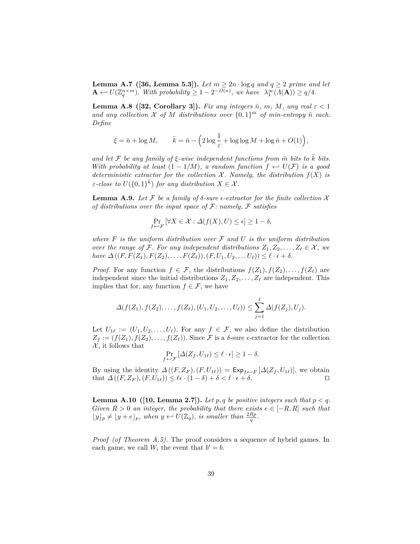**Lemma A.7** ([36, Lemma 5.3]). Let  $m \geq 2n \cdot \log q$  and  $q \geq 2$  prime and let  $\mathbf{A} \leftarrow U(\mathbb{Z}_q^{n \times m})$ . With probability  $\geq 1 - 2^{-\Omega(n)}$ , we have  $\lambda_1^{\infty}(\Lambda(\mathbf{A})) \geq q/4$ .

**Lemma A.8** ([32, Corollary 3]). *Fix any integers*  $\bar{n}$ *, m, M, any real*  $\varepsilon$  < 1 and any collection  $X$  of  $M$  distributions over  $\{0,1\}^{\bar{m}}$  of min-entropy  $\bar{n}$  each. *Define*

$$
\xi = \bar{n} + \log M, \qquad \bar{k} = \bar{n} - \left(2\log\frac{1}{\varepsilon} + \log\log M + \log\bar{n} + O(1)\right),
$$

*and let*  $\mathcal F$  *be any family of*  $\xi$ *-wise independent functions from*  $\bar{m}$  *bits to*  $\bar{k}$  *bits. With probability at least*  $(1 - 1/M)$ *, a random function*  $f \leftrightarrow U(F)$  *is a good deterministic extractor for the collection*  $\mathcal{X}$ *. Namely, the distribution*  $f(X)$  *is ε*-*close to*  $U({0,1})^{\overline{k}})$  *for any distribution*  $X \in \mathcal{X}$ *.* 

**Lemma A.9.** *Let*  $\mathcal F$  *be a family of*  $\delta$ *-sure*  $\epsilon$ *-extractor for the finite collection*  $\mathcal X$ *of distributions over the input space of* F*: namely,* F *satisfies*

$$
\Pr_{f \hookrightarrow F} [\forall X \in \mathcal{X} : \Delta(f(X), U) \le \epsilon] \ge 1 - \delta,
$$

*where F is the uniform distribution over* F *and U is the uniform distribution over the range of* F. For any independent distributions  $Z_1, Z_2, \ldots, Z_\ell \in \mathcal{X}$ , we  $have \Delta((F, F(Z_1), F(Z_2), \ldots, F(Z_{\ell})), (F, U_1, U_2, \ldots, U_{\ell})) \leq \ell \cdot \epsilon + \delta.$ 

*Proof.* For any function  $f \in \mathcal{F}$ , the distributions  $f(Z_1), f(Z_2), \ldots, f(Z_\ell)$  are independent since the initial distributions  $Z_1, Z_2, \ldots, Z_\ell$  are independent. This implies that for, any function  $f \in \mathcal{F}$ , we have

$$
\Delta(f(Z_1), f(Z_2), \ldots, f(Z_{\ell}), (U_1, U_2, \ldots, U_{\ell})) \leq \sum_{j=1}^{\ell} \Delta(f(Z_j), U_j).
$$

Let  $U_{1\ell} := (U_1, U_2, \ldots, U_{\ell})$ . For any  $f \in \mathcal{F}$ , we also define the distribution  $Z_f := (f(Z_1), f(Z_2), \ldots, f(Z_\ell))$ . Since F is a  $\delta$ -sure  $\epsilon$ -extractor for the collection  $\mathcal{X}$ , it follows that

$$
\Pr_{f \leftrightarrow \mathcal{F}} \left[ \Delta(Z_f, U_{1\ell}) \le \ell \cdot \epsilon \right] \ge 1 - \delta.
$$

By using the identity  $\Delta((F, Z_F), (F, U_{1\ell})) = \text{Exp}_{f \leftarrow F} [\Delta(Z_f, U_{1\ell})],$  we obtain that  $\Delta((F, Z_F), (F, U_{1\ell})) \leq \ell \epsilon \cdot (1 - \delta) + \delta < \ell \cdot \epsilon + \delta.$ 

**Lemma A.10** ([10, Lemma 2.7]). Let p, q be positive integers such that  $p < q$ . *Given*  $R > 0$  *an integer, the probability that there exists*  $e \in [-R, R]$  *such that*  $\lfloor y \rfloor_p \neq \lfloor y + e \rfloor_p$ , when  $y \leftrightarrow U(\mathbb{Z}_q)$ , is smaller than  $\frac{2Rp}{q}$ .

*Proof (of Theorem A.5).* The proof considers a sequence of hybrid games. In each game, we call  $W_i$  the event that  $b' = b$ .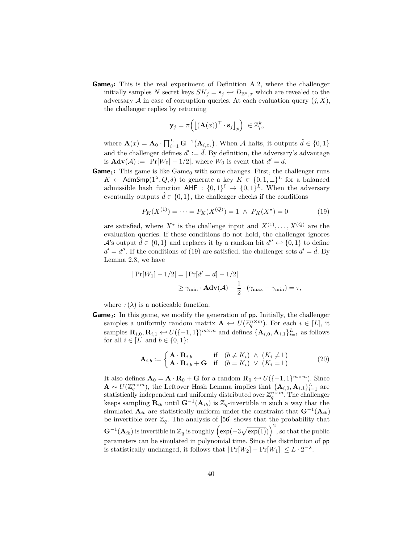**Game**<sub>0</sub>: This is the real experiment of Definition A.2, where the challenger initially samples *N* secret keys  $SK_j = s_j \leftrightarrow D_{\mathbb{Z}^n, \sigma}$  which are revealed to the adversary  $A$  in case of corruption queries. At each evaluation query  $(j, X)$ , the challenger replies by returning

$$
\mathbf{y}_j = \pi \Big( \big[ (\mathbf{A}(x))^\top \cdot \mathbf{s}_j \big]_p \Big) \ \in \mathbb{Z}_p^k,
$$

where  $\mathbf{A}(x) = \mathbf{A}_0 \cdot \prod_{i=1}^L \mathbf{G}^{-1}(\mathbf{A}_{i,x_i})$ . When A halts, it outputs  $\hat{d} \in \{0,1\}$ and the challenger defines  $d' := \hat{d}$ . By definition, the adversary's advantage is  $\mathbf{Adv}(\mathcal{A}) := |\Pr[W_0] - 1/2|$ , where  $W_0$  is event that  $d' = d$ .

**Game**<sub>1</sub>: This game is like Game<sub>0</sub> with some changes. First, the challenger runs  $K \leftarrow$  AdmSmp( $1^{\lambda}, Q, \delta$ ) to generate a key  $K \in \{0, 1, \perp\}^L$  for a balanced admissible hash function  $\mathsf{AHF} : \{0,1\}^{\ell} \to \{0,1\}^{L}$ . When the adversary eventually outputs  $\hat{d} \in \{0, 1\}$ , the challenger checks if the conditions

$$
P_K(X^{(1)}) = \dots = P_K(X^{(Q)}) = 1 \ \land \ P_K(X^*) = 0 \tag{19}
$$

are satisfied, where  $X^*$  is the challenge input and  $X^{(1)}, \ldots, X^{(Q)}$  are the evaluation queries. If these conditions do not hold, the challenger ignores *A*'s output  $\hat{d} \in \{0, 1\}$  and replaces it by a random bit  $d'' \leftarrow \{0, 1\}$  to define  $d' = d''$ . If the conditions of (19) are satisfied, the challenger sets  $d' = \hat{d}$ . By Lemma 2.8, we have

$$
|\Pr[W_1] - 1/2| = |\Pr[d' = d] - 1/2|
$$
  

$$
\ge \gamma_{\min} \cdot \mathbf{Adv}(\mathcal{A}) - \frac{1}{2} \cdot (\gamma_{\max} - \gamma_{\min}) = \tau,
$$

where  $\tau(\lambda)$  is a noticeable function.

**Game**<sub>2</sub>: In this game, we modify the generation of pp. Initially, the challenger samples a uniformly random matrix  $\mathbf{A} \leftarrow U(\mathbb{Z}_q^{n \times m})$ . For each  $i \in [L]$ , it samples  $\mathbf{R}_{i,0}, \mathbf{R}_{i,1} \leftrightarrow U(\{-1,1\})^{m \times m}$  and defines  $\{\mathbf{A}_{i,0}, \mathbf{A}_{i,1}\}_{i=1}^L$  as follows for all  $i \in [L]$  and  $b \in \{0, 1\}$ :

$$
\mathbf{A}_{i,b} := \begin{cases} \mathbf{A} \cdot \mathbf{R}_{i,b} & \text{if } \left( b \neq K_i \right) \land \left( K_i \neq \perp \right) \\ \mathbf{A} \cdot \mathbf{R}_{i,b} + \mathbf{G} & \text{if } \left( b = K_i \right) \lor \left( K_i = \perp \right) \end{cases} \tag{20}
$$

It also defines  $\mathbf{A}_0 = \mathbf{A} \cdot \mathbf{R}_0 + \mathbf{G}$  for a random  $\mathbf{R}_0 \leftrightarrow U([-1,1]^{m \times m})$ . Since  $\mathbf{A} \sim U(\mathbb{Z}_q^{n \times m})$ , the Leftover Hash Lemma implies that  $\{\mathbf{A}_{i,0}, \mathbf{A}_{i,1}\}_{i=1}^L$  are statistically independent and uniformly distributed over  $\mathbb{Z}_q^{n \times m}$ . The challenger keeps sampling  $\mathbf{R}_{ib}$  until  $\mathbf{G}^{-1}(\mathbf{A}_{ib})$  is  $\mathbb{Z}_q$ -invertible in such a way that the simulated  $\mathbf{A}_{ib}$  are statistically uniform under the constraint that  $\mathbf{G}^{-1}(\mathbf{A}_{ib})$ be invertible over  $\mathbb{Z}_q$ . The analysis of [56] shows that the probability that  $\mathbf{G}^{-1}(\mathbf{A}_{ib})$  is invertible in  $\mathbb{Z}_q$  is roughly  $\left(\exp(-3\sqrt{\exp(1)})\right)^2$ , so that the public parameters can be simulated in polynomial time. Since the distribution of pp is statistically unchanged, it follows that  $|\Pr[W_2] - \Pr[W_1]| \leq L \cdot 2^{-\lambda}$ .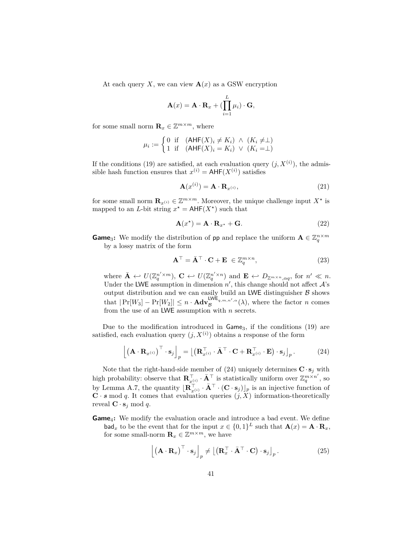At each query *X*, we can view  $\mathbf{A}(x)$  as a GSW encryption

$$
\mathbf{A}(x) = \mathbf{A} \cdot \mathbf{R}_x + \left( \prod_{i=1}^L \mu_i \right) \cdot \mathbf{G},
$$

for some small norm  $\mathbf{R}_x \in \mathbb{Z}^{m \times m}$ , where

$$
\mu_i := \begin{cases} 0 & \text{if } (\mathsf{AHF}(X)_i \neq K_i) \land (K_i \neq \perp) \\ 1 & \text{if } (\mathsf{AHF}(X)_i = K_i) \lor (K_i = \perp) \end{cases}
$$

If the conditions (19) are satisfied, at each evaluation query  $(j, X^{(i)})$ , the admissible hash function ensures that  $x^{(i)} = AHF(X^{(i)})$  satisfies

$$
\mathbf{A}(x^{(i)}) = \mathbf{A} \cdot \mathbf{R}_{x^{(i)}},\tag{21}
$$

for some small norm  $\mathbf{R}_{x^{(i)}} \in \mathbb{Z}^{m \times m}$ . Moreover, the unique challenge input  $X^*$  is mapped to an *L*-bit string  $x^* = \text{AHF}(X^*)$  such that

$$
\mathbf{A}(x^*) = \mathbf{A} \cdot \mathbf{R}_{x^*} + \mathbf{G}.\tag{22}
$$

**Game**<sub>3</sub>: We modify the distribution of pp and replace the uniform  $\mathbf{A} \in \mathbb{Z}_q^{n \times m}$ by a lossy matrix of the form

$$
\mathbf{A}^{\top} = \bar{\mathbf{A}}^{\top} \cdot \mathbf{C} + \mathbf{E} \in \mathbb{Z}_q^{m \times n},\tag{23}
$$

where  $\bar{\mathbf{A}} \leftrightarrow U(\mathbb{Z}_q^{n' \times m})$ ,  $\mathbf{C} \leftrightarrow U(\mathbb{Z}_q^{n' \times n})$  and  $\mathbf{E} \leftrightarrow D_{\mathbb{Z}^{m \times n},\alpha q}$ , for  $n' \ll n$ . Under the LWE assumption in dimension  $n'$ , this change should not affect  $\mathcal{A}$ 's output distribution and we can easily build an LWE distinguisher  $\beta$  shows that  $|\Pr[W_3] - \Pr[W_2]| \leq n \cdot \text{Adv}_{\mathcal{B}}^{\text{LWE}_{q,m,n',\alpha}}(\lambda)$ , where the factor *n* comes from the use of an LWE assumption with *n* secrets.

Due to the modification introduced in Game<sub>3</sub>, if the conditions (19) are satisfied, each evaluation query  $(j, X^{(i)})$  obtains a response of the form

$$
\left[ \left( \mathbf{A} \cdot \mathbf{R}_{x^{(i)}} \right)^{\top} \cdot \mathbf{s}_j \right]_p = \left[ \left( \mathbf{R}_{x^{(i)}}^{\top} \cdot \bar{\mathbf{A}}^{\top} \cdot \mathbf{C} + \mathbf{R}_{x^{(i)}}^{\top} \cdot \mathbf{E} \right) \cdot \mathbf{s}_j \right]_p. \tag{24}
$$

Note that the right-hand-side member of (24) uniquely determines  $\mathbf{C} \cdot \mathbf{s}_j$  with high probability: observe that  $\mathbf{R}_{x^{(i)}}^{\top} \cdot \bar{\mathbf{A}}^{\top}$  is statistically uniform over  $\mathbb{Z}_q^{m \times n'}$ , so by Lemma A.7, the quantity  $\left[\mathbf{R}_{x^{(i)}}^{\top} \cdot \bar{\mathbf{A}}^{\top} \cdot (\mathbf{C} \cdot \mathbf{s}_j)\right]_p$  is an injective function of  $C \cdot s \mod q$ . It comes that evaluation queries  $(j, X)$  information-theoretically reveal  $\mathbf{C} \cdot \mathbf{s}_j \mod q$ .

**Game**4**:** We modify the evaluation oracle and introduce a bad event. We define  $\mathbf{bad}_x$  to be the event that for the input  $x \in \{0,1\}^L$  such that  $\mathbf{A}(x) = \mathbf{A} \cdot \mathbf{R}_x$ , for some small-norm  $\mathbf{R}_x \in \mathbb{Z}^{m \times m}$ , we have

$$
\left[ \left( \mathbf{A} \cdot \mathbf{R}_x \right)^\top \cdot \mathbf{s}_j \right]_p \neq \left[ \left( \mathbf{R}_x^\top \cdot \bar{\mathbf{A}}^\top \cdot \mathbf{C} \right) \cdot \mathbf{s}_j \right]_p. \tag{25}
$$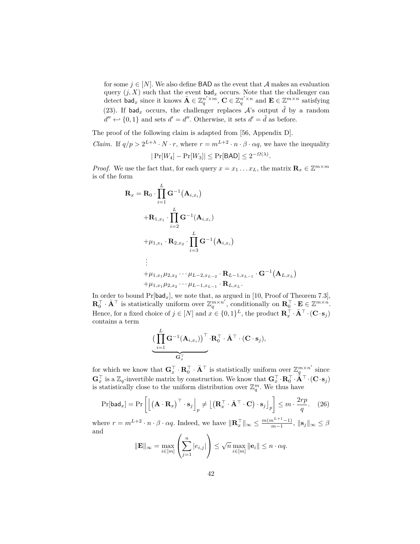for some  $j \in [N]$ . We also define **BAD** as the event that A makes an evaluation query  $(j, X)$  such that the event  $\mathsf{bad}_x$  occurs. Note that the challenger can detect  $\text{bad}_x$  since it knows  $\bar{\mathbf{A}} \in \mathbb{Z}_q^{n' \times m}$ ,  $\mathbf{C} \in \mathbb{Z}_q^{n' \times n}$  and  $\mathbf{E} \in \mathbb{Z}^{m \times n}$  satisfying (23). If  $\mathsf{bad}_x$  occurs, the challenger replaces  $\mathcal{A}$ 's output  $\hat{d}$  by a random  $d'' \leftarrow \{0, 1\}$  and sets  $d' = d''$ . Otherwise, it sets  $d' = \hat{d}$  as before.

The proof of the following claim is adapted from [56, Appendix D].

*Claim.* If  $q/p > 2^{L+\lambda} \cdot N \cdot r$ , where  $r = m^{L+2} \cdot n \cdot \beta \cdot \alpha q$ , we have the inequality

$$
|\Pr[W_4] - \Pr[W_3]| \le \Pr[\mathsf{BAD}] \le 2^{-\Omega(\lambda)}.
$$

*Proof.* We use the fact that, for each query  $x = x_1 \dots x_L$ , the matrix  $\mathbf{R}_x \in \mathbb{Z}^{m \times m}$ is of the form

$$
\mathbf{R}_{x} = \mathbf{R}_{0} \cdot \prod_{i=1}^{L} \mathbf{G}^{-1}(\mathbf{A}_{i,x_{i}})
$$
  
+
$$
\mathbf{R}_{1,x_{1}} \cdot \prod_{i=2}^{L} \mathbf{G}^{-1}(\mathbf{A}_{i,x_{i}})
$$
  
+
$$
\mu_{1,x_{1}} \cdot \mathbf{R}_{2,x_{2}} \cdot \prod_{i=3}^{L} \mathbf{G}^{-1}(\mathbf{A}_{i,x_{i}})
$$
  

$$
\vdots
$$
  
+
$$
\mu_{1,x_{1}} \mu_{2,x_{2}} \cdots \mu_{L-2,x_{L-2}} \cdot \mathbf{R}_{L-1,x_{L-1}} \cdot \mathbf{G}^{-1}(\mathbf{A}_{L,x_{L}})
$$
  
+
$$
\mu_{1,x_{1}} \mu_{2,x_{2}} \cdots \mu_{L-1,x_{L-1}} \cdot \mathbf{R}_{L,x_{L}}.
$$

In order to bound  $Pr[bad_x]$ , we note that, as argued in [10, Proof of Theorem 7.3],  $\mathbf{R}_{0}^{\top} \cdot \bar{\mathbf{A}}^{\top}$  is statistically uniform over  $\mathbb{Z}_{q}^{m \times n'}$ , conditionally on  $\mathbf{R}_{0}^{\top} \cdot \mathbf{E} \in \mathbb{Z}^{m \times n'}$ . Hence, for a fixed choice of  $j \in [N]$  and  $x \in \{0, 1\}^L$ , the product  $\mathbb{R}_x^{\top} \cdot \bar{\mathbf{A}}^{\top} \cdot (\mathbf{C} \cdot \mathbf{s}_j)$ contains a term

$$
\underbrace{\big(\prod_{i=1}^L \mathbf{G}^{-1}(\mathbf{A}_{i,x_i})\big)^{\top} \cdot \mathbf{R}_0^{\top} \cdot \bar{\mathbf{A}}^{\top} \cdot (\mathbf{C} \cdot \mathbf{s}_j)}_{\mathbf{G}_x^{\top},\mathbf{C}^{\top} \cdot \mathbf{A}^{\top} \cdot \mathbf{C}^{\top} \cdot \mathbf{A}^{\top} \cdot \mathbf{C}^{\top} \cdot \mathbf{A}^{\top} \cdot \mathbf{A}^{\top} \cdot \mathbf{A}^{\top} \cdot \mathbf{A}^{\top} \cdot \mathbf{A}^{\top} \cdot \mathbf{A}^{\top} \cdot \mathbf{A}^{\top} \cdot \mathbf{A}^{\top} \cdot \mathbf{A}^{\top} \cdot \mathbf{A}^{\top} \cdot \mathbf{A}^{\top} \cdot \mathbf{A}^{\top} \cdot \mathbf{A}^{\top} \cdot \mathbf{A}^{\top} \cdot \mathbf{A}^{\top} \cdot \mathbf{A}^{\top} \cdot \mathbf{A}^{\top} \cdot \mathbf{A}^{\top} \cdot \mathbf{A}^{\top} \cdot \mathbf{A}^{\top} \cdot \mathbf{A}^{\top} \cdot \mathbf{A}^{\top} \cdot \mathbf{A}^{\top} \cdot \mathbf{A}^{\top} \cdot \mathbf{A}^{\top} \cdot \mathbf{A}^{\top} \cdot \mathbf{A}^{\top} \cdot \mathbf{A}^{\top} \cdot \mathbf{A}^{\top} \cdot \mathbf{A}^{\top} \cdot \mathbf{A}^{\top} \cdot \mathbf{A}^{\top} \cdot \mathbf{A}^{\top} \cdot \mathbf{A}^{\top} \cdot \mathbf{A}^{\top} \cdot \mathbf{A}^{\top} \cdot \mathbf{A}^{\top} \cdot \mathbf{A}^{\top} \cdot \mathbf{A}^{\top} \cdot \mathbf{A}^{\top} \cdot \mathbf{A}^{\top} \cdot \mathbf{A}^{\top} \cdot \mathbf{A}^{\top} \cdot \mathbf{A}^{\top} \cdot \mathbf{A}^{\top} \cdot \mathbf{A}^{\top} \cdot \mathbf{A}^{\top} \cdot \mathbf{A}^{\top} \cdot \mathbf{A}^{\top} \cdot \mathbf{A}^{\top} \cdot \mathbf{A
$$

for which we know that  $G_x^{\top} \cdot \mathbf{R}_0^{\top} \cdot \bar{\mathbf{A}}^{\top}$  is statistically uniform over  $\mathbb{Z}_q^{m \times n'}$  since  $\mathbf{G}_x^{\top}$  is a  $\mathbb{Z}_q$ -invertible matrix by construction. We know that  $\mathbf{G}_x^{\top} \cdot \mathbf{R}_0^{\top} \cdot \mathbf{A}^{\top} \cdot (\mathbf{C} \cdot \mathbf{s}_j)$ is statistically close to the uniform distribution over  $\mathbb{Z}_q^m$ . We thus have

$$
\Pr[\mathsf{bad}_x] = \Pr\left[\left[\left(\mathbf{A} \cdot \mathbf{R}_x\right)^\top \cdot \mathbf{s}_j\right]_p \neq \left[\left(\mathbf{R}_x^\top \cdot \bar{\mathbf{A}}^\top \cdot \mathbf{C}\right) \cdot \mathbf{s}_j\right]_p\right] \leq m \cdot \frac{2rp}{q}. \quad (26)
$$

where  $r = m^{L+2} \cdot n \cdot \beta \cdot \alpha q$ . Indeed, we have  $\|\mathbf{R}_{x}^{\top}\|_{\infty} \leq \frac{m(m^{L+1}-1)}{m-1}$  $\frac{n^{2(1-1)}}{m-1}, \, \|S_j\|_{\infty} \leq \beta$ and

$$
\|\mathbf{E}\|_{\infty} = \max_{i \in [m]} \left( \sum_{j=1}^{n} |e_{i,j}| \right) \leq \sqrt{n} \max_{i \in [m]} \|\mathbf{e}_i\| \leq n \cdot \alpha q.
$$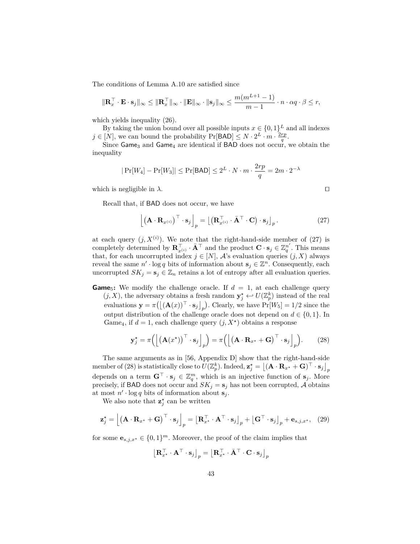The conditions of Lemma A.10 are satisfied since

$$
\|\mathbf{R}_x^{\top} \cdot \mathbf{E} \cdot \mathbf{s}_j\|_{\infty} \le \|\mathbf{R}_x^{\top}\|_{\infty} \cdot \|\mathbf{E}\|_{\infty} \cdot \|\mathbf{s}_j\|_{\infty} \le \frac{m(m^{L+1}-1)}{m-1} \cdot n \cdot \alpha q \cdot \beta \le r,
$$

which yields inequality (26).

By taking the union bound over all possible inputs  $x \in \{0,1\}^L$  and all indexes  $j \in [N]$ , we can bound the probability  $Pr[BAD] \leq N \cdot 2^L \cdot m \cdot \frac{2rp}{q}$ .

Since Game<sub>3</sub> and Game<sub>4</sub> are identical if BAD does not occur, we obtain the inequality

$$
|\Pr[W_4] - \Pr[W_3]| \le \Pr[\mathsf{BAD}] \le 2^L \cdot N \cdot m \cdot \frac{2rp}{q} = 2m \cdot 2^{-\lambda}
$$

which is negligible in  $\lambda$ .

Recall that, if BAD does not occur, we have

$$
\left[ \left( \mathbf{A} \cdot \mathbf{R}_{x^{(i)}} \right)^{\top} \cdot \mathbf{s}_j \right]_p = \left[ \left( \mathbf{R}_{x^{(i)}}^{\top} \cdot \bar{\mathbf{A}}^{\top} \cdot \mathbf{C} \right) \cdot \mathbf{s}_j \right]_p. \tag{27}
$$

at each query  $(j, X^{(i)})$ . We note that the right-hand-side member of (27) is completely determined by  $\mathbf{R}_{x^{(i)}}^{\top} \cdot \bar{\mathbf{A}}^{\top}$  and the product  $\mathbf{C} \cdot \mathbf{s}_j \in \mathbb{Z}_q^{n'}$ . This means that, for each uncorrupted index  $j \in [N]$ , A's evaluation queries  $(j, X)$  always reveal the same  $n' \cdot \log q$  bits of information about  $\mathbf{s}_j \in \mathbb{Z}^n$ . Consequently, each uncorrupted  $SK_j = s_j \in \mathbb{Z}_n$  retains a lot of entropy after all evaluation queries.

**Game**<sub>5</sub>: We modify the challenge oracle. If  $d = 1$ , at each challenge query  $(j, X)$ , the adversary obtains a fresh random  $\mathbf{y}_j^* \leftrightarrow U(\mathbb{Z}_p^k)$  instead of the real evaluations  $\mathbf{y} = \pi([\mathbf{A}(x))^{\top} \cdot \mathbf{s}_j]_p)$ . Clearly, we have  $Pr[W_5] = 1/2$  since the output distribution of the challenge oracle does not depend on  $d \in \{0, 1\}$ . In Game<sub>4</sub>, if  $d = 1$ , each challenge query  $(j, X^*)$  obtains a response

$$
\mathbf{y}_j^* = \pi \Big( \Big[ \big( \mathbf{A}(x^*) \big)^{\top} \cdot \mathbf{s}_j \Big]_p \Big) = \pi \Big( \Big[ \big( \mathbf{A} \cdot \mathbf{R}_{x^*} + \mathbf{G} \big)^{\top} \cdot \mathbf{s}_j \Big]_p \Big). \tag{28}
$$

The same arguments as in [56, Appendix D] show that the right-hand-side member of (28) is statistically close to  $U(\mathbb{Z}_p^k)$ . Indeed,  $\mathbf{z}_j^{\star} = \lfloor (\mathbf{A} \cdot \mathbf{R}_{x^{\star}} + \mathbf{G})^{\top} \cdot \mathbf{s}_j \rfloor_p$ depends on a term  $\mathbf{G}^{\top} \cdot \mathbf{s}_j \in \mathbb{Z}_q^m$ , which is an injective function of  $\mathbf{s}_j$ . More precisely, if BAD does not occur and  $SK_j = s_j$  has not been corrupted, A obtains at most  $n' \cdot \log q$  bits of information about  $\mathbf{s}_j$ .

We also note that  $\mathbf{z}_j^*$  can be written

$$
\mathbf{z}_{j}^{\star} = \left[ \left( \mathbf{A} \cdot \mathbf{R}_{x^{\star}} + \mathbf{G} \right)^{\top} \cdot \mathbf{s}_{j} \right]_{p} = \left[ \mathbf{R}_{x^{\star}}^{\top} \cdot \mathbf{A}^{\top} \cdot \mathbf{s}_{j} \right]_{p} + \left[ \mathbf{G}^{\top} \cdot \mathbf{s}_{j} \right]_{p} + \mathbf{e}_{s,j,x^{\star}}, \quad (29)
$$

for some  $\mathbf{e}_{s,j,x^*} \in \{0,1\}^m$ . Moreover, the proof of the claim implies that

$$
\left[\mathbf{R}_{x^{\star}}^{\top} \cdot \mathbf{A}^{\top} \cdot \mathbf{s}_{j}\right]_{p} = \left[\mathbf{R}_{x^{\star}}^{\top} \cdot \bar{\mathbf{A}}^{\top} \cdot \mathbf{C} \cdot \mathbf{s}_{j}\right]_{p}
$$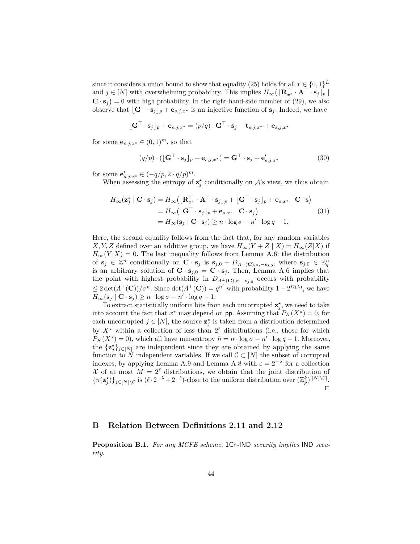since it considers a union bound to show that equality (25) holds for all  $x \in \{0,1\}^L$ and  $j \in [N]$  with overwhelming probability. This implies  $H_{\infty}([\mathbf{R}_{x^*}^{\top} \cdot \mathbf{A}^{\top} \cdot \mathbf{s}_j]_p$  $\mathbf{C} \cdot \mathbf{s}_j$  = 0 with high probability. In the right-hand-side member of (29), we also observe that  $[\mathbf{G}^{\top} \cdot \mathbf{s}_j]_p + \mathbf{e}_{s,j,x^*}$  is an injective function of  $\mathbf{s}_j$ . Indeed, we have

$$
\lfloor \mathbf{G}^{\top} \cdot \mathbf{s}_j \rfloor_p + \mathbf{e}_{s,j,x^*} = (p/q) \cdot \mathbf{G}^{\top} \cdot \mathbf{s}_j - \mathbf{t}_{s,j,x^*} + \mathbf{e}_{s,j,x^*}
$$

for some  $\mathbf{e}_{s,j,x^*} \in (0,1)^m$ , so that

$$
(q/p) \cdot (\lfloor \mathbf{G}^{\top} \cdot \mathbf{s}_j \rfloor_p + \mathbf{e}_{s,j,x^*}) = \mathbf{G}^{\top} \cdot \mathbf{s}_j + \mathbf{e}'_{s,j,x^*}
$$
(30)

for some  $\mathbf{e}_{s,j,x^*}' \in (-q/p, 2 \cdot q/p)^m$ .

When assessing the entropy of  $z_j^*$  conditionally on  $\mathcal{A}$ 's view, we thus obtain

$$
H_{\infty}(\mathbf{z}_{j}^{*} | \mathbf{C} \cdot \mathbf{s}_{j}) = H_{\infty}([\mathbf{R}_{x^{*}}^{\top} \cdot \mathbf{A}^{\top} \cdot \mathbf{s}_{j}]_{p} + [\mathbf{G}^{\top} \cdot \mathbf{s}_{j}]_{p} + \mathbf{e}_{s,x^{*}} | \mathbf{C} \cdot \mathbf{s})
$$
  
\n
$$
= H_{\infty}([\mathbf{G}^{\top} \cdot \mathbf{s}_{j}]_{p} + \mathbf{e}_{s,x^{*}} | \mathbf{C} \cdot \mathbf{s}_{j})
$$
  
\n
$$
= H_{\infty}(\mathbf{s}_{j} | \mathbf{C} \cdot \mathbf{s}_{j}) \ge n \cdot \log \sigma - n' \cdot \log q - 1.
$$
 (31)

Here, the second equality follows from the fact that, for any random variables *X, Y, Z* defined over an additive group, we have  $H_{\infty}(Y + Z | X) = H_{\infty}(Z|X)$  if  $H_{\infty}(Y|X) = 0$ . The last inequality follows from Lemma A.6: the distribution of  $\mathbf{s}_j \in \mathbb{Z}^n$  conditionally on  $\mathbf{C} \cdot \mathbf{s}_j$  is  $\mathbf{s}_{j,0} + D_{\Lambda^{\perp}(\mathbf{C}), \sigma, -\mathbf{s}_{j,0}}$ , where  $\mathbf{s}_{j,0} \in \mathbb{Z}_q^n$ <br>is an arbitrary solution of  $\mathbf{C} \cdot \mathbf{s}_{j,0} = \mathbf{C} \cdot \mathbf{s}_j$ . Then, Lemma A.6 implies that the point with highest probability in  $D_{\Lambda^{\perp}}(c)$ ,  $\sigma$ ,  $-\mathbf{s}$ <sub>*j*</sub>, $\sigma$ </sub> occurs with probability  $\leq 2 \det(A^{\perp}(\mathbf{C})) / \sigma^n$ . Since  $\det(A^{\perp}(\mathbf{C})) = q^{n'}$  with probability  $1 - 2^{\Omega(\lambda)}$ , we have  $H_{\infty}(\mathbf{s}_j \mid \mathbf{C} \cdot \mathbf{s}_j) \geq n \cdot \log \sigma - n' \cdot \log q - 1.$ 

To extract statistically uniform bits from each uncorrupted  $\mathbf{z}_j^*$ , we need to take into account the fact that  $x^*$  may depend on pp. Assuming that  $P_K(X^*)=0$ , for each uncorrupted  $j \in [N]$ , the source  $\mathbf{z}_j^*$  is taken from a distribution determined by  $X^*$  within a collection of less than  $2^{\ell}$  distributions (i.e., those for which  $P_K(X^*) = 0$ , which all have min-entropy  $\bar{n} = n \cdot \log \sigma - n' \cdot \log q - 1$ . Moreover, the  ${\mathbf{z}}^*_{j}$ <sub>*j* $\in$ [*N*] are independent since they are obtained by applying the same</sub> function to *N* independent variables. If we call  $\mathcal{C} \subset [N]$  the subset of corrupted indexes, by applying Lemma A.9 and Lemma A.8 with  $\varepsilon = 2^{-\lambda}$  for a collection X of at most  $M = 2^{\ell}$  distributions, we obtain that the joint distribution of  $\{\pi(\mathbf{z}^{\star}_{j})\}_{j\in[N]\setminus\mathcal{C}}$  is  $(\ell \cdot 2^{-\lambda} + 2^{-\ell})$ -close to the uniform distribution over  $(\mathbb{Z}_{p}^{k})^{|[N]\setminus\mathcal{C}|}$ .  $\Box$ 

### **B Relation Between Definitions 2.11 and 2.12**

**Proposition B.1.** *For any MCFE scheme,* 1Ch*-*IND *security implies* IND *security.*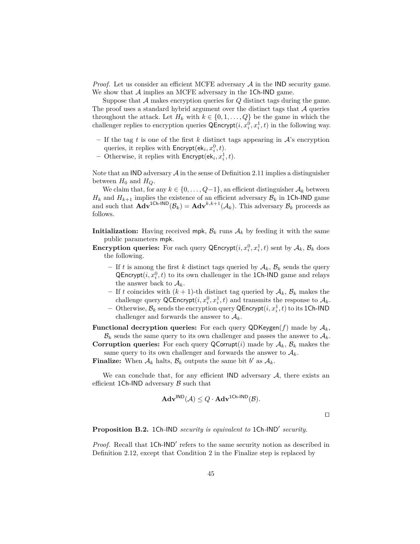*Proof.* Let us consider an efficient MCFE adversary A in the IND security game. We show that  $A$  implies an MCFE adversary in the 1Ch-IND game.

Suppose that A makes encryption queries for *Q* distinct tags during the game. The proof uses a standard hybrid argument over the distinct tags that  $A$  queries throughout the attack. Let  $H_k$  with  $k \in \{0, 1, \ldots, Q\}$  be the game in which the challenger replies to encryption queries  $\mathsf{QProperty}(i, x_i^0, x_i^1, t)$  in the following way.

- **–** If the tag *t* is one of the first *k* distinct tags appearing in A's encryption queries, it replies with  $\mathsf{Encrypt}(\mathsf{ek}_i, x_i^0, t)$ .
- $-$  Otherwise, it replies with  $\mathsf{Encrypt}(\mathsf{ek}_i, x_i^1, t)$ .

Note that an IND adversary  $A$  in the sense of Definition 2.11 implies a distinguisher between  $H_0$  and  $H_Q$ .

We claim that, for any  $k \in \{0, \ldots, Q-1\}$ , an efficient distinguisher  $\mathcal{A}_k$  between  $H_k$  and  $H_{k+1}$  implies the existence of an efficient adversary  $B_k$  in 1Ch-IND game and such that  $\mathbf{Adv}^{\text{1Ch-IND}}(\mathcal{B}_k) = \mathbf{Adv}^{k,k+1}(\mathcal{A}_k)$ . This adversary  $\mathcal{B}_k$  proceeds as follows.

**Initialization:** Having received mpk,  $\mathcal{B}_k$  runs  $\mathcal{A}_k$  by feeding it with the same public parameters mpk.

- **Encryption queries:** For each query  $\mathsf{QProperty}(i, x_i^0, x_i^1, t)$  sent by  $\mathcal{A}_k$ ,  $\mathcal{B}_k$  does the following.
	- If *t* is among the first *k* distinct tags queried by  $A_k$ ,  $B_k$  sends the query QEncrypt $(i, x_i^0, t)$  to its own challenger in the 1Ch-IND game and relays the answer back to  $A_k$ .
	- If *t* coincides with  $(k+1)$ -th distinct tag queried by  $A_k$ ,  $B_k$  makes the challenge query  $\mathsf{QCEncrypt}(i, x_i^0, x_i^1, t)$  and transmits the response to  $\mathcal{A}_k$ .
	- $-$  Otherwise,  $\mathcal{B}_k$  sends the encryption query  $\mathsf{QEncrypt}(i, x^1_i, t)$  to its 1Ch-IND challenger and forwards the answer to  $A_k$ .

**Functional decryption queries:** For each query QDKeygen( $f$ ) made by  $A_k$ ,  $\mathcal{B}_k$  sends the same query to its own challenger and passes the answer to  $\mathcal{A}_k$ .

**Corruption queries:** For each query  $\mathsf{QCorrupt}(i)$  made by  $\mathcal{A}_k$ ,  $\mathcal{B}_k$  makes the same query to its own challenger and forwards the answer to  $A_k$ .

**Finalize:** When  $A_k$  halts,  $B_k$  outputs the same bit  $b'$  as  $A_k$ .

We can conclude that, for any efficient  $\mathsf{IND}\n$  adversary  $\mathcal A$ , there exists an efficient 1Ch-IND adversary  $\beta$  such that

$$
\mathbf{Adv}^{\mathsf{IND}}(\mathcal{A}) \leq Q \cdot \mathbf{Adv}^{\mathsf{1Ch-IND}}(\mathcal{B}).
$$

 $\Box$ 

**Proposition B.2.** 1Ch-IND *security is equivalent to* 1Ch-IND<sup>'</sup> security.

Proof. Recall that 1Ch-IND<sup>'</sup> refers to the same security notion as described in Definition 2.12, except that Condition 2 in the Finalize step is replaced by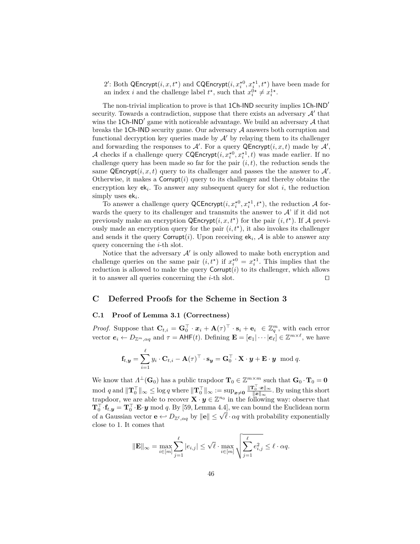2': Both QEncrypt $(i, x, t^{\star})$  and CQEncrypt $(i, x_i^{\star 0}, x_i^{\star 1}, t^{\star})$  have been made for an index *i* and the challenge label  $t^*$ , such that  $x_i^{0*} \neq x_i^{1*}$ .

The non-trivial implication to prove is that 1Ch-IND security implies  $1Ch-IND'$ security. Towards a contradiction, suppose that there exists an adversary  $A'$  that wins the  $1Ch-IND'$  game with noticeable advantage. We build an adversary  $A$  that breaks the 1Ch-IND security game. Our adversary  $A$  answers both corruption and functional decryption key queries made by  $\mathcal{A}'$  by relaying them to its challenger and forwarding the responses to  $\mathcal{A}'$ . For a query  $\mathsf{QProperty}(i, x, t)$  made by  $\mathcal{A}',$ A checks if a challenge query  $\text{CQEncrypt}(i, x_i^{*0}, x_i^{*1}, t)$  was made earlier. If no challenge query has been made so far for the pair  $(i, t)$ , the reduction sends the same  $\mathsf{QProperty}(i, x, t)$  query to its challenger and passes the the answer to  $\mathcal{A}'$ . Otherwise, it makes a  $Corrupt(i)$  query to its challenger and thereby obtains the encryption key  $ek_i$ . To answer any subsequent query for slot  $i$ , the reduction simply uses ek*<sup>i</sup>* .

To answer a challenge query  $\mathsf{QCEncrypt}(i, x_i^{*0}, x_i^{*1}, t^*)$ , the reduction A forwards the query to its challenger and transmits the answer to  $A'$  if it did not previously make an encryption  $\mathsf{QProperty}(i, x, t^*)$  for the pair  $(i, t^*)$ . If A previously made an encryption query for the pair  $(i, t<sup>*</sup>)$ , it also invokes its challenger and sends it the query  $\text{Corrupt}(i)$ . Upon receiving  $ek_i$ ,  $\mathcal A$  is able to answer any query concerning the *i*-th slot.

Notice that the adversary  $A'$  is only allowed to make both encryption and challenge queries on the same pair  $(i, t^*)$  if  $x_i^{*0} = x_i^{*1}$ . This implies that the reduction is allowed to make the query  $\text{Corrupt}(i)$  to its challenger, which allows it to answer all queries concerning the  $i$ -th slot.  $\Box$ 

# **C Deferred Proofs for the Scheme in Section 3**

# **C.1 Proof of Lemma 3.1 (Correctness)**

*Proof.* Suppose that  $\mathbf{C}_{t,i} = \mathbf{G}_0^{\top} \cdot \mathbf{x}_i + \mathbf{A}(\tau)^{\top} \cdot \mathbf{s}_i + \mathbf{e}_i \in \mathbb{Z}_q^m$ , with each error vector  $e_i \leftarrow D_{\mathbb{Z}^m, \alpha q}$  and  $\tau = \mathsf{AHF}(t)$ . Defining  $\mathbf{E} = [\mathbf{e}_1 | \cdots | \mathbf{e}_\ell] \in \mathbb{Z}^{m \times \ell}$ , we have

$$
\mathbf{f}_{t, \mathbf{y}} = \sum_{i=1}^{\ell} y_i \cdot \mathbf{C}_{t, i} - \mathbf{A}(\tau)^{\top} \cdot \mathbf{s}_{\mathbf{y}} = \mathbf{G}_0^{\top} \cdot \mathbf{X} \cdot \mathbf{y} + \mathbf{E} \cdot \mathbf{y} \mod q.
$$

We know that  $\Lambda^{\perp}(\mathbf{G}_0)$  has a public trapdoor  $\mathbf{T}_0 \in \mathbb{Z}^{m \times m}$  such that  $\mathbf{G}_0 \cdot \mathbf{T}_0 = \mathbf{0}$  $\text{mod } q$  and  $\|\mathbf{T}_0^\top\|_{\infty} \leq \log q$  where  $\|\mathbf{T}_0^\top\|_{\infty} := \sup_{\mathbf{x} \neq \mathbf{0}} \frac{\|\mathbf{T}_0^\top \cdot \mathbf{x}\|_{\infty}}{\|\mathbf{x}\|_{\infty}}$  $\frac{\mu_0 \cdot x_{\parallel \infty}}{\Vert x \Vert_{\infty}}$ . By using this short trapdoor, we are able to recover  $\mathbf{X} \cdot \mathbf{y} \in \mathbb{Z}^{n_0}$  in the following way: observe that  $\mathbf{T}_0^\top \cdot \mathbf{f}_{t, \bm{y}} = \mathbf{T}_0^\top \cdot \mathbf{E} \cdot \bm{y} \bmod q$ . By [59, Lemma 4.4], we can bound the Euclidean norm  $\mathbf{I}_0 \cdot \mathbf{I}_{t,y} = \mathbf{I}_0 \cdot \mathbf{E} \cdot \mathbf{y}$  mod *q*. By [59, Lemma 4.4], we can bound the Euchdean norm of a Gaussian vector  $\mathbf{e} \leftarrow D_{\mathbb{Z}^{\ell},\alpha q}$  by  $\|\mathbf{e}\| \leq \sqrt{\ell} \cdot \alpha q$  with probability exponentially close to 1. It comes that

$$
\|\mathbf{E}\|_{\infty} = \max_{i \in [m]} \sum_{j=1}^{\ell} |e_{i,j}| \leq \sqrt{\ell} \cdot \max_{i \in [m]} \sqrt{\sum_{j=1}^{\ell} e_{i,j}^2} \leq \ell \cdot \alpha q.
$$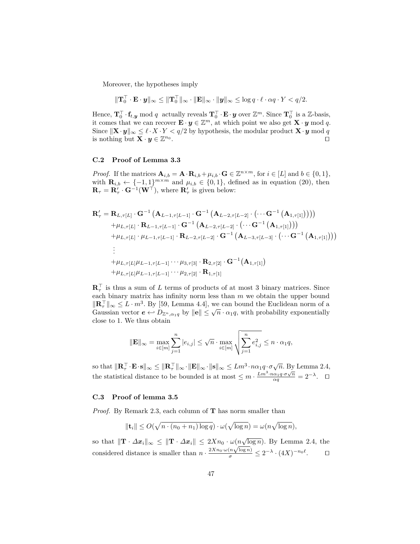Moreover, the hypotheses imply

$$
\|\mathbf{T}_0^{\top} \cdot \mathbf{E} \cdot \boldsymbol{y}\|_{\infty} \le \|\mathbf{T}_0^{\top}\|_{\infty} \cdot \|\mathbf{E}\|_{\infty} \cdot \|\boldsymbol{y}\|_{\infty} \le \log q \cdot \ell \cdot \alpha q \cdot Y < q/2.
$$

Hence,  $\mathbf{T}_0^{\top} \cdot \mathbf{f}_{t, y}$  mod *q* actually reveals  $\mathbf{T}_0^{\top} \cdot \mathbf{E} \cdot y$  over  $\mathbb{Z}^m$ . Since  $\mathbf{T}_0^{\top}$  is a  $\mathbb{Z}$ -basis, it comes that we can recover  $\mathbf{E} \cdot \mathbf{y} \in \mathbb{Z}^m$ , at which point we also get  $\mathbf{X} \cdot \mathbf{y} \mod q$ . Since  $\|\mathbf{X} \cdot \mathbf{y}\|_{\infty} \leq \ell \cdot X \cdot Y \leq q/2$  by hypothesis, the modular product  $\mathbf{X} \cdot \mathbf{y}$  mod *q* is nothing but  $\mathbf{X} \cdot \boldsymbol{y} \in \mathbb{Z}^{n_0}$ . The contract of the contract of the contract of the contract of the contract of the contract of the contract of the contract of the contract of the contract of the contract of the contract of the contract of the contract

### **C.2 Proof of Lemma 3.3**

*Proof.* If the matrices  $\mathbf{A}_{i,b} = \mathbf{A} \cdot \mathbf{R}_{i,b} + \mu_{i,b} \cdot \mathbf{G} \in \mathbb{Z}^{n \times m}$ , for  $i \in [L]$  and  $b \in \{0,1\}$ , with  $\mathbf{R}_{i,b} \leftarrow \{-1,1\}^{m \times m}$  and  $\mu_{i,b} \in \{0,1\}$ , defined as in equation (20), then  $\mathbf{R}_{\tau} = \mathbf{R}_{\tau}' \cdot \mathbf{G}^{-1}(\mathbf{W}^{\top}),$  where  $\mathbf{R}_{\tau}'$  is given below:

$$
\mathbf{R}'_{\tau} = \mathbf{R}_{L,\tau[L]} \cdot \mathbf{G}^{-1} \left( \mathbf{A}_{L-1,\tau[L-1]} \cdot \mathbf{G}^{-1} \left( \mathbf{A}_{L-2,\tau[L-2]} \cdot (\cdots \mathbf{G}^{-1} \left( \mathbf{A}_{1,\tau[1]} \right) \right) \right) \n+ \mu_{L,\tau[L]} \cdot \mathbf{R}_{L-1,\tau[L-1]} \cdot \mathbf{G}^{-1} \left( \mathbf{A}_{L-2,\tau[L-2]} \cdot (\cdots \mathbf{G}^{-1} \left( \mathbf{A}_{1,\tau[1]} \right) \right)) \n+ \mu_{L,\tau[L]} \cdot \mu_{L-1,\tau[L-1]} \cdot \mathbf{R}_{L-2,\tau[L-2]} \cdot \mathbf{G}^{-1} \left( \mathbf{A}_{L-3,\tau[L-3]} \cdot (\cdots \mathbf{G}^{-1} \left( \mathbf{A}_{1,\tau[1]} \right) \right)) \n\vdots \n+ \mu_{L,\tau[L]} \mu_{L-1,\tau[L-1]} \cdots \mu_{3,\tau[3]} \cdot \mathbf{R}_{2,\tau[2]} \cdot \mathbf{G}^{-1} \left( \mathbf{A}_{1,\tau[1]} \right) \n+ \mu_{L,\tau[L]} \mu_{L-1,\tau[L-1]} \cdots \mu_{2,\tau[2]} \cdot \mathbf{R}_{1,\tau[1]}
$$

 $\mathbf{R}_{\tau}^{\top}$  is thus a sum of *L* terms of products of at most 3 binary matrices. Since each binary matrix has infinity norm less than *m* we obtain the upper bound  $\|\mathbf{R}_{\tau}^{\top}\|_{\infty} \leq L \cdot m^3$ . By [59, Lemma 4.4], we can bound the Euclidean norm of a  $\|\mathbf{R}_{\tau}\|_{\infty} \leq L \cdot m$  · By [39, Lemma 4.4], we can bound the Euchdean norm of a<br>Gaussian vector  $\mathbf{e} \leftarrow D_{\mathbb{Z}^n, \alpha_1 q}$  by  $\|\mathbf{e}\| \leq \sqrt{n} \cdot \alpha_1 q$ , with probability exponentially close to 1. We thus obtain

$$
\|\mathbf{E}\|_{\infty} = \max_{i \in [m]} \sum_{j=1}^{n} |e_{i,j}| \leq \sqrt{n} \cdot \max_{i \in [m]} \sqrt{\sum_{j=1}^{n} e_{i,j}^2} \leq n \cdot \alpha_1 q,
$$

 $\int \text{d}\mathbf{R} \cdot d\mathbf{R} \cdot \mathbf{F} \cdot \mathbf{s} \cdot \mathbf{s} \cdot d\mathbf{R} \cdot \mathbf{R} \cdot \mathbf{s} \cdot \mathbf{R} \cdot \mathbf{s} \cdot \mathbf{s} \cdot \mathbf{s} \cdot \mathbf{s} \cdot \mathbf{s} \cdot \mathbf{s} \cdot \mathbf{s} \cdot \mathbf{s} \cdot \mathbf{s} \cdot \mathbf{s} \cdot \mathbf{s} \cdot \mathbf{s} \cdot \mathbf{s} \cdot \mathbf{s} \cdot \mathbf{s} \cdot \mathbf{s} \cdot \mathbf{s} \cdot \mathbf{s} \cdot \mathbf{s} \cdot \mathbf{s} \cdot \mathbf$ the statistical distance to be bounded is at most  $\leq m \cdot \frac{Lm^3 \cdot n\alpha_1 q \cdot \sigma \sqrt{n}}{\alpha q} = 2^{-\lambda}$ .

### **C.3 Proof of lemma 3.5**

*Proof.* By Remark 2.3, each column of **T** has norm smaller than

$$
\|\mathbf{t}_i\| \le O(\sqrt{n \cdot (n_0 + n_1) \log q}) \cdot \omega(\sqrt{\log n}) = \omega(n\sqrt{\log n}),
$$

so that  $\|\mathbf{T} \cdot \Delta x_i\|_{\infty} \leq \|\mathbf{T} \cdot \Delta x_i\| \leq 2Xn_0 \cdot \omega(n\sqrt{\log n})$ . By Lemma 2.4, the so that  $||\mathbf{I} \cdot \Delta \mathbf{x}_i||_{\infty} \le ||\mathbf{I} \cdot \Delta \mathbf{x}_i|| \le 2 \Lambda n_0 \cdot \omega(n\sqrt{\log n})$ . By Lemma considered distance is smaller than  $n \cdot \frac{2Xn_0 \cdot \omega(n\sqrt{\log n})}{\sigma} \le 2^{-\lambda} \cdot (4X)^{-n_0\ell}$  $\Box$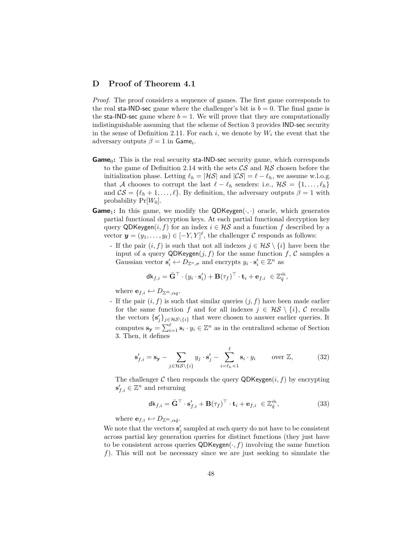# **D Proof of Theorem 4.1**

*Proof.* The proof considers a sequence of games. The first game corresponds to the real sta-IND-sec game where the challenger's bit is  $b = 0$ . The final game is the sta-IND-sec game where  $b = 1$ . We will prove that they are computationally indistinguishable assuming that the scheme of Section 3 provides IND-sec security in the sense of Definition 2.11. For each  $i$ , we denote by  $W_i$  the event that the adversary outputs  $\beta = 1$  in **Game**<sub>*i*</sub>.

- **Game**<sub>0</sub>: This is the real security sta-IND-sec security game, which corresponds to the game of Definition 2.14 with the sets  $\mathcal{CS}$  and  $\mathcal{HS}$  chosen before the initialization phase. Letting  $\ell_h = |\mathcal{HS}|$  and  $|\mathcal{CS}| = \ell - \ell_h$ , we assume w.l.o.g. that A chooses to corrupt the last  $\ell - \ell_h$  senders: i.e.,  $\mathcal{H}S = \{1, \ldots, \ell_h\}$ and  $\mathcal{CS} = \{\ell_h + 1, \ldots, \ell\}$ . By definition, the adversary outputs  $\beta = 1$  with probability  $Pr[W_0]$ .
- **Game**<sub>1</sub>: In this game, we modify the QDKeygen $(\cdot, \cdot)$  oracle, which generates partial functional decryption keys. At each partial functional decryption key query QDKeygen $(i, f)$  for an index  $i \in \mathcal{HS}$  and a function f described by a vector  $y = (y_1, \ldots, y_\ell) \in [-Y, Y]^\ell$ , the challenger  $\mathcal C$  responds as follows:
	- If the pair  $(i, f)$  is such that not all indexes  $j \in \mathcal{HS} \setminus \{i\}$  have been the input of a query  $QDKeygen(j, f)$  for the same function  $f, C$  samples a Gaussian vector  $\mathbf{s}'_i \leftarrow D_{\mathbb{Z}^n, \sigma}$  and encrypts  $y_i \cdot \mathbf{s}'_i \in \mathbb{Z}^n$  as

$$
\mathsf{d}\mathsf{k}_{f,i} = \bar{\mathbf{G}}^\top \cdot (y_i \cdot \mathbf{s}'_i) + \mathbf{B}(\tau_f)^\top \cdot \mathbf{t}_i + \mathbf{e}_{f,i} \ \in \mathbb{Z}_{{\bar{q}}}^{{\bar{m}}},
$$

where  $\mathbf{e}_{f,i} \leftarrow D_{\mathbb{Z}^{\bar{m}},\alpha q}$ .

- If the pair  $(i, f)$  is such that similar queries  $(j, f)$  have been made earlier for the same function *f* and for all indexes  $j \in \mathcal{HS} \setminus \{i\}, \mathcal{C}$  recalls the vectors  $\{s'_j\}_{j\in\mathcal{HS}\backslash\{i\}}$  that were chosen to answer earlier queries. It computes  $\mathbf{s_y} = \sum_{i=1}^{\ell} \mathbf{s}_i \cdot y_i \in \mathbb{Z}^n$  as in the centralized scheme of Section 3. Then, it defines

$$
\mathbf{s}'_{f,i} = \mathbf{s}_{\mathbf{y}} - \sum_{j \in \mathcal{H} \mathcal{S} \setminus \{i\}} y_j \cdot \mathbf{s}'_j - \sum_{i=\ell_h+1}^{\ell} \mathbf{s}_i \cdot y_i \qquad \text{over } \mathbb{Z}, \tag{32}
$$

The challenger  $C$  then responds the query  $QDKeygen(i, f)$  by encrypting  $\mathbf{s}'_{f,i} \in \mathbb{Z}^n$  and returning

$$
\mathsf{dk}_{f,i} = \bar{\mathbf{G}}^{\top} \cdot \mathbf{s}'_{f,i} + \mathbf{B}(\tau_f)^{\top} \cdot \mathbf{t}_i + \mathbf{e}_{f,i} \in \mathbb{Z}_q^{\bar{m}},\tag{33}
$$

where  $\mathbf{e}_{f,i} \leftarrow D_{\mathbb{Z}^{\bar{m}}, \alpha \bar{q}}$ .

We note that the vectors  $\mathbf{s}'_j$  sampled at each query do not have to be consistent across partial key generation queries for distinct functions (they just have to be consistent across queries  $QDKeygen(\cdot, f)$  involving the same function *f*). This will not be necessary since we are just seeking to simulate the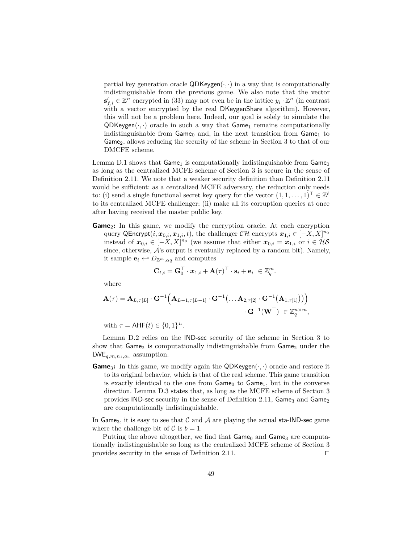partial key generation oracle  $QDKeygen(\cdot, \cdot)$  in a way that is computationally indistinguishable from the previous game. We also note that the vector  $\mathbf{s}'_{f,i}$  ∈  $\mathbb{Z}^n$  encrypted in (33) may not even be in the lattice  $y_i \cdot \mathbb{Z}^n$  (in contrast with a vector encrypted by the real DKeygenShare algorithm). However, this will not be a problem here. Indeed, our goal is solely to simulate the  $QDKeygen(\cdot, \cdot)$  oracle in such a way that  $Game_1$  remains computationally indistinguishable from  $Game_0$  and, in the next transition from  $Game_1$  to Game<sub>2</sub>, allows reducing the security of the scheme in Section 3 to that of our DMCFE scheme.

Lemma D.1 shows that  $Game_1$  is computationally indistinguishable from  $Game_0$ as long as the centralized MCFE scheme of Section 3 is secure in the sense of Definition 2.11. We note that a weaker security definition than Definition 2.11 would be sufficient: as a centralized MCFE adversary, the reduction only needs to: (i) send a single functional secret key query for the vector  $(1, 1, \ldots, 1)^\top \in \mathbb{Z}^{\ell}$ to its centralized MCFE challenger; (ii) make all its corruption queries at once after having received the master public key.

**Game**<sub>2</sub>: In this game, we modify the encryption oracle. At each encryption query QEncrypt $(i, x_{0,i}, x_{1,i}, t)$ , the challenger  $\mathcal{CH}$  encrypts  $\boldsymbol{x}_{1,i} \in [-X, X]^{n_0}$ instead of  $x_{0,i} \in [-X, X]^{n_0}$  (we assume that either  $x_{0,i} = x_{1,i}$  or  $i \in \mathcal{HS}$ since, otherwise,  $A$ 's output is eventually replaced by a random bit). Namely, it sample  $\mathbf{e}_i \leftrightarrow D_{\mathbb{Z}^m, \alpha q}$  and computes

$$
\mathbf{C}_{t,i} = \mathbf{G}_0^{\top} \cdot \boldsymbol{x}_{1,i} + \mathbf{A}(\tau)^{\top} \cdot \mathbf{s}_i + \mathbf{e}_i \ \in \mathbb{Z}_q^m.
$$

where

$$
\mathbf{A}(\tau) = \mathbf{A}_{L,\tau[L]} \cdot \mathbf{G}^{-1} \Big( \mathbf{A}_{L-1,\tau[L-1]} \cdot \mathbf{G}^{-1} \big( \dots \mathbf{A}_{2,\tau[2]} \cdot \mathbf{G}^{-1} \big( \mathbf{A}_{1,\tau[1]} \big) \big) \Big) \cdot \mathbf{G}^{-1} \big( \mathbf{W}^{\top} \big) \in \mathbb{Z}_q^{n \times m},
$$

with  $\tau = \mathsf{AHF}(t) \in \{0,1\}^L$ .

Lemma D.2 relies on the IND-sec security of the scheme in Section 3 to show that  $Game_2$  is computationally indistinguishable from  $Game_2$  under the  $LWE_{q,m,n_1,\alpha_1}$  assumption.

**Game**3**:** In this game, we modify again the QDKeygen(·*,* ·) oracle and restore it to its original behavior, which is that of the real scheme. This game transition is exactly identical to the one from  $Game_0$  to  $Game_1$ , but in the converse direction. Lemma D.3 states that, as long as the MCFE scheme of Section 3 provides IND-sec security in the sense of Definition 2.11,  $\mathsf{Game}_3$  and  $\mathsf{Game}_2$ are computationally indistinguishable.

In Game<sub>3</sub>, it is easy to see that C and A are playing the actual sta-IND-sec game where the challenge bit of  $C$  is  $b = 1$ .

Putting the above altogether, we find that  $\mathsf{Game}_0$  and  $\mathsf{Game}_3$  are computationally indistinguishable so long as the centralized MCFE scheme of Section 3 provides security in the sense of Definition 2.11.  $\Box$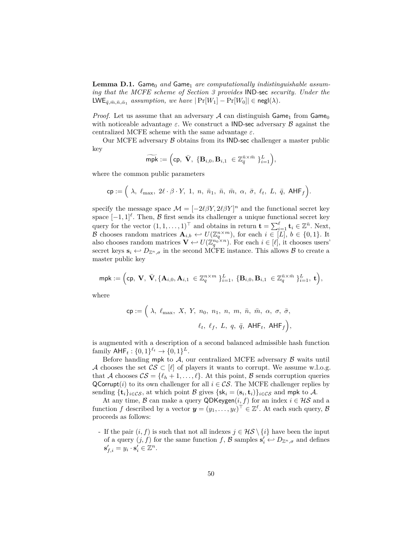**Lemma D.1.** Game<sub>0</sub> and Game<sub>1</sub> are computationally indistinguishable assum*ing that the MCFE scheme of Section 3 provides* IND*-*sec *security. Under the*  $LWE_{\bar{q}, \bar{m}, \bar{n}, \bar{\alpha}_1}$  *assumption, we have*  $|\Pr[W_1] - \Pr[W_0]| \in \mathsf{negl}(\lambda)$ *.* 

*Proof.* Let us assume that an adversary A can distinguish  $\mathsf{Game}_1$  from  $\mathsf{Game}_0$ with noticeable advantage  $\varepsilon$ . We construct a **IND-sec** adversary  $\beta$  against the centralized MCFE scheme with the same advantage *ε*.

Our MCFE adversary  $\beta$  obtains from its IND-sec challenger a master public key

$$
\widetilde{\mathsf{mpk}} := \Big(\mathrm{cp}, \ \bar{\mathbf{V}}, \ \{\mathbf{B}_{i,0}, \mathbf{B}_{i,1} \ \in \mathbb{Z}_q^{\bar{n} \times \bar{m}} \ \}_{i=1}^L \Big),
$$

where the common public parameters

$$
\mathsf{cp} := \Big( \; \lambda, \; \ell_{\max}, \; 2 \ell \cdot \beta \cdot Y, \; 1, \; n, \; \bar{n}_1, \; \bar{n}, \; \bar{m}, \; \alpha, \; \bar{\sigma}, \; \ell_t, \; L, \; \bar{q}, \; \mathsf{AHF}_f \Big).
$$

specify the message space  $\mathcal{M} = [-2\ell\beta Y, 2\ell\beta Y]^n$  and the functional secret key space  $[-1, 1]^{\ell}$ . Then, B first sends its challenger a unique functional secret key query for the vector  $(1, 1, \ldots, 1)^\top$  and obtains in return  $\mathbf{t} = \sum_{i=1}^{\ell} \mathbf{t}_i \in \mathbb{Z}^{\bar{n}}$ . Next, B chooses random matrices  $\mathbf{A}_{i,b} \leftarrow U(\mathbb{Z}_q^{n \times m})$ , for each  $i \in [L], b \in \{0,1\}$ . It also chooses random matrices  $\mathbf{V} \leftarrow U(\mathbb{Z}_q^{n_0 \times n})$ . For each  $i \in [\ell]$ , it chooses users' secret keys  $\mathbf{s}_i \leftrightarrow D_{\mathbb{Z}^n,\sigma}$  in the second MCFE instance. This allows  $\beta$  to create a master public key

$$
\mathsf{mpk} := \Big(\mathsf{cp}, \ \mathbf{V}, \ \bar{\mathbf{V}}, \{\mathbf{A}_{i,0}, \mathbf{A}_{i,1} \ \in \mathbb{Z}_q^{n \times m} \ \}_{i=1}^L, \ \{\mathbf{B}_{i,0}, \mathbf{B}_{i,1} \ \in \mathbb{Z}_q^{\bar{n} \times \bar{m}} \ \}_{i=1}^L, \ \mathbf{t} \Big),
$$

where

$$
\mathsf{cp}:=\Big(\begin{array}{c} \lambda,\;\ell_{\max},\;X,\;Y,\;n_0,\;n_1,\;n,\;m,\;\bar{n},\;\bar{m},\;\alpha,\;\sigma,\;\bar{\sigma},\vspace{1mm}\\ \ell_t,\;\ell_f,\;L,\;q,\;\bar{q},\;\mathsf{AHF}_t,\;\mathsf{AHF}_f\Big),\end{array}
$$

is augmented with a description of a second balanced admissible hash function  $\text{family } AHF_t: \{0,1\}^{\ell_t} \to \{0,1\}^L.$ 

Before handing mpk to  $A$ , our centralized MCFE adversary  $B$  waits until A chooses the set  $\mathcal{CS} \subset [\ell]$  of players it wants to corrupt. We assume w.l.o.g. that A chooses  $CS = \{\ell_h + 1, \ldots, \ell\}$ . At this point, B sends corruption queries QCorrupt(*i*) to its own challenger for all  $i \in \mathcal{CS}$ . The MCFE challenger replies by sending  ${\{\mathbf{t}_i\}}_{i \in \mathcal{CS}}$ , at which point  $\mathcal{B}$  gives  ${\{\mathsf{sk}_i = (\mathbf{s}_i, \mathbf{t}_i)\}}_{i \in \mathcal{CS}}$  and mpk to  $\mathcal{A}$ .

At any time, B can make a query QDKeygen $(i, f)$  for an index  $i \in \mathcal{HS}$  and a function *f* described by a vector  $y = (y_1, \ldots, y_\ell)^\top \in \mathbb{Z}^\ell$ . At each such query,  $\mathcal{B}$ proceeds as follows:

- If the pair  $(i, f)$  is such that not all indexes  $j \in \mathcal{HS} \setminus \{i\}$  have been the input of a query  $(j, f)$  for the same function  $f$ ,  $\mathcal{B}$  samples  $\mathbf{s}'_i \leftrightarrow D_{\mathbb{Z}^n, \sigma}$  and defines  $\mathbf{s}'_{f,i} = y_i \cdot \mathbf{s}'_i \in \mathbb{Z}^n.$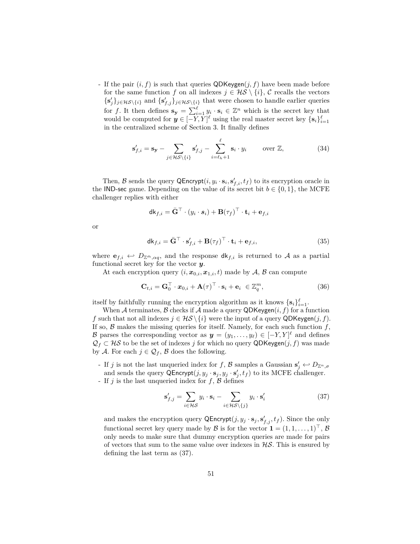- If the pair  $(i, f)$  is such that queries  $QDKeygen(j, f)$  have been made before for the same function *f* on all indexes  $j \in \mathcal{HS} \setminus \{i\}$ ,  $\mathcal{C}$  recalls the vectors  $\{s'_j\}_{j\in\mathcal{HS}\backslash\{i\}}$  and  $\{s'_{f,j}\}_{j\in\mathcal{HS}\backslash\{i\}}$  that were chosen to handle earlier queries for *f*. It then defines  $\mathbf{s_y} = \sum_{i=1}^{\ell} y_i \cdot \mathbf{s}_i \in \mathbb{Z}^n$  which is the secret key that would be computed for  $y \in [-Y, Y]^{\ell}$  using the real master secret key  $\{s_i\}_{i=1}^{\ell}$ in the centralized scheme of Section 3. It finally defines

$$
\mathbf{s}'_{f,i} = \mathbf{s}_{\mathbf{y}} - \sum_{j \in \mathcal{H} \mathcal{S} \setminus \{i\}} \mathbf{s}'_{f,j} - \sum_{i=\ell_h+1}^{\ell} \mathbf{s}_i \cdot y_i \qquad \text{over } \mathbb{Z},\tag{34}
$$

Then, B sends the query  $\mathsf{QProperty}(i, y_i \cdot s_i, s'_{f,i}, t_f)$  to its encryption oracle in the IND-sec game. Depending on the value of its secret bit  $b \in \{0, 1\}$ , the MCFE challenger replies with either

$$
\mathsf{d}\mathsf{k}_{f,i} = \bar{\mathbf{G}}^\top \cdot (y_i \cdot s_i) + \mathbf{B}(\tau_f)^\top \cdot \mathbf{t}_i + \mathbf{e}_{f,i}
$$

or

$$
\mathsf{dk}_{f,i} = \bar{\mathbf{G}}^{\top} \cdot \mathbf{s}'_{f,i} + \mathbf{B}(\tau_f)^{\top} \cdot \mathbf{t}_i + \mathbf{e}_{f,i},\tag{35}
$$

where  $e_{f,i} \leftrightarrow D_{\mathbb{Z}^{\bar{m}},\alpha q}$ , and the response  $d\mathsf{k}_{f,i}$  is returned to A as a partial functional secret key for the vector *y*.

At each encryption query  $(i, x_{0,i}, x_{1,i}, t)$  made by A, B can compute

$$
\mathbf{C}_{t,i} = \mathbf{G}_0^\top \cdot \mathbf{x}_{0,i} + \mathbf{A}(\tau)^\top \cdot \mathbf{s}_i + \mathbf{e}_i \in \mathbb{Z}_q^m,
$$
\n(36)

itself by faithfully running the encryption algorithm as it knows  $\{s_i\}_{i=1}^{\ell}$ .

When A terminates,  $\beta$  checks if A made a query QDKeygen $(i, f)$  for a function *f* such that not all indexes  $j \in \mathcal{HS} \setminus \{i\}$  were the input of a query QDKeygen(*j, f*). If so,  $\beta$  makes the missing queries for itself. Namely, for each such function  $f$ , B parses the corresponding vector as  $y = (y_1, \ldots, y_\ell) \in [-Y, Y]^\ell$  and defines  $\mathcal{Q}_f \subset \mathcal{H}\mathcal{S}$  to be the set of indexes *j* for which no query QDKeygen(*j*, *f*) was made by A. For each  $j \in \mathcal{Q}_f$ , B does the following.

- If *j* is not the last unqueried index for *f*, *B* samples a Gaussian  $\mathbf{s}'_j \leftrightarrow D_{\mathbb{Z}^n, \sigma}$ and sends the query  $\mathsf{QProperty}(j, y_j \cdot \mathbf{s}_j, y_j \cdot \mathbf{s}'_j, t_f)$  to its MCFE challenger. - If *j* is the last unqueried index for *f*, B defines

$$
\mathcal{L} = \mathcal{L} \mathcal{L}
$$

$$
\mathbf{s}'_{f,j} = \sum_{i \in \mathcal{HS}} y_i \cdot \mathbf{s}_i - \sum_{i \in \mathcal{HS} \backslash \{j\}} y_i \cdot \mathbf{s}'_i \tag{37}
$$

and makes the encryption query  $\mathsf{QProperty}(j, y_j \cdot \mathbf{s}_j, \mathbf{s}'_{f,j}, t_f)$ . Since the only functional secret key query made by  $\mathcal{B}$  is for the vector  $\mathbf{1} = (1, 1, \ldots, 1)^\top, \mathcal{B}$ only needs to make sure that dummy encryption queries are made for pairs of vectors that sum to the same value over indexes in  $H\mathcal{S}$ . This is ensured by defining the last term as (37).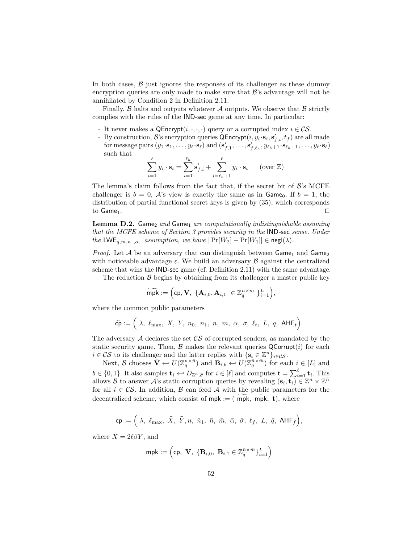In both cases,  $\beta$  just ignores the responses of its challenger as these dummy encryption queries are only made to make sure that  $\mathcal{B}$ 's advantage will not be annihilated by Condition 2 in Definition 2.11.

Finally,  $\beta$  halts and outputs whatever  $\mathcal A$  outputs. We observe that  $\beta$  strictly complies with the rules of the IND-sec game at any time. In particular:

- It never makes a  $\mathsf{QProperty}(i, \cdot, \cdot, \cdot)$  query or a corrupted index  $i \in \mathcal{CS}$ .
- By construction,  $\mathcal{B}$ 's encryption queries  $\mathsf{QProperty}(i, y_i \cdot s_i, s'_{f,i}, t_f)$  are all made for message pairs  $(y_1 \cdot s_1, \ldots, y_\ell \cdot s_\ell)$  and  $(s'_{f,1}, \ldots, s'_{f,\ell_h}, y_{\ell_h+1} \cdot s_{\ell_h+1}, \ldots, y_\ell \cdot s_\ell)$ such that

$$
\sum_{i=1}^{\ell} y_i \cdot \mathbf{s}_i = \sum_{i=1}^{\ell_h} \mathbf{s}'_{f,i} + \sum_{i=\ell_h+1}^{\ell} y_i \cdot \mathbf{s}_i \qquad \text{(over } \mathbb{Z})
$$

The lemma's claim follows from the fact that, if the secret bit of  $\mathcal{B}$ 's MCFE challenger is  $b = 0$ , A's view is exactly the same as in Game<sub>0</sub>. If  $b = 1$ , the distribution of partial functional secret keys is given by (35), which corresponds to  $Game_1$ .

**Lemma D.2.** Game<sub>2</sub> and Game<sub>1</sub> are computationally indistinguishable assuming *that the MCFE scheme of Section 3 provides security in the* IND*-*sec *sense. Under the*  $LWE_{q,m,n_1,\alpha_1}$  *assumption, we have*  $|\Pr[W_2] - \Pr[W_1]| \in negl(\lambda)$ *.* 

*Proof.* Let  $A$  be an adversary that can distinguish between  $\mathsf{Game}_1$  and  $\mathsf{Game}_2$ with noticeable advantage  $\varepsilon$ . We build an adversary  $\beta$  against the centralized scheme that wins the IND-sec game (cf. Definition 2.11) with the same advantage.

The reduction  $\beta$  begins by obtaining from its challenger a master public key

$$
\widetilde{\mathsf{mpk}} := \Big(\mathsf{cp}, \mathbf{V}, \ \{\mathbf{A}_{i,0}, \mathbf{A}_{i,1}\ \in \mathbb{Z}_q^{n \times m} \ \}_{i=1}^L\Big),
$$

where the common public parameters

$$
\widetilde{\mathsf{cp}} := \Big(\begin{array}{cccccc}\lambda, \; \ell_{\max}, \; X, \; Y, \; n_0, \; n_1, \; n, \; m, \; \alpha, \; \sigma, \; \ell_t, \; L, \; q, \; \mathsf{AHF}_t\Big).\end{array}
$$

The adversary  $\mathcal A$  declares the set  $\mathcal{CS}$  of corrupted senders, as mandated by the static security game. Then,  $\beta$  makes the relevant queries  $\mathsf{QCorrupt}(i)$  for each *i* ∈ CS to its challenger and the latter replies with {**s**<sub>*i*</sub> ∈  $\mathbb{Z}^n$ }*i*∈CS.

Next, B chooses  $\bar{\mathbf{V}} \leftarrow U(\mathbb{Z}_{\bar{q}}^{n \times \bar{n}})$  and  $\mathbf{B}_{i,b} \leftarrow U(\mathbb{Z}_{\bar{q}}^{\bar{n} \times \bar{m}})$  for each  $i \in [L]$  and  $b \in \{0, 1\}$ . It also samples  $\mathbf{t}_i \leftrightarrow D_{\mathbb{Z}^{\bar{n}}, \bar{\sigma}}$  for  $i \in [\ell]$  and computes  $\mathbf{t} = \sum_{i=1}^{\ell} \mathbf{t}_i$ . This allows B to answer A's static corruption queries by revealing  $(\mathbf{s}_i, \mathbf{t}_i) \in \mathbb{Z}^n \times \mathbb{Z}^{\bar{n}}$ for all  $i \in \mathcal{CS}$ . In addition,  $\mathcal B$  can feed  $\mathcal A$  with the public parameters for the decentralized scheme, which consist of  $mpk := (mpk, mpk, t)$ , where

$$
\bar{{\sf cp}} := \Big(\; \lambda, \; \ell_{\max}, \; \bar{X}, \; \bar{Y}, n, \; \bar{n}_1, \; \bar{n}, \; \bar{m}, \; \bar{\alpha}, \; \bar{\sigma}, \; \ell_f, \; L, \; \bar{q}, \; {\sf AHF}_f\Big),
$$

where  $\bar{X} = 2\ell\beta Y$ , and

$$
\bar{\mathsf{mpk}} := \left(\bar{\mathsf{cp}}, \ \bar{\mathbf{V}}, \ \{\mathbf{B}_{i,0}, \ \mathbf{B}_{i,1} \in \mathbb{Z}^{\bar{n} \times \bar{m}}_{\bar{q}}\}_{i=1}^{L}\right)
$$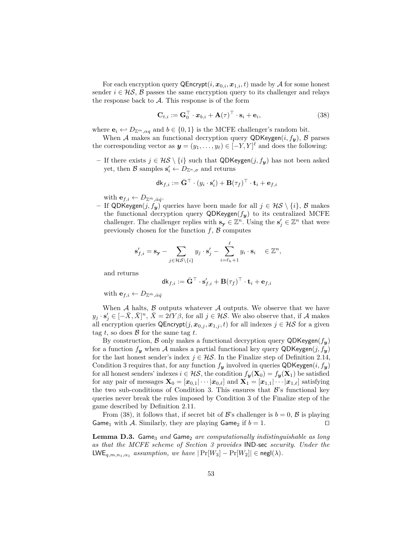For each encryption query  $\mathsf{QProperty}(i, \mathbf{x}_{0,i}, \mathbf{x}_{1,i}, t)$  made by A for some honest sender  $i \in \mathcal{HS}$ , B passes the same encryption query to its challenger and relays the response back to  $A$ . This response is of the form

$$
\mathbf{C}_{t,i} := \mathbf{G}_0^\top \cdot \mathbf{x}_{b,i} + \mathbf{A}(\tau)^\top \cdot \mathbf{s}_i + \mathbf{e}_i,\tag{38}
$$

where  $\mathbf{e}_i \leftarrow D_{\mathbb{Z}^m, \alpha q}$  and  $b \in \{0, 1\}$  is the MCFE challenger's random bit.

When A makes an functional decryption query QDKeygen $(i, f_y)$ , B parses the corresponding vector as  $y = (y_1, \ldots, y_\ell) \in [-Y, Y]^\ell$  and does the following:

**−** If there exists  $j \in \mathcal{HS} \setminus \{i\}$  such that QDKeygen $(j, f_y)$  has not been asked yet, then B samples  $\mathbf{s}'_i \leftarrow D_{\mathbb{Z}^n, \sigma}$  and returns

$$
\mathsf{dk}_{f,i} := \bar{\mathbf{G}}^\top \cdot (y_i \cdot \mathbf{s}_i') + \mathbf{B}(\tau_f)^\top \cdot \mathbf{t}_i + \mathbf{e}_{f,i}
$$

with  $\mathbf{e}_{f,i} \leftarrow D_{\mathbb{Z}^{\bar{m}}, \bar{\alpha}\bar{q}}$ .

**–** If QDKeygen(*j, fy*) queries have been made for all *j* ∈ HS \ {*i*}, B makes the functional decryption query  $QDKeygen(f_y)$  to its centralized MCFE challenger. The challenger replies with  $\mathbf{s}_y \in \mathbb{Z}^n$ . Using the  $\mathbf{s}'_j \in \mathbb{Z}^n$  that were previously chosen for the function  $f$ ,  $\beta$  computes

$$
\mathbf{s}'_{f,i} = \mathbf{s}_{\mathbf{y}} - \sum_{j \in \mathcal{H} \mathcal{S} \setminus \{i\}} y_j \cdot \mathbf{s}'_j - \sum_{i=\ell_h+1}^{\ell} y_i \cdot \mathbf{s}_i \quad \in \mathbb{Z}^n,
$$

and returns

$$
\mathsf{dk}_{f,i} := \bar{\mathbf{G}}^\top \cdot \mathbf{s}'_{f,i} + \mathbf{B}(\tau_f)^\top \cdot \mathbf{t}_i + \mathbf{e}_{f,i}
$$

with  $\mathbf{e}_{f,i} \leftarrow D_{\mathbb{Z}^{\bar{m}}, \bar{\alpha}\bar{q}}$ 

When  $A$  halts,  $B$  outputs whatever  $A$  outputs. We observe that we have  $y_j \cdot s'_j \in [-\bar{X}, \bar{X}]^n$ ,  $\bar{X} = 2\ell Y\beta$ , for all  $j \in \mathcal{HS}$ . We also observe that, if A makes all encryption queries  $\mathsf{QProperty}(j, \mathbf{x}_{0,j}, \mathbf{x}_{1,j}, t)$  for all indexes  $j \in \mathcal{HS}$  for a given tag  $t$ , so does  $\beta$  for the same tag  $t$ .

By construction,  $\beta$  only makes a functional decryption query QDKeygen( $f_{\mathbf{v}}$ ) for a function  $f_{\mathbf{y}}$  when A makes a partial functional key query QDKeygen $(j, f_{\mathbf{y}})$ for the last honest sender's index  $j \in \mathcal{HS}$ . In the Finalize step of Definition 2.14, Condition 3 requires that, for any function  $f_{\mathbf{y}}$  involved in queries QDKeygen $(i, f_{\mathbf{y}})$ for all honest senders' indexes  $i \in \mathcal{H}S$ , the condition  $f_{\mathbf{y}}(\mathbf{X}_0) = f_{\mathbf{y}}(\mathbf{X}_1)$  be satisfied for any pair of messages  $\mathbf{X}_0 = [\mathbf{x}_{0,1} | \cdots | \mathbf{x}_{0,\ell}]$  and  $\mathbf{X}_1 = [\mathbf{x}_{1,1} | \cdots | \mathbf{x}_{1,\ell}]$  satisfying the two sub-conditions of Condition 3. This ensures that  $\mathcal{B}$ 's functional key queries never break the rules imposed by Condition 3 of the Finalize step of the game described by Definition 2.11.

From (38), it follows that, if secret bit of  $\mathcal{B}$ 's challenger is  $b = 0$ ,  $\mathcal{B}$  is playing Game<sub>1</sub> with A. Similarly, they are playing Game<sub>2</sub> if  $b = 1$ .

**Lemma D.3.** Game<sub>3</sub> and Game<sub>2</sub> are computationally indistinguishable as long *as that the MCFE scheme of Section 3 provides* IND*-*sec *security. Under the* LWE<sub>q,m,n<sub>1</sub>, $\alpha_1$  *assumption, we have*  $|\Pr[W_3] - \Pr[W_2]| \in \text{negl}(\lambda)$ *.*</sub>